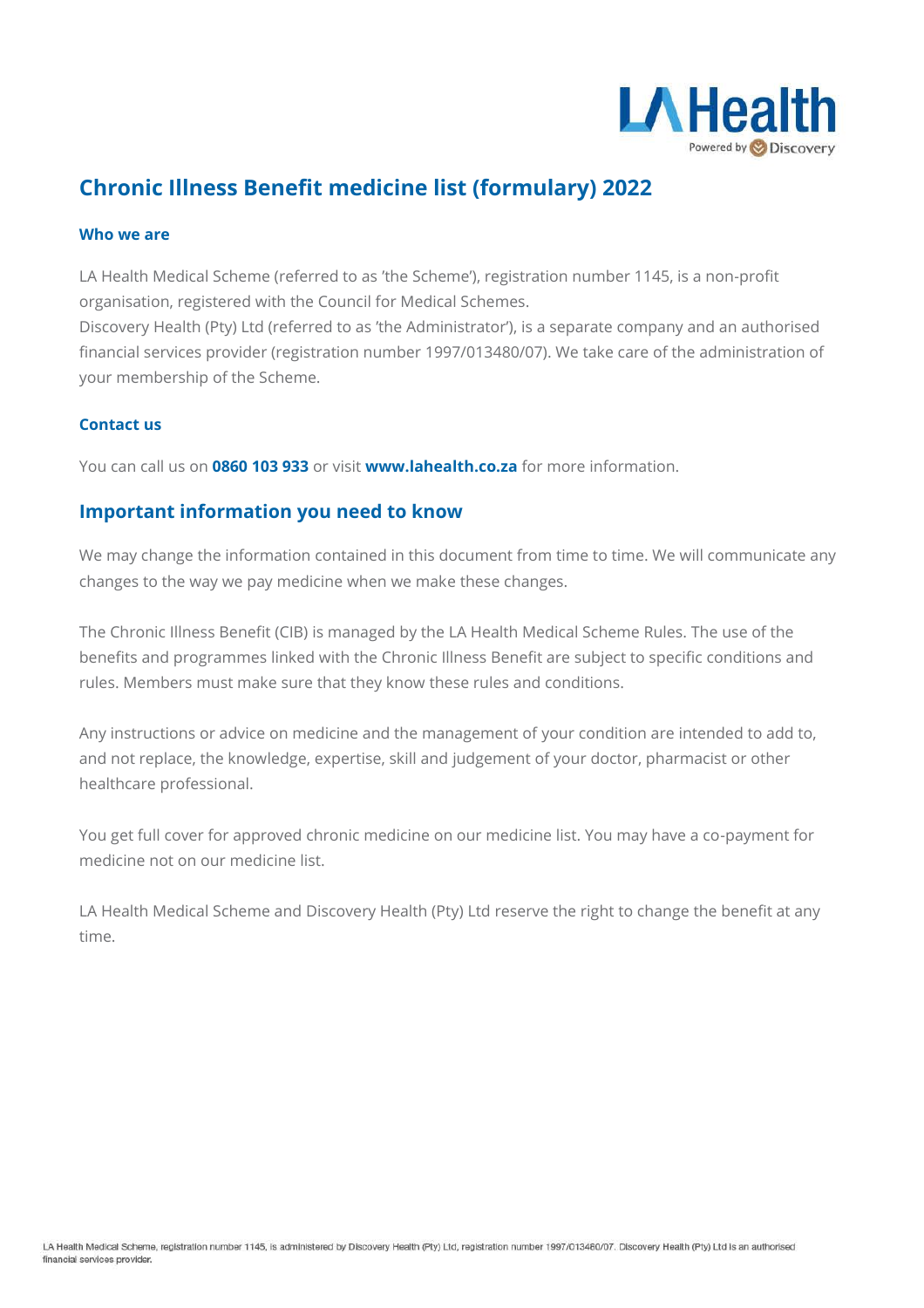

# **Chronic Illness Benefit medicine list (formulary) 2022**

#### **Who we are**

LA Health Medical Scheme (referred to as 'the Scheme'), registration number 1145, is a non-profit organisation, registered with the Council for Medical Schemes.

Discovery Health (Pty) Ltd (referred to as 'the Administrator'), is a separate company and an authorised financial services provider (registration number 1997/013480/07). We take care of the administration of your membership of the Scheme.

#### **Contact us**

You can call us on **0860 103 933** or visit **www.lahealth.co.za** for more information.

### **Important information you need to know**

We may change the information contained in this document from time to time. We will communicate any changes to the way we pay medicine when we make these changes.

The Chronic Illness Benefit (CIB) is managed by the LA Health Medical Scheme Rules. The use of the benefits and programmes linked with the Chronic Illness Benefit are subject to specific conditions and rules. Members must make sure that they know these rules and conditions.

Any instructions or advice on medicine and the management of your condition are intended to add to, and not replace, the knowledge, expertise, skill and judgement of your doctor, pharmacist or other healthcare professional.

You get full cover for approved chronic medicine on our medicine list. You may have a co-payment for medicine not on our medicine list.

LA Health Medical Scheme and Discovery Health (Pty) Ltd reserve the right to change the benefit at any time.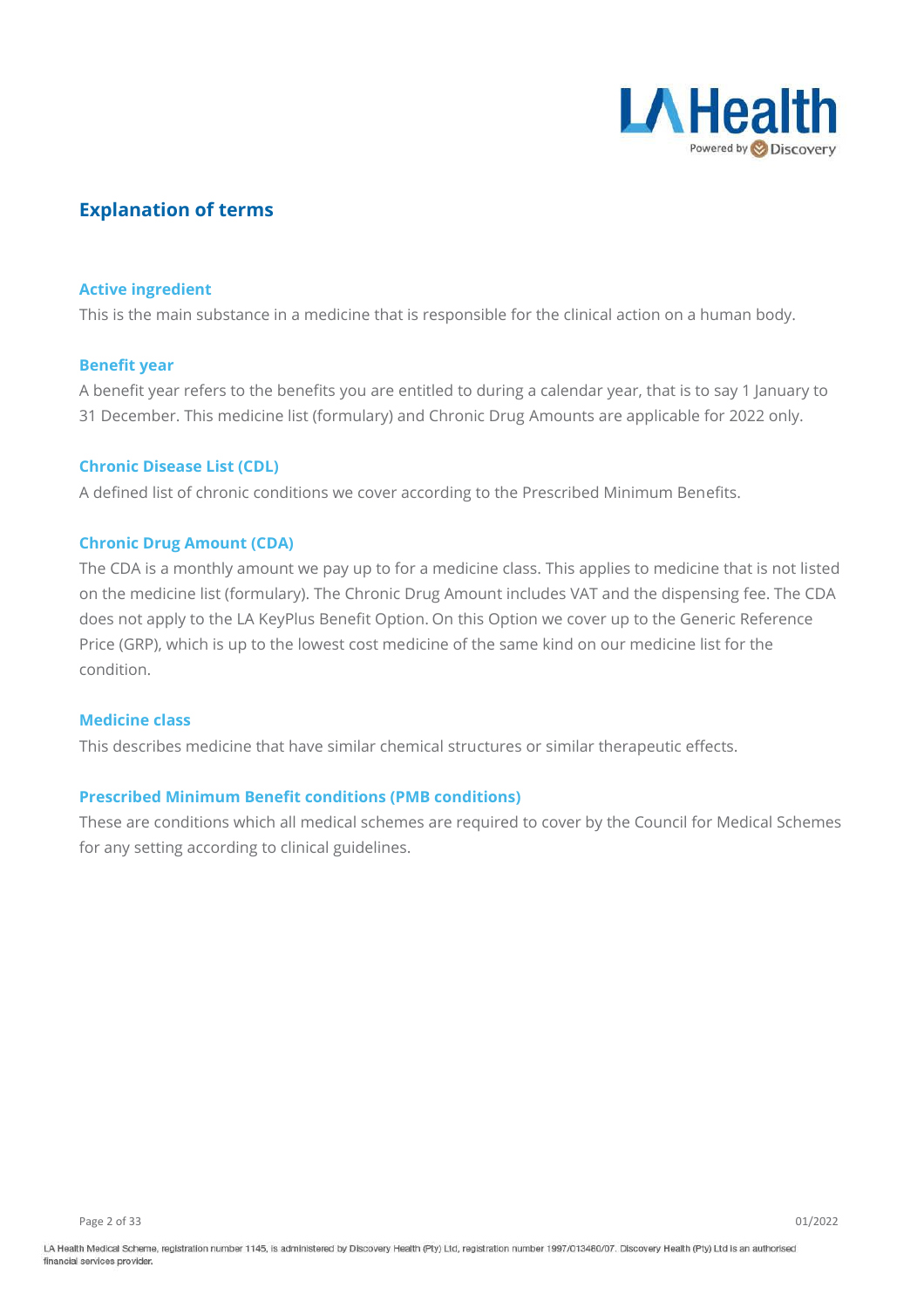

### **Explanation of terms**

#### **Active ingredient**

This is the main substance in a medicine that is responsible for the clinical action on a human body.

#### **Benefit year**

A benefit year refers to the benefits you are entitled to during a calendar year, that is to say 1 January to 31 December. This medicine list (formulary) and Chronic Drug Amounts are applicable for 2022 only.

#### **Chronic Disease List (CDL)**

A defined list of chronic conditions we cover according to the Prescribed Minimum Benefits.

#### **Chronic Drug Amount (CDA)**

The CDA is a monthly amount we pay up to for a medicine class. This applies to medicine that is not listed on the medicine list (formulary). The Chronic Drug Amount includes VAT and the dispensing fee. The CDA does not apply to the LA KeyPlus Benefit Option. On this Option we cover up to the Generic Reference Price (GRP), which is up to the lowest cost medicine of the same kind on our medicine list for the condition.

#### **Medicine class**

This describes medicine that have similar chemical structures or similar therapeutic effects.

#### **Prescribed Minimum Benefit conditions (PMB conditions)**

These are conditions which all medical schemes are required to cover by the Council for Medical Schemes for any setting according to clinical guidelines.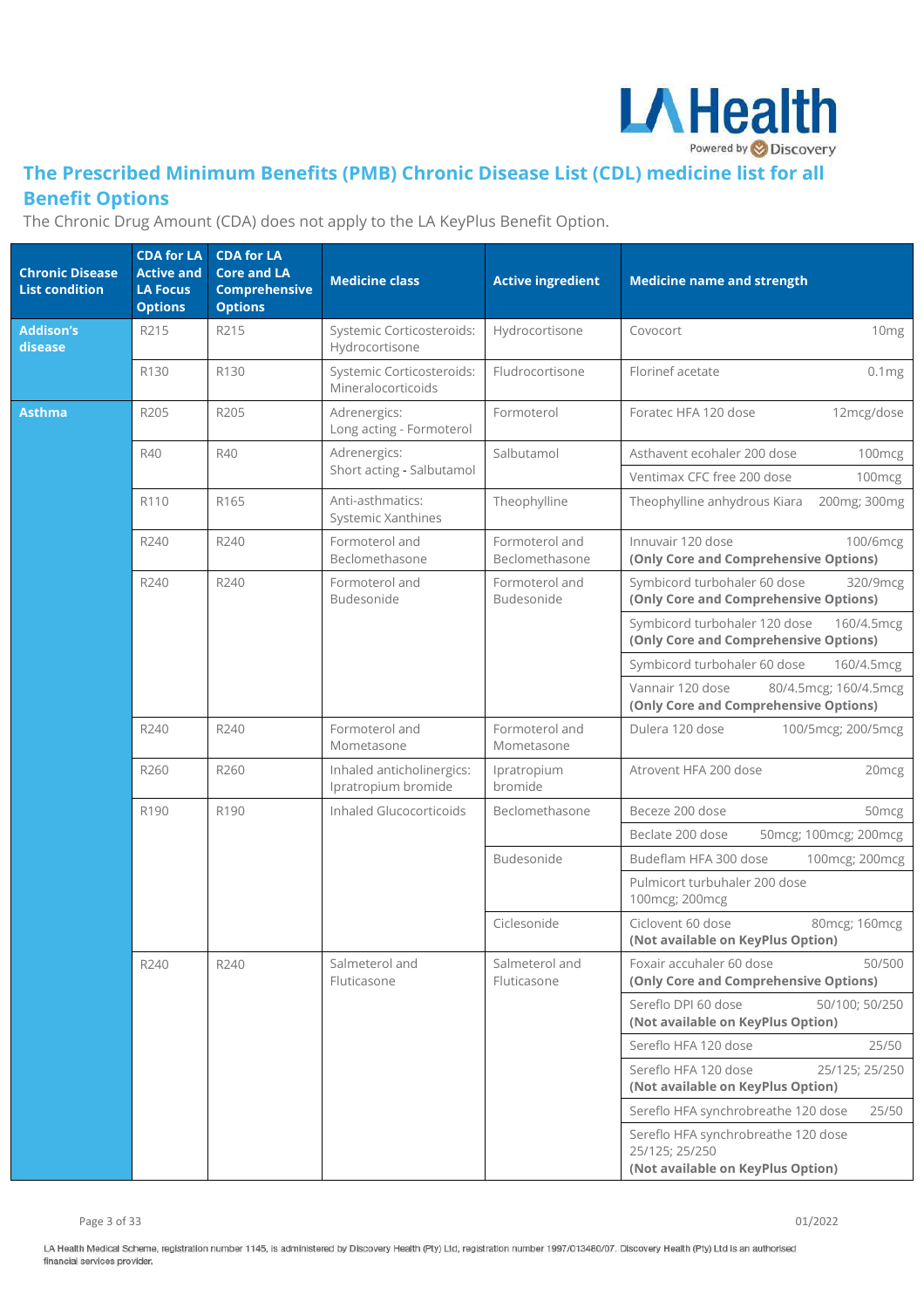

## **The Prescribed Minimum Benefits (PMB) Chronic Disease List (CDL) medicine list for all Benefit Options**

The Chronic Drug Amount (CDA) does not apply to the LA KeyPlus Benefit Option.

| <b>Chronic Disease</b><br><b>List condition</b> | <b>CDA for LA</b><br><b>Active and</b><br><b>LA Focus</b><br><b>Options</b> | <b>CDA for LA</b><br><b>Core and LA</b><br><b>Comprehensive</b><br><b>Options</b> | <b>Medicine class</b>                            | <b>Active ingredient</b>         | <b>Medicine name and strength</b>                                                                |
|-------------------------------------------------|-----------------------------------------------------------------------------|-----------------------------------------------------------------------------------|--------------------------------------------------|----------------------------------|--------------------------------------------------------------------------------------------------|
| <b>Addison's</b><br>disease                     | R215                                                                        | R215                                                                              | Systemic Corticosteroids:<br>Hydrocortisone      | Hydrocortisone                   | 10 <sub>mg</sub><br>Covocort                                                                     |
|                                                 | R130                                                                        | R130                                                                              | Systemic Corticosteroids:<br>Mineralocorticoids  | Fludrocortisone                  | Florinef acetate<br>0.1mg                                                                        |
| <b>Asthma</b>                                   | R205                                                                        | R205                                                                              | Adrenergics:<br>Long acting - Formoterol         | Formoterol                       | Foratec HFA 120 dose<br>12mcg/dose                                                               |
|                                                 | R40                                                                         | R40                                                                               | Adrenergics:<br>Short acting - Salbutamol        | Salbutamol                       | Asthavent ecohaler 200 dose<br>100mcg                                                            |
|                                                 | R110                                                                        | R165                                                                              | Anti-asthmatics:<br>Systemic Xanthines           | Theophylline                     | Ventimax CFC free 200 dose<br>100 <sub>mcg</sub><br>Theophylline anhydrous Kiara<br>200mg; 300mg |
|                                                 | R240                                                                        | R240                                                                              | Formoterol and<br>Beclomethasone                 | Formoterol and<br>Beclomethasone | Innuvair 120 dose<br>100/6mcg<br>(Only Core and Comprehensive Options)                           |
|                                                 | R240                                                                        | R240                                                                              | Formoterol and<br>Budesonide                     | Formoterol and<br>Budesonide     | Symbicord turbohaler 60 dose<br>320/9mcg<br>(Only Core and Comprehensive Options)                |
|                                                 |                                                                             |                                                                                   |                                                  |                                  | Symbicord turbohaler 120 dose<br>160/4.5mcg<br>(Only Core and Comprehensive Options)             |
|                                                 |                                                                             |                                                                                   |                                                  |                                  | Symbicord turbohaler 60 dose<br>160/4.5mcg                                                       |
|                                                 |                                                                             |                                                                                   |                                                  |                                  | Vannair 120 dose<br>80/4.5mcg; 160/4.5mcg<br>(Only Core and Comprehensive Options)               |
|                                                 | R240                                                                        | R240                                                                              | Formoterol and<br>Mometasone                     | Formoterol and<br>Mometasone     | Dulera 120 dose<br>100/5mcg; 200/5mcg                                                            |
|                                                 | R260                                                                        | R260                                                                              | Inhaled anticholinergics:<br>Ipratropium bromide | Ipratropium<br>bromide           | Atrovent HFA 200 dose<br>20 <sub>mcg</sub>                                                       |
|                                                 | R190                                                                        | R190                                                                              | Inhaled Glucocorticoids                          | Beclomethasone                   | Beceze 200 dose<br>50 <sub>mcg</sub>                                                             |
|                                                 |                                                                             |                                                                                   |                                                  |                                  | Beclate 200 dose<br>50mcg; 100mcg; 200mcg                                                        |
|                                                 |                                                                             |                                                                                   |                                                  | Budesonide                       | Budeflam HFA 300 dose<br>100mcg; 200mcg                                                          |
|                                                 |                                                                             |                                                                                   |                                                  |                                  | Pulmicort turbuhaler 200 dose<br>100mcg; 200mcg                                                  |
|                                                 |                                                                             |                                                                                   |                                                  | Ciclesonide                      | Ciclovent 60 dose<br>80mcg; 160mcg<br>(Not available on KeyPlus Option)                          |
|                                                 | R240                                                                        | R240                                                                              | Salmeterol and<br>Fluticasone                    | Salmeterol and<br>Fluticasone    | Foxair accuhaler 60 dose<br>50/500<br>(Only Core and Comprehensive Options)                      |
|                                                 |                                                                             |                                                                                   |                                                  |                                  | Sereflo DPI 60 dose<br>50/100; 50/250<br>(Not available on KeyPlus Option)                       |
|                                                 |                                                                             |                                                                                   |                                                  |                                  | Sereflo HFA 120 dose<br>25/50                                                                    |
|                                                 |                                                                             |                                                                                   |                                                  |                                  | Sereflo HFA 120 dose<br>25/125; 25/250<br>(Not available on KeyPlus Option)                      |
|                                                 |                                                                             |                                                                                   |                                                  |                                  | Sereflo HFA synchrobreathe 120 dose<br>25/50                                                     |
|                                                 |                                                                             |                                                                                   |                                                  |                                  | Sereflo HFA synchrobreathe 120 dose<br>25/125; 25/250<br>(Not available on KeyPlus Option)       |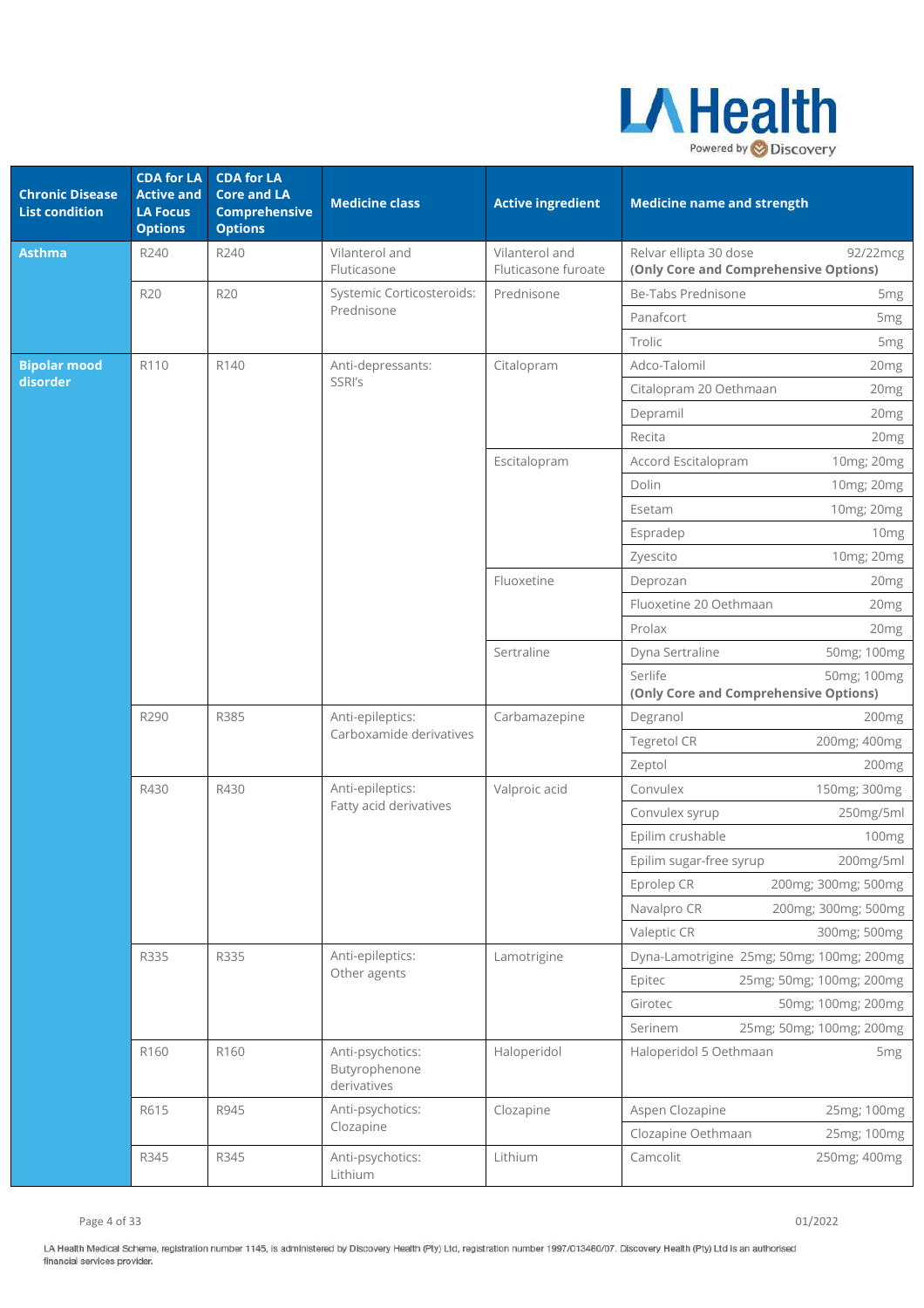

| <b>Chronic Disease</b><br><b>List condition</b> | <b>CDA for LA</b><br><b>Active and</b><br><b>LA Focus</b><br><b>Options</b> | <b>CDA for LA</b><br><b>Core and LA</b><br><b>Comprehensive</b><br><b>Options</b> | <b>Medicine class</b>                            | <b>Active ingredient</b>              | <b>Medicine name and strength</b>                                           |
|-------------------------------------------------|-----------------------------------------------------------------------------|-----------------------------------------------------------------------------------|--------------------------------------------------|---------------------------------------|-----------------------------------------------------------------------------|
| <b>Asthma</b>                                   | R240                                                                        | R240                                                                              | Vilanterol and<br>Fluticasone                    | Vilanterol and<br>Fluticasone furoate | Relvar ellipta 30 dose<br>92/22mcg<br>(Only Core and Comprehensive Options) |
|                                                 | <b>R20</b>                                                                  | <b>R20</b>                                                                        | Systemic Corticosteroids:                        | Prednisone                            | Be-Tabs Prednisone<br>5 <sub>mg</sub>                                       |
|                                                 |                                                                             |                                                                                   | Prednisone                                       |                                       | Panafcort<br>5 <sub>mg</sub>                                                |
|                                                 |                                                                             |                                                                                   |                                                  |                                       | Trolic<br>5 <sub>mg</sub>                                                   |
| <b>Bipolar mood</b>                             | R110                                                                        | R140                                                                              | Anti-depressants:                                | Citalopram                            | Adco-Talomil<br>20 <sub>mg</sub>                                            |
| disorder                                        |                                                                             |                                                                                   | SSRI's                                           |                                       | Citalopram 20 Oethmaan<br>20 <sub>mg</sub>                                  |
|                                                 |                                                                             |                                                                                   |                                                  |                                       | Depramil<br>20mg                                                            |
|                                                 |                                                                             |                                                                                   |                                                  |                                       | Recita<br>20 <sub>mg</sub>                                                  |
|                                                 |                                                                             |                                                                                   |                                                  | Escitalopram                          | Accord Escitalopram<br>10mg; 20mg                                           |
|                                                 |                                                                             |                                                                                   |                                                  |                                       | Dolin<br>10mg; 20mg                                                         |
|                                                 |                                                                             |                                                                                   |                                                  |                                       | 10mg; 20mg<br>Esetam                                                        |
|                                                 |                                                                             |                                                                                   |                                                  |                                       | Espradep<br>10 <sub>mg</sub>                                                |
|                                                 |                                                                             |                                                                                   |                                                  |                                       | 10mg; 20mg<br>Zyescito                                                      |
|                                                 |                                                                             |                                                                                   |                                                  | Fluoxetine                            | Deprozan<br>20 <sub>mg</sub>                                                |
|                                                 |                                                                             |                                                                                   |                                                  |                                       | Fluoxetine 20 Oethmaan<br>20 <sub>mg</sub>                                  |
|                                                 |                                                                             |                                                                                   |                                                  |                                       | Prolax<br>20 <sub>mg</sub>                                                  |
|                                                 |                                                                             |                                                                                   |                                                  | Sertraline                            | Dyna Sertraline<br>50mg; 100mg                                              |
|                                                 |                                                                             |                                                                                   |                                                  |                                       | Serlife<br>50mg; 100mg<br>(Only Core and Comprehensive Options)             |
|                                                 | R290                                                                        | R385                                                                              | Anti-epileptics:                                 | Carbamazepine                         | Degranol<br>200 <sub>mg</sub>                                               |
|                                                 |                                                                             |                                                                                   | Carboxamide derivatives                          |                                       | Tegretol CR<br>200mg; 400mg                                                 |
|                                                 |                                                                             |                                                                                   |                                                  |                                       | Zeptol<br>200mg                                                             |
|                                                 | R430                                                                        | R430                                                                              | Anti-epileptics:                                 | Valproic acid                         | Convulex<br>150mg; 300mg                                                    |
|                                                 |                                                                             |                                                                                   | Fatty acid derivatives                           |                                       | Convulex syrup<br>250mg/5ml                                                 |
|                                                 |                                                                             |                                                                                   |                                                  |                                       | Epilim crushable<br>100mg                                                   |
|                                                 |                                                                             |                                                                                   |                                                  |                                       | 200mg/5ml<br>Epilim sugar-free syrup                                        |
|                                                 |                                                                             |                                                                                   |                                                  |                                       | Eprolep CR<br>200mg; 300mg; 500mg                                           |
|                                                 |                                                                             |                                                                                   |                                                  |                                       | Navalpro CR<br>200mg; 300mg; 500mg                                          |
|                                                 |                                                                             |                                                                                   |                                                  |                                       | Valeptic CR<br>300mg; 500mg                                                 |
|                                                 | R335                                                                        | R335                                                                              | Anti-epileptics:                                 | Lamotrigine                           | Dyna-Lamotrigine 25mg; 50mg; 100mg; 200mg                                   |
|                                                 |                                                                             |                                                                                   | Other agents                                     |                                       | 25mg; 50mg; 100mg; 200mg<br>Epitec                                          |
|                                                 |                                                                             |                                                                                   |                                                  |                                       | 50mg; 100mg; 200mg<br>Girotec                                               |
|                                                 |                                                                             |                                                                                   |                                                  |                                       | 25mg; 50mg; 100mg; 200mg<br>Serinem                                         |
|                                                 | R160                                                                        | R160                                                                              | Anti-psychotics:<br>Butyrophenone<br>derivatives | Haloperidol                           | Haloperidol 5 Oethmaan<br>5 <sub>mg</sub>                                   |
|                                                 | R615                                                                        | R945                                                                              | Anti-psychotics:                                 | Clozapine                             | Aspen Clozapine<br>25mg; 100mg                                              |
|                                                 |                                                                             |                                                                                   | Clozapine                                        |                                       | Clozapine Oethmaan<br>25mg; 100mg                                           |
|                                                 | R345                                                                        | R345                                                                              | Anti-psychotics:<br>Lithium                      | Lithium                               | Camcolit<br>250mg; 400mg                                                    |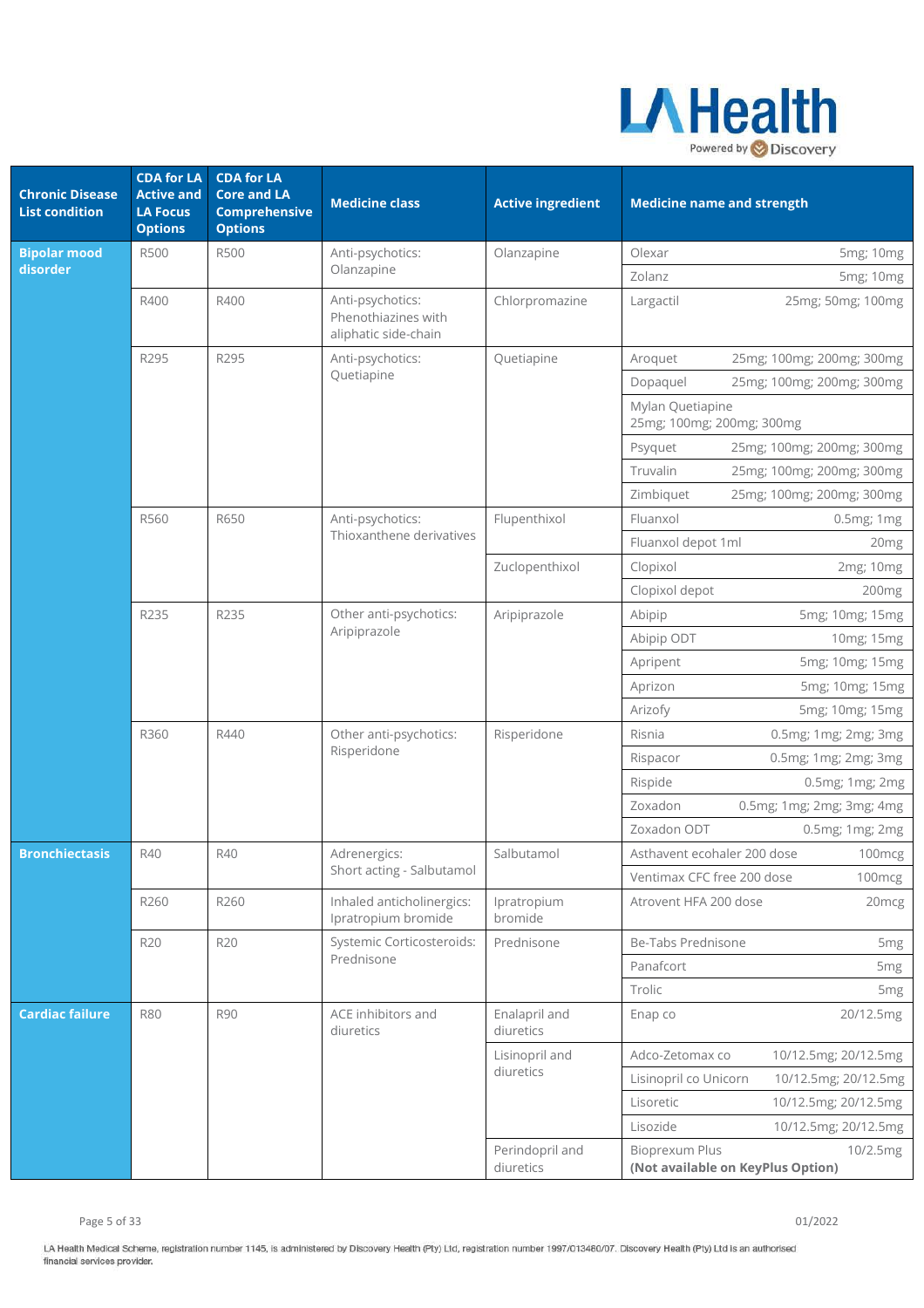

| <b>Chronic Disease</b><br><b>List condition</b> | <b>CDA for LA</b><br><b>Active and</b><br><b>LA Focus</b><br><b>Options</b> | <b>CDA for LA</b><br><b>Core and LA</b><br><b>Comprehensive</b><br><b>Options</b> | <b>Medicine class</b>                                           | <b>Active ingredient</b>     | <b>Medicine name and strength</b>                               |  |
|-------------------------------------------------|-----------------------------------------------------------------------------|-----------------------------------------------------------------------------------|-----------------------------------------------------------------|------------------------------|-----------------------------------------------------------------|--|
| <b>Bipolar mood</b>                             | <b>R500</b>                                                                 | <b>R500</b>                                                                       | Anti-psychotics:                                                | Olanzapine                   | Olexar<br>5mg; 10mg                                             |  |
| disorder                                        |                                                                             |                                                                                   | Olanzapine                                                      |                              | Zolanz<br>5mg; 10mg                                             |  |
|                                                 | R400                                                                        | R400                                                                              | Anti-psychotics:<br>Phenothiazines with<br>aliphatic side-chain | Chlorpromazine               | 25mg; 50mg; 100mg<br>Largactil                                  |  |
|                                                 | R295                                                                        | R295                                                                              | Anti-psychotics:                                                | Quetiapine                   | 25mg; 100mg; 200mg; 300mg<br>Aroquet                            |  |
|                                                 |                                                                             |                                                                                   | Quetiapine                                                      |                              | 25mg; 100mg; 200mg; 300mg<br>Dopaquel                           |  |
|                                                 |                                                                             |                                                                                   |                                                                 |                              | Mylan Quetiapine<br>25mg; 100mg; 200mg; 300mg                   |  |
|                                                 |                                                                             |                                                                                   |                                                                 |                              | 25mg; 100mg; 200mg; 300mg<br>Psyquet                            |  |
|                                                 |                                                                             |                                                                                   |                                                                 |                              | Truvalin<br>25mg; 100mg; 200mg; 300mg                           |  |
|                                                 |                                                                             |                                                                                   |                                                                 |                              | Zimbiquet<br>25mg; 100mg; 200mg; 300mg                          |  |
|                                                 | R560                                                                        | R650                                                                              | Anti-psychotics:                                                | Flupenthixol                 | Fluanxol<br>0.5mg; 1mg                                          |  |
|                                                 |                                                                             |                                                                                   | Thioxanthene derivatives                                        |                              | Fluanxol depot 1ml<br>20mg                                      |  |
|                                                 |                                                                             |                                                                                   |                                                                 | Zuclopenthixol               | Clopixol<br>2mg; 10mg                                           |  |
|                                                 |                                                                             |                                                                                   |                                                                 |                              | Clopixol depot<br>200 <sub>mg</sub>                             |  |
|                                                 | R235                                                                        | R235                                                                              | Other anti-psychotics:                                          | Aripiprazole                 | 5mg; 10mg; 15mg<br>Abipip                                       |  |
|                                                 |                                                                             |                                                                                   | Aripiprazole                                                    |                              | Abipip ODT<br>10mg; 15mg                                        |  |
|                                                 |                                                                             |                                                                                   |                                                                 |                              | 5mg; 10mg; 15mg<br>Apripent                                     |  |
|                                                 |                                                                             |                                                                                   |                                                                 |                              | 5mg; 10mg; 15mg<br>Aprizon                                      |  |
|                                                 |                                                                             |                                                                                   |                                                                 |                              | Arizofy<br>5mg; 10mg; 15mg                                      |  |
|                                                 | R360                                                                        | R440                                                                              | Other anti-psychotics:                                          | Risperidone                  | Risnia<br>0.5mg; 1mg; 2mg; 3mg                                  |  |
|                                                 |                                                                             |                                                                                   | Risperidone                                                     |                              | 0.5mg; 1mg; 2mg; 3mg<br>Rispacor                                |  |
|                                                 |                                                                             |                                                                                   |                                                                 |                              | Rispide<br>0.5mg; 1mg; 2mg                                      |  |
|                                                 |                                                                             |                                                                                   |                                                                 |                              | Zoxadon<br>0.5mg; 1mg; 2mg; 3mg; 4mg                            |  |
|                                                 |                                                                             |                                                                                   |                                                                 |                              | Zoxadon ODT<br>0.5mg; 1mg; 2mg                                  |  |
| <b>Bronchiectasis</b>                           | R40                                                                         | R40                                                                               | Adrenergics:                                                    | Salbutamol                   | Asthavent ecohaler 200 dose<br>100mcg                           |  |
|                                                 |                                                                             |                                                                                   | Short acting - Salbutamol                                       |                              | Ventimax CFC free 200 dose<br>100mcg                            |  |
|                                                 | R260                                                                        | R260                                                                              | Inhaled anticholinergics:<br>Ipratropium bromide                | Ipratropium<br>bromide       | Atrovent HFA 200 dose<br>20 <sub>mcg</sub>                      |  |
|                                                 | <b>R20</b>                                                                  | R <sub>20</sub>                                                                   | Systemic Corticosteroids:                                       | Prednisone                   | Be-Tabs Prednisone<br>5 <sub>mg</sub>                           |  |
|                                                 |                                                                             |                                                                                   | Prednisone                                                      |                              | Panafcort<br>5 <sub>mg</sub>                                    |  |
|                                                 |                                                                             |                                                                                   |                                                                 |                              | Trolic<br>5 <sub>mg</sub>                                       |  |
| <b>Cardiac failure</b>                          | <b>R80</b>                                                                  | <b>R90</b>                                                                        | ACE inhibitors and<br>diuretics                                 | Enalapril and<br>diuretics   | Enap co<br>20/12.5mg                                            |  |
|                                                 |                                                                             |                                                                                   |                                                                 | Lisinopril and               | Adco-Zetomax co<br>10/12.5mg; 20/12.5mg                         |  |
|                                                 |                                                                             |                                                                                   |                                                                 | diuretics                    | Lisinopril co Unicorn<br>10/12.5mg; 20/12.5mg                   |  |
|                                                 |                                                                             |                                                                                   |                                                                 |                              | Lisoretic<br>10/12.5mg; 20/12.5mg                               |  |
|                                                 |                                                                             |                                                                                   |                                                                 |                              | Lisozide<br>10/12.5mg; 20/12.5mg                                |  |
|                                                 |                                                                             |                                                                                   |                                                                 | Perindopril and<br>diuretics | Bioprexum Plus<br>10/2.5mg<br>(Not available on KeyPlus Option) |  |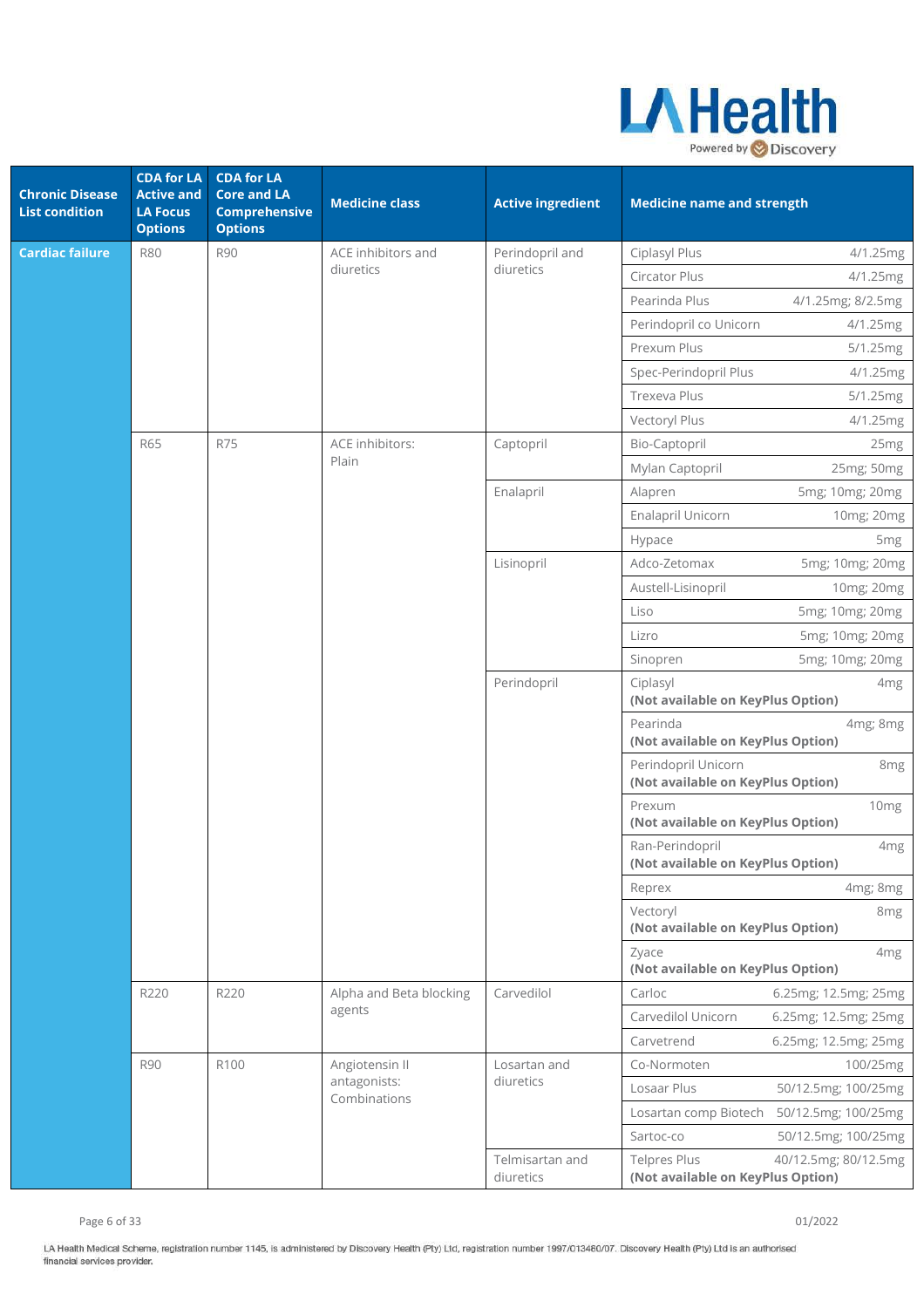

| <b>Chronic Disease</b><br><b>List condition</b> | <b>CDA for LA</b><br><b>Active and</b><br><b>LA Focus</b><br><b>Options</b> | <b>CDA for LA</b><br><b>Core and LA</b><br><b>Comprehensive</b><br><b>Options</b> | <b>Medicine class</b>        | <b>Active ingredient</b>     | <b>Medicine name and strength</b>                                                |
|-------------------------------------------------|-----------------------------------------------------------------------------|-----------------------------------------------------------------------------------|------------------------------|------------------------------|----------------------------------------------------------------------------------|
| <b>Cardiac failure</b>                          | <b>R80</b>                                                                  | <b>R90</b>                                                                        | ACE inhibitors and           | Perindopril and              | Ciplasyl Plus<br>4/1.25mg                                                        |
|                                                 |                                                                             |                                                                                   | diuretics                    | diuretics                    | Circator Plus<br>4/1.25mg                                                        |
|                                                 |                                                                             |                                                                                   |                              |                              | Pearinda Plus<br>4/1.25mg; 8/2.5mg                                               |
|                                                 |                                                                             |                                                                                   |                              |                              | Perindopril co Unicorn<br>4/1.25mg                                               |
|                                                 |                                                                             |                                                                                   |                              |                              | Prexum Plus<br>5/1.25mg                                                          |
|                                                 |                                                                             |                                                                                   |                              |                              | Spec-Perindopril Plus<br>4/1.25mg                                                |
|                                                 |                                                                             |                                                                                   |                              |                              | Trexeva Plus<br>5/1.25mg                                                         |
|                                                 |                                                                             |                                                                                   |                              |                              | Vectoryl Plus<br>4/1.25mg                                                        |
|                                                 | <b>R65</b>                                                                  | <b>R75</b>                                                                        | ACE inhibitors:              | Captopril                    | Bio-Captopril<br>25mg                                                            |
|                                                 |                                                                             |                                                                                   | Plain                        |                              | Mylan Captopril<br>25mg; 50mg                                                    |
|                                                 |                                                                             |                                                                                   |                              | Enalapril                    | 5mg; 10mg; 20mg<br>Alapren                                                       |
|                                                 |                                                                             |                                                                                   |                              |                              | Enalapril Unicorn<br>10mg; 20mg                                                  |
|                                                 |                                                                             |                                                                                   |                              |                              | Hypace<br>5 <sub>mg</sub>                                                        |
|                                                 |                                                                             |                                                                                   |                              | Lisinopril                   | Adco-Zetomax<br>5mg; 10mg; 20mg                                                  |
|                                                 |                                                                             |                                                                                   |                              |                              | Austell-Lisinopril<br>10mg; 20mg                                                 |
|                                                 |                                                                             |                                                                                   |                              |                              | 5mg; 10mg; 20mg<br>Liso                                                          |
|                                                 |                                                                             |                                                                                   |                              |                              | 5mg; 10mg; 20mg<br>Lizro                                                         |
|                                                 |                                                                             |                                                                                   |                              |                              | 5mg; 10mg; 20mg<br>Sinopren                                                      |
|                                                 |                                                                             |                                                                                   |                              | Perindopril                  | Ciplasyl<br>4 <sub>mg</sub><br>(Not available on KeyPlus Option)                 |
|                                                 |                                                                             |                                                                                   |                              |                              | Pearinda<br>4mg; 8mg<br>(Not available on KeyPlus Option)                        |
|                                                 |                                                                             |                                                                                   |                              |                              | Perindopril Unicorn<br>8mg<br>(Not available on KeyPlus Option)                  |
|                                                 |                                                                             |                                                                                   |                              |                              | Prexum<br>10 <sub>mg</sub><br>(Not available on KeyPlus Option)                  |
|                                                 |                                                                             |                                                                                   |                              |                              | Ran-Perindopril<br>4 <sub>mg</sub><br>(Not available on KeyPlus Option)          |
|                                                 |                                                                             |                                                                                   |                              |                              | Reprex<br>4mg; 8mg                                                               |
|                                                 |                                                                             |                                                                                   |                              |                              | Vectoryl<br>8 <sub>mg</sub><br>(Not available on KeyPlus Option)                 |
|                                                 |                                                                             |                                                                                   |                              |                              | Zyace<br>4 <sub>mg</sub><br>(Not available on KeyPlus Option)                    |
|                                                 | R220                                                                        | R220                                                                              | Alpha and Beta blocking      | Carvedilol                   | 6.25mg; 12.5mg; 25mg<br>Carloc                                                   |
|                                                 |                                                                             |                                                                                   | agents                       |                              | Carvedilol Unicorn<br>6.25mg; 12.5mg; 25mg                                       |
|                                                 |                                                                             |                                                                                   |                              |                              | Carvetrend<br>6.25mg; 12.5mg; 25mg                                               |
|                                                 | <b>R90</b>                                                                  | R100                                                                              | Angiotensin II               | Losartan and                 | Co-Normoten<br>100/25mg                                                          |
|                                                 |                                                                             |                                                                                   | antagonists:<br>Combinations | diuretics                    | Losaar Plus<br>50/12.5mg; 100/25mg                                               |
|                                                 |                                                                             |                                                                                   |                              |                              | Losartan comp Biotech<br>50/12.5mg; 100/25mg                                     |
|                                                 |                                                                             |                                                                                   |                              |                              | Sartoc-co<br>50/12.5mg; 100/25mg                                                 |
|                                                 |                                                                             |                                                                                   |                              | Telmisartan and<br>diuretics | <b>Telpres Plus</b><br>40/12.5mg; 80/12.5mg<br>(Not available on KeyPlus Option) |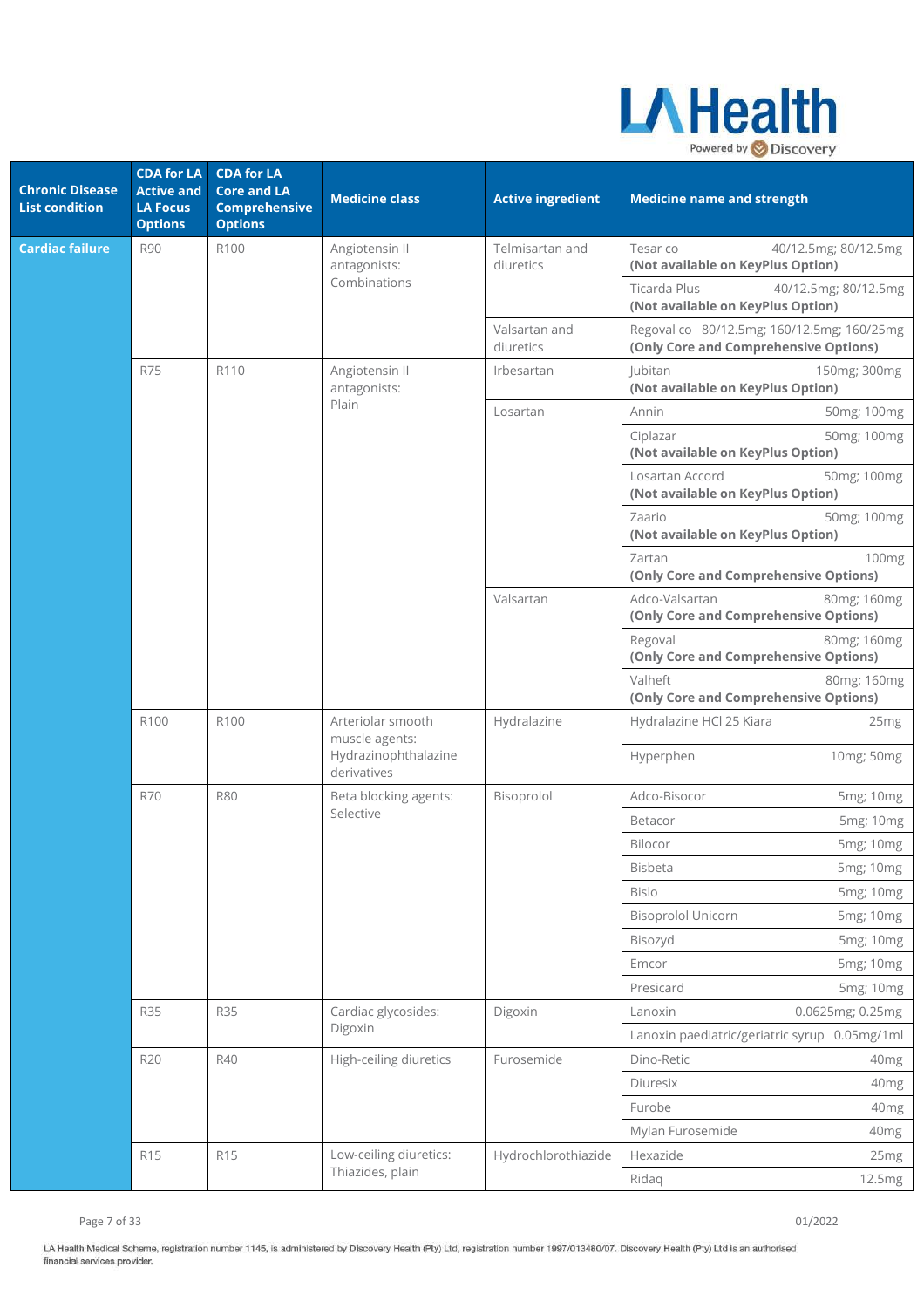

| <b>Chronic Disease</b><br><b>List condition</b> | <b>CDA for LA</b><br><b>Active and</b><br><b>LA Focus</b><br><b>Options</b> | <b>CDA for LA</b><br><b>Core and LA</b><br><b>Comprehensive</b><br><b>Options</b> | <b>Medicine class</b>                                                      | <b>Active ingredient</b>     | <b>Medicine name and strength</b>                                                   |  |
|-------------------------------------------------|-----------------------------------------------------------------------------|-----------------------------------------------------------------------------------|----------------------------------------------------------------------------|------------------------------|-------------------------------------------------------------------------------------|--|
| <b>Cardiac failure</b>                          | <b>R90</b>                                                                  | R100                                                                              | Angiotensin II<br>antagonists:                                             | Telmisartan and<br>diuretics | Tesar co<br>40/12.5mg; 80/12.5mg<br>(Not available on KeyPlus Option)               |  |
|                                                 |                                                                             |                                                                                   | Combinations                                                               |                              | Ticarda Plus<br>40/12.5mg; 80/12.5mg<br>(Not available on KeyPlus Option)           |  |
|                                                 |                                                                             |                                                                                   |                                                                            | Valsartan and<br>diuretics   | Regoval co 80/12.5mg; 160/12.5mg; 160/25mg<br>(Only Core and Comprehensive Options) |  |
|                                                 | <b>R75</b>                                                                  | R110                                                                              | Angiotensin II<br>antagonists:                                             | Irbesartan                   | Jubitan<br>150mg; 300mg<br>(Not available on KeyPlus Option)                        |  |
|                                                 |                                                                             |                                                                                   | Plain                                                                      | Losartan                     | Annin<br>50mg; 100mg                                                                |  |
|                                                 |                                                                             |                                                                                   |                                                                            |                              | 50mg; 100mg<br>Ciplazar<br>(Not available on KeyPlus Option)                        |  |
|                                                 |                                                                             |                                                                                   |                                                                            |                              | Losartan Accord<br>50mg; 100mg<br>(Not available on KeyPlus Option)                 |  |
|                                                 |                                                                             |                                                                                   |                                                                            |                              | 50mg; 100mg<br>Zaario<br>(Not available on KeyPlus Option)                          |  |
|                                                 |                                                                             |                                                                                   |                                                                            |                              | 100mg<br>Zartan<br>(Only Core and Comprehensive Options)                            |  |
|                                                 |                                                                             |                                                                                   |                                                                            | Valsartan                    | Adco-Valsartan<br>80mg; 160mg<br>(Only Core and Comprehensive Options)              |  |
|                                                 |                                                                             |                                                                                   |                                                                            |                              | Regoval<br>80mg; 160mg<br>(Only Core and Comprehensive Options)                     |  |
|                                                 |                                                                             |                                                                                   |                                                                            |                              | Valheft<br>80mg; 160mg<br>(Only Core and Comprehensive Options)                     |  |
|                                                 | R100                                                                        | R100                                                                              | Arteriolar smooth<br>muscle agents:<br>Hydrazinophthalazine<br>derivatives | Hydralazine                  | Hydralazine HCl 25 Kiara<br>25 <sub>mg</sub>                                        |  |
|                                                 |                                                                             |                                                                                   |                                                                            |                              | Hyperphen<br>10mg; 50mg                                                             |  |
|                                                 | <b>R70</b>                                                                  | <b>R80</b>                                                                        | Beta blocking agents:                                                      | Bisoprolol                   | Adco-Bisocor<br>5mg; 10mg                                                           |  |
|                                                 |                                                                             |                                                                                   | Selective                                                                  |                              | Betacor<br>5mg; 10mg                                                                |  |
|                                                 |                                                                             |                                                                                   |                                                                            |                              | Bilocor<br>5mg; 10mg                                                                |  |
|                                                 |                                                                             |                                                                                   |                                                                            |                              | 5mg; 10mg<br><b>Bisbeta</b>                                                         |  |
|                                                 |                                                                             |                                                                                   |                                                                            |                              | <b>Bislo</b><br>5mg; 10mg                                                           |  |
|                                                 |                                                                             |                                                                                   |                                                                            |                              | <b>Bisoprolol Unicorn</b><br>5mg; 10mg                                              |  |
|                                                 |                                                                             |                                                                                   |                                                                            |                              | Bisozyd<br>5mg; 10mg                                                                |  |
|                                                 |                                                                             |                                                                                   |                                                                            |                              | Emcor<br>5mg; 10mg                                                                  |  |
|                                                 |                                                                             |                                                                                   |                                                                            |                              | Presicard<br>5mg; 10mg                                                              |  |
|                                                 | <b>R35</b>                                                                  | <b>R35</b>                                                                        | Cardiac glycosides:<br>Digoxin                                             | Digoxin                      | 0.0625mg; 0.25mg<br>Lanoxin                                                         |  |
|                                                 |                                                                             |                                                                                   |                                                                            |                              | Lanoxin paediatric/geriatric syrup 0.05mg/1ml                                       |  |
|                                                 | <b>R20</b>                                                                  | R40                                                                               | High-ceiling diuretics                                                     | Furosemide                   | Dino-Retic<br>40mg                                                                  |  |
|                                                 |                                                                             |                                                                                   |                                                                            |                              | Diuresix<br>40mg                                                                    |  |
|                                                 |                                                                             |                                                                                   |                                                                            |                              | Furobe<br>40 <sub>mg</sub>                                                          |  |
|                                                 |                                                                             |                                                                                   |                                                                            |                              | Mylan Furosemide<br>40mg                                                            |  |
|                                                 | R <sub>15</sub>                                                             | R <sub>15</sub>                                                                   | Low-ceiling diuretics:<br>Thiazides, plain                                 | Hydrochlorothiazide          | Hexazide<br>25mg                                                                    |  |
|                                                 |                                                                             |                                                                                   |                                                                            |                              | Ridaq<br>12.5mg                                                                     |  |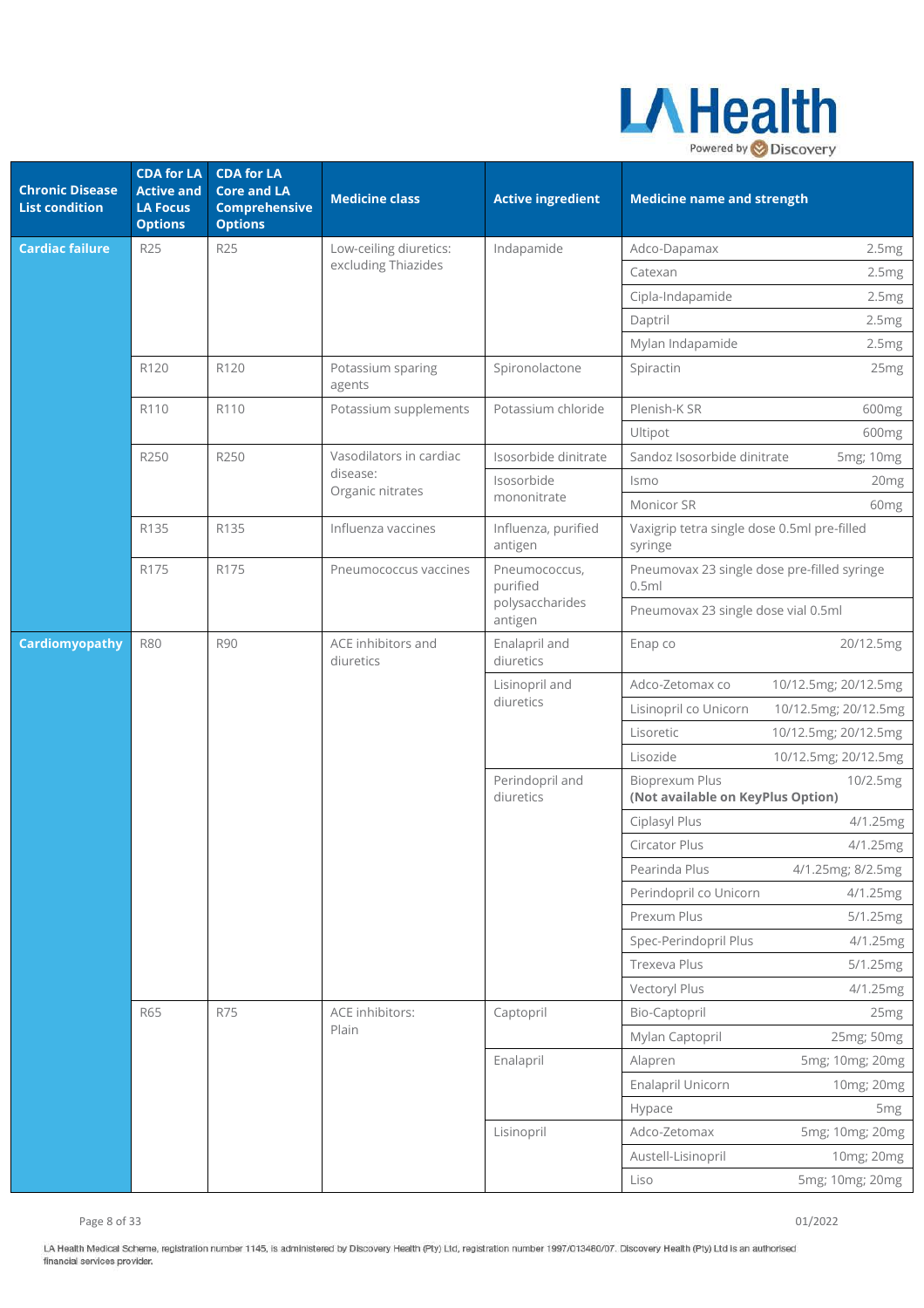

| <b>Chronic Disease</b><br><b>List condition</b> | <b>CDA for LA</b><br><b>Active and</b><br><b>LA Focus</b><br><b>Options</b> | <b>CDA for LA</b><br><b>Core and LA</b><br><b>Comprehensive</b><br><b>Options</b> | <b>Medicine class</b>           | <b>Active ingredient</b>       | <b>Medicine name and strength</b>                      |                      |
|-------------------------------------------------|-----------------------------------------------------------------------------|-----------------------------------------------------------------------------------|---------------------------------|--------------------------------|--------------------------------------------------------|----------------------|
| Cardiac failure                                 | <b>R25</b>                                                                  | R25                                                                               | Low-ceiling diuretics:          | Indapamide                     | Adco-Dapamax                                           | 2.5mg                |
|                                                 |                                                                             |                                                                                   | excluding Thiazides             |                                | Catexan                                                | 2.5mg                |
|                                                 |                                                                             |                                                                                   |                                 |                                | Cipla-Indapamide                                       | 2.5mg                |
|                                                 |                                                                             |                                                                                   |                                 |                                | Daptril                                                | 2.5mg                |
|                                                 |                                                                             |                                                                                   |                                 |                                | Mylan Indapamide                                       | 2.5mg                |
|                                                 | R120                                                                        | R120                                                                              | Potassium sparing<br>agents     | Spironolactone                 | Spiractin                                              | 25 <sub>mg</sub>     |
|                                                 | R110                                                                        | R110                                                                              | Potassium supplements           | Potassium chloride             | Plenish-K SR                                           | 600mg                |
|                                                 |                                                                             |                                                                                   |                                 |                                | Ultipot                                                | 600mg                |
|                                                 | R250                                                                        | R250                                                                              | Vasodilators in cardiac         | Isosorbide dinitrate           | Sandoz Isosorbide dinitrate                            | 5mg; 10mg            |
|                                                 |                                                                             |                                                                                   | disease:<br>Organic nitrates    | Isosorbide                     | Ismo                                                   | 20mg                 |
|                                                 |                                                                             |                                                                                   |                                 | mononitrate                    | Monicor SR                                             | 60 <sub>mg</sub>     |
|                                                 | R135                                                                        | R135                                                                              | Influenza vaccines              | Influenza, purified<br>antigen | Vaxigrip tetra single dose 0.5ml pre-filled<br>syringe |                      |
|                                                 | R175                                                                        | R175                                                                              | Pneumococcus vaccines           | Pneumococcus,<br>purified      | Pneumovax 23 single dose pre-filled syringe<br>0.5ml   |                      |
|                                                 |                                                                             |                                                                                   |                                 | polysaccharides<br>antigen     | Pneumovax 23 single dose vial 0.5ml                    |                      |
| Cardiomyopathy                                  | <b>R80</b>                                                                  | <b>R90</b>                                                                        | ACE inhibitors and<br>diuretics | Enalapril and<br>diuretics     | Enap co                                                | 20/12.5mg            |
|                                                 |                                                                             |                                                                                   |                                 | Lisinopril and<br>diuretics    | Adco-Zetomax co                                        | 10/12.5mg; 20/12.5mg |
|                                                 |                                                                             |                                                                                   |                                 |                                | Lisinopril co Unicorn                                  | 10/12.5mg; 20/12.5mg |
|                                                 |                                                                             |                                                                                   |                                 |                                | Lisoretic                                              | 10/12.5mg; 20/12.5mg |
|                                                 |                                                                             |                                                                                   |                                 |                                | Lisozide                                               | 10/12.5mg; 20/12.5mg |
|                                                 |                                                                             |                                                                                   |                                 | Perindopril and<br>diuretics   | Bioprexum Plus<br>(Not available on KeyPlus Option)    | 10/2.5mg             |
|                                                 |                                                                             |                                                                                   |                                 |                                | Ciplasyl Plus                                          | 4/1.25mg             |
|                                                 |                                                                             |                                                                                   |                                 |                                | Circator Plus                                          | 4/1.25mg             |
|                                                 |                                                                             |                                                                                   |                                 |                                | Pearinda Plus                                          | 4/1.25mg; 8/2.5mg    |
|                                                 |                                                                             |                                                                                   |                                 |                                | Perindopril co Unicorn                                 | 4/1.25mg             |
|                                                 |                                                                             |                                                                                   |                                 |                                | Prexum Plus                                            | 5/1.25mg             |
|                                                 |                                                                             |                                                                                   |                                 |                                | Spec-Perindopril Plus                                  | 4/1.25mg             |
|                                                 |                                                                             |                                                                                   |                                 |                                | Trexeva Plus                                           | 5/1.25mg             |
|                                                 |                                                                             |                                                                                   |                                 |                                | Vectoryl Plus                                          | 4/1.25mg             |
|                                                 | <b>R65</b>                                                                  | R75                                                                               | ACE inhibitors:<br>Plain        | Captopril                      | Bio-Captopril                                          | 25mg                 |
|                                                 |                                                                             |                                                                                   |                                 |                                | Mylan Captopril                                        | 25mg; 50mg           |
|                                                 |                                                                             |                                                                                   |                                 | Enalapril                      | Alapren                                                | 5mg; 10mg; 20mg      |
|                                                 |                                                                             |                                                                                   |                                 |                                | Enalapril Unicorn                                      | 10mg; 20mg           |
|                                                 |                                                                             |                                                                                   |                                 |                                | Hypace                                                 | 5 <sub>mg</sub>      |
|                                                 |                                                                             |                                                                                   |                                 | Lisinopril                     | Adco-Zetomax                                           | 5mg; 10mg; 20mg      |
|                                                 |                                                                             |                                                                                   |                                 |                                | Austell-Lisinopril                                     | 10mg; 20mg           |
|                                                 |                                                                             |                                                                                   |                                 |                                | Liso                                                   | 5mg; 10mg; 20mg      |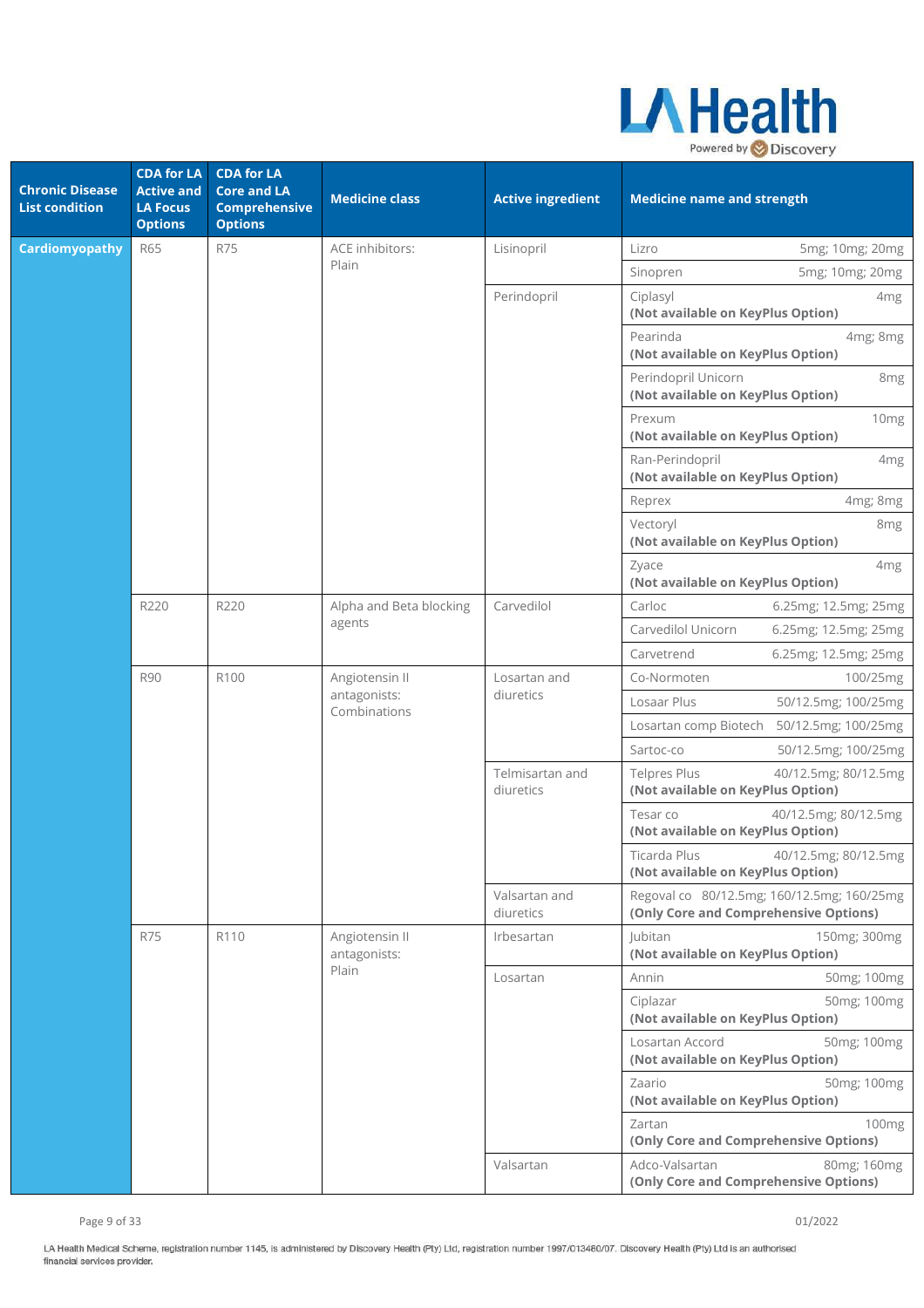

| <b>Chronic Disease</b><br><b>List condition</b> | <b>CDA</b> for LA<br><b>Active and</b><br><b>LA Focus</b><br><b>Options</b> | <b>CDA for LA</b><br><b>Core and LA</b><br><b>Comprehensive</b><br><b>Options</b> | <b>Medicine class</b>                          | <b>Active ingredient</b>       | <b>Medicine name and strength</b>                                                   |
|-------------------------------------------------|-----------------------------------------------------------------------------|-----------------------------------------------------------------------------------|------------------------------------------------|--------------------------------|-------------------------------------------------------------------------------------|
| <b>Cardiomyopathy</b>                           | <b>R65</b>                                                                  | <b>R75</b>                                                                        | ACE inhibitors:                                | Lisinopril                     | Lizro<br>5mg; 10mg; 20mg                                                            |
|                                                 |                                                                             |                                                                                   | Plain                                          |                                | 5mg; 10mg; 20mg<br>Sinopren                                                         |
|                                                 |                                                                             |                                                                                   |                                                | Perindopril                    | Ciplasyl<br>4 <sub>mg</sub><br>(Not available on KeyPlus Option)                    |
|                                                 |                                                                             |                                                                                   |                                                |                                | Pearinda<br>4mg; 8mg<br>(Not available on KeyPlus Option)                           |
|                                                 |                                                                             |                                                                                   |                                                |                                | Perindopril Unicorn<br>8 <sub>mg</sub><br>(Not available on KeyPlus Option)         |
|                                                 |                                                                             |                                                                                   |                                                |                                | Prexum<br>10mg<br>(Not available on KeyPlus Option)                                 |
|                                                 |                                                                             |                                                                                   |                                                |                                | Ran-Perindopril<br>4 <sub>mg</sub><br>(Not available on KeyPlus Option)             |
|                                                 |                                                                             |                                                                                   |                                                |                                | 4mg; 8mg<br>Reprex                                                                  |
|                                                 |                                                                             |                                                                                   |                                                |                                | Vectoryl<br>8 <sub>mg</sub><br>(Not available on KeyPlus Option)                    |
|                                                 |                                                                             |                                                                                   |                                                |                                | Zyace<br>4 <sub>mg</sub><br>(Not available on KeyPlus Option)                       |
| R220<br><b>R90</b>                              | R220                                                                        | Alpha and Beta blocking                                                           | Carvedilol                                     | Carloc<br>6.25mg; 12.5mg; 25mg |                                                                                     |
|                                                 |                                                                             |                                                                                   | agents                                         |                                | Carvedilol Unicorn<br>6.25mg; 12.5mg; 25mg                                          |
|                                                 |                                                                             |                                                                                   |                                                |                                | Carvetrend<br>6.25mg; 12.5mg; 25mg                                                  |
|                                                 |                                                                             | R100                                                                              | Angiotensin II<br>antagonists:<br>Combinations | Losartan and<br>diuretics      | Co-Normoten<br>100/25mg                                                             |
|                                                 |                                                                             |                                                                                   |                                                |                                | Losaar Plus<br>50/12.5mg; 100/25mg                                                  |
|                                                 |                                                                             |                                                                                   |                                                |                                | Losartan comp Biotech<br>50/12.5mg; 100/25mg                                        |
|                                                 |                                                                             |                                                                                   |                                                |                                | Sartoc-co<br>50/12.5mg; 100/25mg                                                    |
|                                                 |                                                                             |                                                                                   |                                                | Telmisartan and<br>diuretics   | <b>Telpres Plus</b><br>40/12.5mg; 80/12.5mg<br>(Not available on KeyPlus Option)    |
|                                                 |                                                                             |                                                                                   |                                                |                                | 40/12.5mg; 80/12.5mg<br>Tesar co<br>(Not available on KeyPlus Option)               |
|                                                 |                                                                             |                                                                                   |                                                |                                | Ticarda Plus<br>40/12.5mg; 80/12.5mg<br>(Not available on KeyPlus Option)           |
|                                                 |                                                                             |                                                                                   |                                                | Valsartan and<br>diuretics     | Regoval co 80/12.5mg; 160/12.5mg; 160/25mg<br>(Only Core and Comprehensive Options) |
|                                                 | <b>R75</b>                                                                  | R110                                                                              | Angiotensin II<br>antagonists:                 | Irbesartan                     | Jubitan<br>150mg; 300mg<br>(Not available on KeyPlus Option)                        |
|                                                 |                                                                             |                                                                                   | Plain                                          | Losartan                       | Annin<br>50mg; 100mg                                                                |
|                                                 |                                                                             |                                                                                   |                                                |                                | Ciplazar<br>50mg; 100mg<br>(Not available on KeyPlus Option)                        |
|                                                 |                                                                             |                                                                                   |                                                |                                | Losartan Accord<br>50mg; 100mg<br>(Not available on KeyPlus Option)                 |
|                                                 |                                                                             |                                                                                   |                                                |                                | Zaario<br>50mg; 100mg<br>(Not available on KeyPlus Option)                          |
|                                                 |                                                                             |                                                                                   |                                                |                                | 100 <sub>mg</sub><br>Zartan<br>(Only Core and Comprehensive Options)                |
|                                                 |                                                                             |                                                                                   |                                                | Valsartan                      | Adco-Valsartan<br>80mg; 160mg<br>(Only Core and Comprehensive Options)              |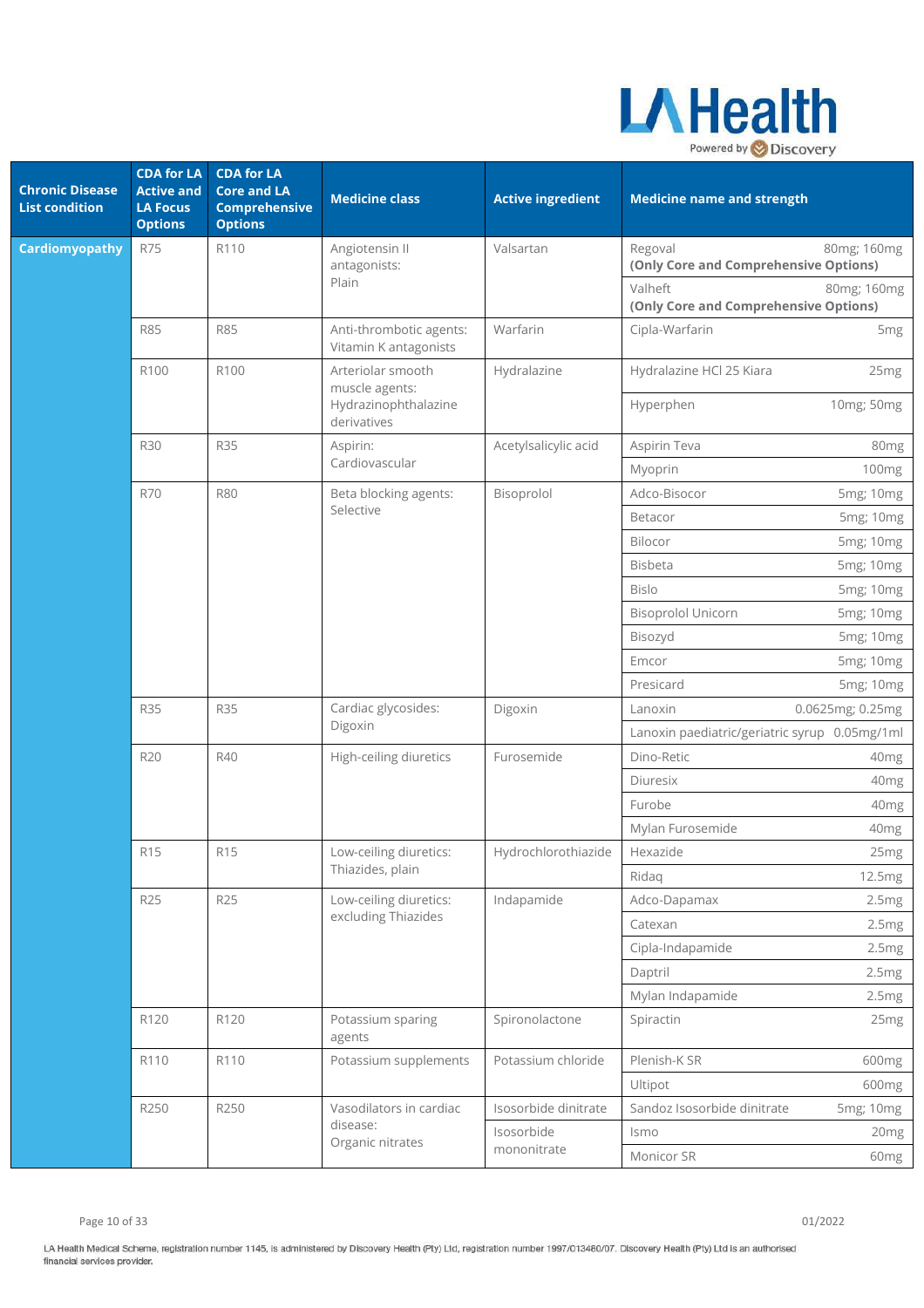

| <b>Chronic Disease</b><br><b>List condition</b> | <b>CDA</b> for LA<br><b>Active and</b><br><b>LA Focus</b><br><b>Options</b> | <b>CDA</b> for LA<br><b>Core and LA</b><br><b>Comprehensive</b><br><b>Options</b> | <b>Medicine class</b>                            | <b>Active ingredient</b> | <b>Medicine name and strength</b>                               |
|-------------------------------------------------|-----------------------------------------------------------------------------|-----------------------------------------------------------------------------------|--------------------------------------------------|--------------------------|-----------------------------------------------------------------|
| <b>Cardiomyopathy</b>                           | <b>R75</b>                                                                  | R110                                                                              | Angiotensin II<br>antagonists:                   | Valsartan                | Regoval<br>80mg; 160mg<br>(Only Core and Comprehensive Options) |
|                                                 |                                                                             |                                                                                   | Plain                                            |                          | Valheft<br>80mg; 160mg<br>(Only Core and Comprehensive Options) |
|                                                 | <b>R85</b>                                                                  | <b>R85</b>                                                                        | Anti-thrombotic agents:<br>Vitamin K antagonists | Warfarin                 | Cipla-Warfarin<br>5 <sub>mg</sub>                               |
|                                                 | R100                                                                        | R100                                                                              | Arteriolar smooth<br>muscle agents:              | Hydralazine              | Hydralazine HCl 25 Kiara<br>25 <sub>mg</sub>                    |
|                                                 |                                                                             |                                                                                   | Hydrazinophthalazine<br>derivatives              |                          | Hyperphen<br>10mg; 50mg                                         |
|                                                 | <b>R30</b>                                                                  | <b>R35</b>                                                                        | Aspirin:                                         | Acetylsalicylic acid     | Aspirin Teva<br>80mg                                            |
|                                                 |                                                                             |                                                                                   | Cardiovascular                                   |                          | Myoprin<br>100 <sub>mg</sub>                                    |
|                                                 | <b>R70</b>                                                                  | <b>R80</b>                                                                        | Beta blocking agents:                            | Bisoprolol               | Adco-Bisocor<br>5mg; 10mg                                       |
|                                                 |                                                                             |                                                                                   | Selective                                        |                          | Betacor<br>5mg; 10mg                                            |
|                                                 |                                                                             |                                                                                   |                                                  |                          | Bilocor<br>5mg; 10mg                                            |
|                                                 |                                                                             |                                                                                   |                                                  |                          | <b>Bisbeta</b><br>5mg; 10mg                                     |
|                                                 |                                                                             |                                                                                   |                                                  |                          | <b>Bislo</b><br>5mg; 10mg                                       |
|                                                 |                                                                             |                                                                                   |                                                  |                          | <b>Bisoprolol Unicorn</b><br>5mg; 10mg                          |
|                                                 |                                                                             |                                                                                   |                                                  |                          | Bisozyd<br>5mg; 10mg                                            |
|                                                 |                                                                             |                                                                                   |                                                  |                          | Emcor<br>5mg; 10mg                                              |
|                                                 |                                                                             |                                                                                   |                                                  |                          | Presicard<br>5mg; 10mg                                          |
|                                                 | <b>R35</b>                                                                  | <b>R35</b>                                                                        | Cardiac glycosides:<br>Digoxin                   | Digoxin                  | Lanoxin<br>0.0625mg; 0.25mg                                     |
|                                                 |                                                                             |                                                                                   |                                                  |                          | Lanoxin paediatric/geriatric syrup 0.05mg/1ml                   |
|                                                 | <b>R20</b>                                                                  | R40                                                                               | High-ceiling diuretics                           | Furosemide               | Dino-Retic<br>40 <sub>mg</sub>                                  |
|                                                 |                                                                             |                                                                                   |                                                  |                          | Diuresix<br>40 <sub>mg</sub>                                    |
|                                                 |                                                                             |                                                                                   |                                                  |                          | Furobe<br>40mg                                                  |
|                                                 |                                                                             |                                                                                   |                                                  |                          | Mylan Furosemide<br>40 <sub>mg</sub>                            |
|                                                 | R15                                                                         | R <sub>15</sub>                                                                   | Low-ceiling diuretics:                           | Hydrochlorothiazide      | Hexazide<br>25 <sub>mg</sub>                                    |
|                                                 |                                                                             |                                                                                   | Thiazides, plain                                 |                          | Ridaq<br>12.5mg                                                 |
|                                                 | <b>R25</b>                                                                  | <b>R25</b>                                                                        | Low-ceiling diuretics:                           | Indapamide               | Adco-Dapamax<br>2.5mg                                           |
|                                                 |                                                                             |                                                                                   | excluding Thiazides                              |                          | Catexan<br>2.5mg                                                |
|                                                 |                                                                             |                                                                                   |                                                  |                          | Cipla-Indapamide<br>2.5mg                                       |
|                                                 |                                                                             |                                                                                   |                                                  |                          | Daptril<br>2.5mg                                                |
|                                                 |                                                                             |                                                                                   |                                                  |                          | Mylan Indapamide<br>2.5mg                                       |
|                                                 | R120                                                                        | R120                                                                              | Potassium sparing<br>agents                      | Spironolactone           | Spiractin<br>25 <sub>mg</sub>                                   |
|                                                 | R110                                                                        | R110                                                                              | Potassium supplements                            | Potassium chloride       | Plenish-K SR<br>600mg                                           |
|                                                 |                                                                             |                                                                                   |                                                  |                          | Ultipot<br>600mg                                                |
|                                                 | R250                                                                        | R250                                                                              | Vasodilators in cardiac                          | Isosorbide dinitrate     | Sandoz Isosorbide dinitrate<br>5mg; 10mg                        |
|                                                 |                                                                             |                                                                                   | disease:                                         | Isosorbide               | Ismo<br>20 <sub>mg</sub>                                        |
|                                                 |                                                                             |                                                                                   | Organic nitrates                                 | mononitrate              | Monicor SR<br>60mg                                              |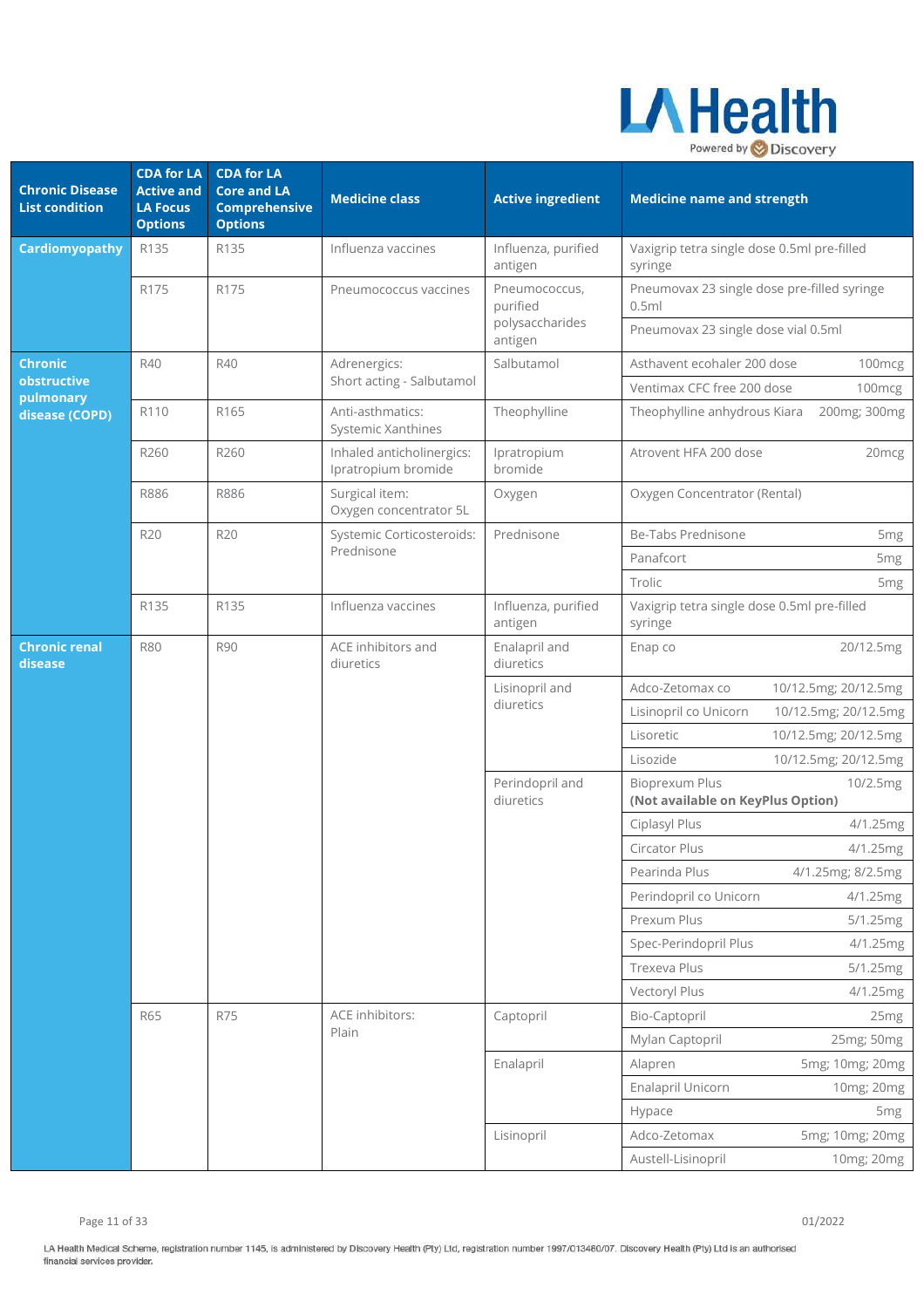

| <b>Chronic Disease</b><br><b>List condition</b> | <b>CDA for LA</b><br><b>Active and</b><br><b>LA Focus</b><br><b>Options</b> | <b>CDA for LA</b><br><b>Core and LA</b><br><b>Comprehensive</b><br><b>Options</b> | <b>Medicine class</b>                            | <b>Active ingredient</b>       | <b>Medicine name and strength</b>                          |                      |
|-------------------------------------------------|-----------------------------------------------------------------------------|-----------------------------------------------------------------------------------|--------------------------------------------------|--------------------------------|------------------------------------------------------------|----------------------|
| <b>Cardiomyopathy</b>                           | R135                                                                        | R135                                                                              | Influenza vaccines                               | Influenza, purified<br>antigen | Vaxigrip tetra single dose 0.5ml pre-filled<br>syringe     |                      |
|                                                 | R175                                                                        | R175                                                                              | Pneumococcus vaccines                            | Pneumococcus,<br>purified      | Pneumovax 23 single dose pre-filled syringe<br>0.5ml       |                      |
|                                                 |                                                                             |                                                                                   |                                                  | polysaccharides<br>antigen     | Pneumovax 23 single dose vial 0.5ml                        |                      |
| <b>Chronic</b>                                  | R40                                                                         | R40                                                                               | Adrenergics:                                     | Salbutamol                     | Asthavent ecohaler 200 dose                                | 100mcg               |
| obstructive<br>pulmonary                        |                                                                             |                                                                                   | Short acting - Salbutamol                        |                                | Ventimax CFC free 200 dose                                 | 100mcg               |
| disease (COPD)                                  | R110                                                                        | R165                                                                              | Anti-asthmatics:<br><b>Systemic Xanthines</b>    | Theophylline                   | Theophylline anhydrous Kiara                               | 200mg; 300mg         |
|                                                 | R260                                                                        | R260                                                                              | Inhaled anticholinergics:<br>Ipratropium bromide | Ipratropium<br>bromide         | Atrovent HFA 200 dose<br>20 <sub>mcg</sub>                 |                      |
|                                                 | <b>R886</b>                                                                 | R886                                                                              | Surgical item:<br>Oxygen concentrator 5L         | Oxygen                         | Oxygen Concentrator (Rental)                               |                      |
|                                                 | R20                                                                         | R20                                                                               | Systemic Corticosteroids:                        | Prednisone                     | Be-Tabs Prednisone                                         | 5 <sub>mg</sub>      |
|                                                 |                                                                             |                                                                                   | Prednisone                                       |                                | Panafcort                                                  | 5 <sub>mg</sub>      |
|                                                 |                                                                             |                                                                                   |                                                  |                                | Trolic                                                     | 5 <sub>mg</sub>      |
|                                                 | R135                                                                        | R135                                                                              | Influenza vaccines                               | Influenza, purified<br>antigen | Vaxigrip tetra single dose 0.5ml pre-filled<br>syringe     |                      |
| <b>Chronic renal</b><br>disease                 | <b>R80</b>                                                                  | <b>R90</b>                                                                        | ACE inhibitors and<br>diuretics                  | Enalapril and<br>diuretics     | Enap co                                                    | 20/12.5mg            |
|                                                 |                                                                             |                                                                                   |                                                  | Lisinopril and                 | Adco-Zetomax co                                            | 10/12.5mg; 20/12.5mg |
|                                                 |                                                                             |                                                                                   |                                                  | diuretics                      | Lisinopril co Unicorn                                      | 10/12.5mg; 20/12.5mg |
|                                                 |                                                                             |                                                                                   |                                                  |                                | Lisoretic                                                  | 10/12.5mg; 20/12.5mg |
|                                                 |                                                                             |                                                                                   |                                                  |                                | Lisozide                                                   | 10/12.5mg; 20/12.5mg |
|                                                 |                                                                             |                                                                                   |                                                  | Perindopril and<br>diuretics   | <b>Bioprexum Plus</b><br>(Not available on KeyPlus Option) | 10/2.5mg             |
|                                                 |                                                                             |                                                                                   |                                                  |                                | Ciplasyl Plus                                              | 4/1.25mg             |
|                                                 |                                                                             |                                                                                   |                                                  |                                | Circator Plus                                              | 4/1.25mg             |
|                                                 |                                                                             |                                                                                   |                                                  |                                | Pearinda Plus                                              | 4/1.25mg; 8/2.5mg    |
|                                                 |                                                                             |                                                                                   |                                                  |                                | Perindopril co Unicorn                                     | 4/1.25mg             |
|                                                 |                                                                             |                                                                                   |                                                  |                                | Prexum Plus                                                | 5/1.25mg             |
|                                                 |                                                                             |                                                                                   |                                                  |                                | Spec-Perindopril Plus                                      | 4/1.25mg             |
|                                                 |                                                                             |                                                                                   |                                                  |                                | Trexeva Plus                                               | 5/1.25mg             |
|                                                 |                                                                             |                                                                                   |                                                  |                                | Vectoryl Plus                                              | 4/1.25mg             |
|                                                 | <b>R65</b>                                                                  | <b>R75</b>                                                                        | ACE inhibitors:<br>Plain                         | Captopril                      | Bio-Captopril                                              | 25 <sub>mg</sub>     |
|                                                 |                                                                             |                                                                                   |                                                  |                                | Mylan Captopril                                            | 25mg; 50mg           |
|                                                 |                                                                             |                                                                                   |                                                  | Enalapril                      | Alapren                                                    | 5mg; 10mg; 20mg      |
|                                                 |                                                                             |                                                                                   |                                                  |                                | Enalapril Unicorn                                          | 10mg; 20mg           |
|                                                 |                                                                             |                                                                                   |                                                  |                                | Hypace                                                     | 5 <sub>mg</sub>      |
|                                                 |                                                                             |                                                                                   |                                                  | Lisinopril                     | Adco-Zetomax                                               | 5mg; 10mg; 20mg      |
|                                                 |                                                                             |                                                                                   |                                                  |                                | Austell-Lisinopril                                         | 10mg; 20mg           |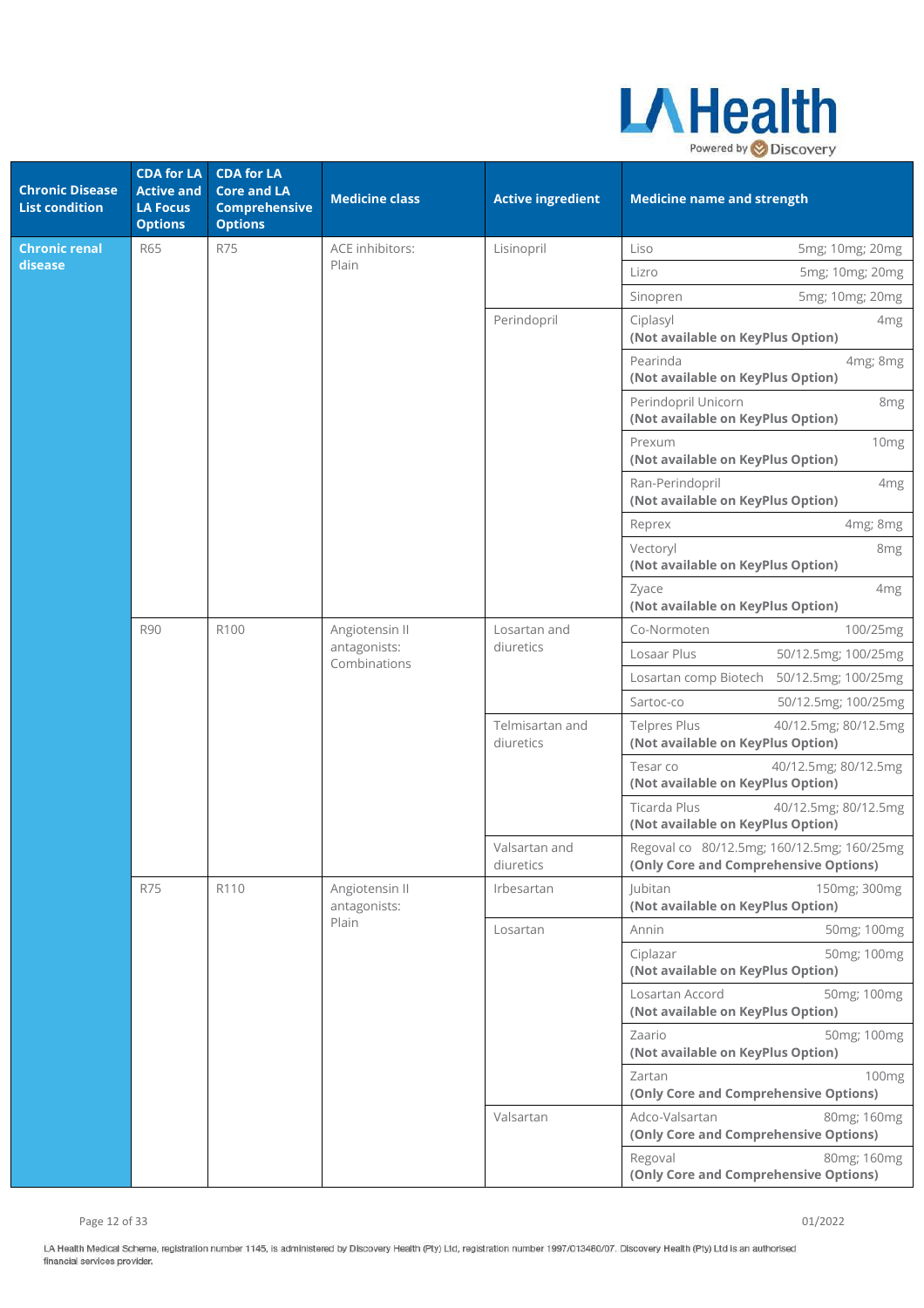

| <b>Chronic Disease</b><br><b>List condition</b> | <b>CDA</b> for LA<br><b>Active and</b><br><b>LA Focus</b><br><b>Options</b> | <b>CDA for LA</b><br><b>Core and LA</b><br><b>Comprehensive</b><br><b>Options</b> | <b>Medicine class</b>          | <b>Active ingredient</b>     | <b>Medicine name and strength</b>                                                   |
|-------------------------------------------------|-----------------------------------------------------------------------------|-----------------------------------------------------------------------------------|--------------------------------|------------------------------|-------------------------------------------------------------------------------------|
| <b>Chronic renal</b>                            | <b>R65</b>                                                                  | <b>R75</b>                                                                        | ACE inhibitors:                | Lisinopril                   | Liso<br>5mg; 10mg; 20mg                                                             |
| disease                                         |                                                                             |                                                                                   | Plain                          |                              | Lizro<br>5mg; 10mg; 20mg                                                            |
|                                                 |                                                                             |                                                                                   |                                |                              | Sinopren<br>5mg; 10mg; 20mg                                                         |
|                                                 |                                                                             |                                                                                   |                                | Perindopril                  | Ciplasyl<br>4 <sub>mg</sub><br>(Not available on KeyPlus Option)                    |
|                                                 |                                                                             |                                                                                   |                                |                              | Pearinda<br>4mg; 8mg<br>(Not available on KeyPlus Option)                           |
|                                                 |                                                                             |                                                                                   |                                |                              | Perindopril Unicorn<br>8 <sub>mg</sub><br>(Not available on KeyPlus Option)         |
|                                                 |                                                                             |                                                                                   |                                |                              | Prexum<br>10 <sub>mg</sub><br>(Not available on KeyPlus Option)                     |
|                                                 |                                                                             |                                                                                   |                                |                              | Ran-Perindopril<br>4 <sub>mg</sub><br>(Not available on KeyPlus Option)             |
|                                                 |                                                                             |                                                                                   |                                |                              | Reprex<br>4mg; 8mg                                                                  |
| <b>R90</b>                                      |                                                                             |                                                                                   |                                |                              | Vectoryl<br>8 <sub>mg</sub><br>(Not available on KeyPlus Option)                    |
|                                                 |                                                                             |                                                                                   |                                |                              | 4 <sub>mg</sub><br>Zyace<br>(Not available on KeyPlus Option)                       |
|                                                 |                                                                             | R100                                                                              | Angiotensin II                 | Losartan and                 | Co-Normoten<br>100/25mg                                                             |
|                                                 |                                                                             |                                                                                   | antagonists:<br>Combinations   | diuretics                    | Losaar Plus<br>50/12.5mg; 100/25mg                                                  |
|                                                 |                                                                             |                                                                                   |                                |                              | Losartan comp Biotech<br>50/12.5mg; 100/25mg                                        |
|                                                 |                                                                             |                                                                                   |                                |                              | Sartoc-co<br>50/12.5mg; 100/25mg                                                    |
|                                                 |                                                                             |                                                                                   |                                | Telmisartan and<br>diuretics | <b>Telpres Plus</b><br>40/12.5mg; 80/12.5mg<br>(Not available on KeyPlus Option)    |
|                                                 |                                                                             |                                                                                   |                                |                              | Tesar co<br>40/12.5mg; 80/12.5mg<br>(Not available on KeyPlus Option)               |
|                                                 |                                                                             |                                                                                   |                                |                              | Ticarda Plus<br>40/12.5mg; 80/12.5mg<br>(Not available on KeyPlus Option)           |
|                                                 |                                                                             |                                                                                   |                                | Valsartan and<br>diuretics   | Regoval co 80/12.5mg; 160/12.5mg; 160/25mg<br>(Only Core and Comprehensive Options) |
|                                                 | <b>R75</b>                                                                  | R110                                                                              | Angiotensin II<br>antagonists: | Irbesartan                   | <b>Jubitan</b><br>150mg; 300mg<br>(Not available on KeyPlus Option)                 |
|                                                 |                                                                             |                                                                                   | Plain                          | Losartan                     | Annin<br>50mg; 100mg                                                                |
|                                                 |                                                                             |                                                                                   |                                |                              | 50mg; 100mg<br>Ciplazar<br>(Not available on KeyPlus Option)                        |
|                                                 |                                                                             |                                                                                   |                                |                              | Losartan Accord<br>50mg; 100mg<br>(Not available on KeyPlus Option)                 |
|                                                 |                                                                             |                                                                                   |                                |                              | Zaario<br>50mg; 100mg<br>(Not available on KeyPlus Option)                          |
|                                                 |                                                                             |                                                                                   |                                |                              | Zartan<br>100mg<br>(Only Core and Comprehensive Options)                            |
|                                                 |                                                                             |                                                                                   |                                | Valsartan                    | Adco-Valsartan<br>80mg; 160mg<br>(Only Core and Comprehensive Options)              |
|                                                 |                                                                             |                                                                                   |                                |                              | Regoval<br>80mg; 160mg<br>(Only Core and Comprehensive Options)                     |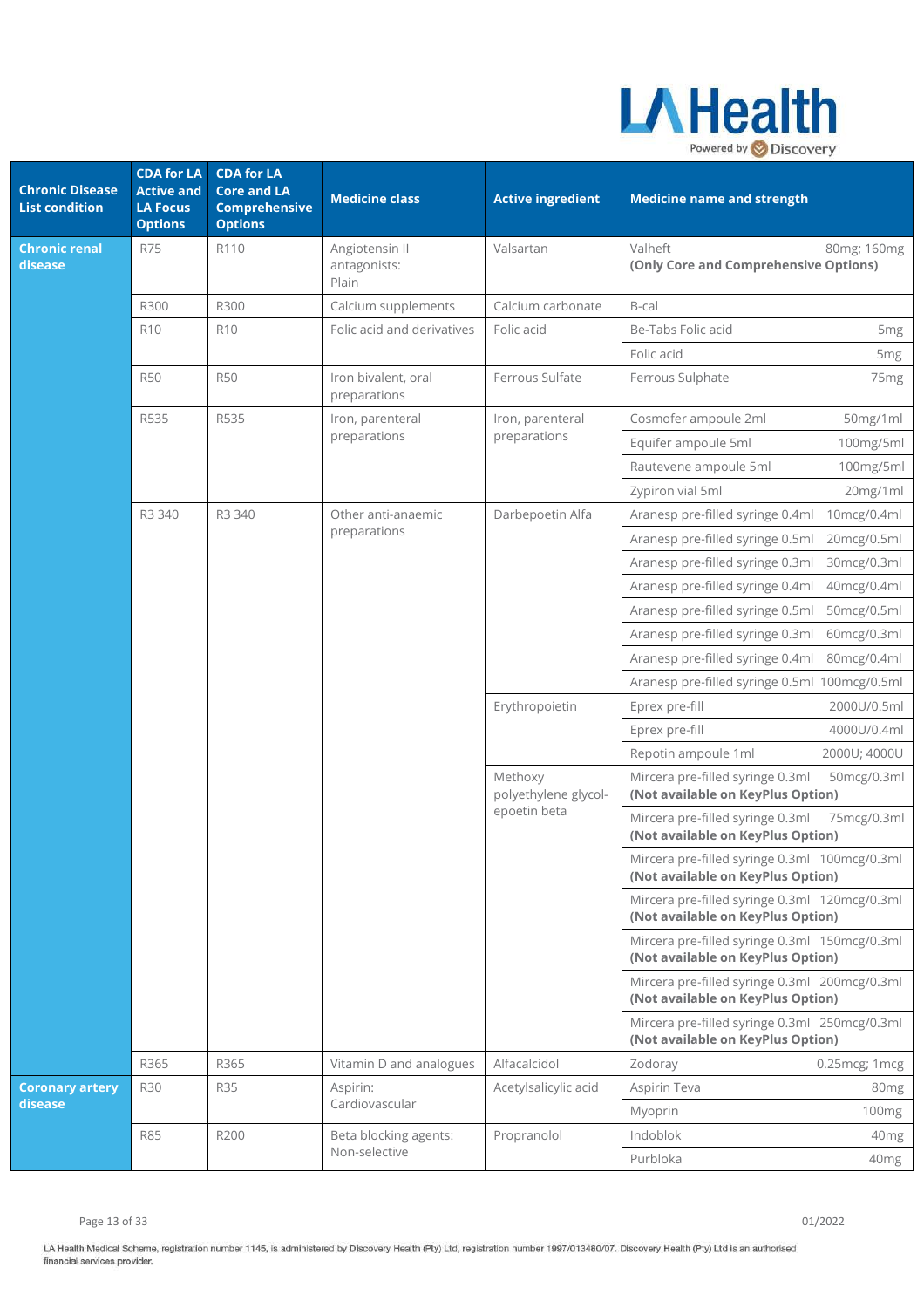

| <b>Chronic Disease</b><br><b>List condition</b> | <b>CDA for LA</b><br><b>Active and</b><br><b>LA Focus</b><br><b>Options</b> | <b>CDA for LA</b><br><b>Core and LA</b><br><b>Comprehensive</b><br><b>Options</b> | <b>Medicine class</b>                   | <b>Active ingredient</b>                        | <b>Medicine name and strength</b>                                                    |
|-------------------------------------------------|-----------------------------------------------------------------------------|-----------------------------------------------------------------------------------|-----------------------------------------|-------------------------------------------------|--------------------------------------------------------------------------------------|
| <b>Chronic renal</b><br>disease                 | <b>R75</b>                                                                  | R110                                                                              | Angiotensin II<br>antagonists:<br>Plain | Valsartan                                       | Valheft<br>80mg; 160mg<br>(Only Core and Comprehensive Options)                      |
|                                                 | R300                                                                        | R300                                                                              | Calcium supplements                     | Calcium carbonate                               | B-cal                                                                                |
|                                                 | R <sub>10</sub>                                                             | R <sub>10</sub>                                                                   | Folic acid and derivatives              | Folic acid                                      | Be-Tabs Folic acid<br>5mg                                                            |
|                                                 |                                                                             |                                                                                   |                                         |                                                 | Folic acid<br>5 <sub>mg</sub>                                                        |
|                                                 | <b>R50</b>                                                                  | <b>R50</b>                                                                        | Iron bivalent, oral<br>preparations     | Ferrous Sulfate                                 | Ferrous Sulphate<br>75 <sub>mg</sub>                                                 |
|                                                 | R535                                                                        | R535                                                                              | Iron, parenteral                        | Iron, parenteral                                | Cosmofer ampoule 2ml<br>50mg/1ml                                                     |
|                                                 |                                                                             |                                                                                   | preparations                            | preparations                                    | Equifer ampoule 5ml<br>100mg/5ml                                                     |
|                                                 |                                                                             |                                                                                   |                                         |                                                 | Rautevene ampoule 5ml<br>100mg/5ml                                                   |
|                                                 |                                                                             |                                                                                   |                                         |                                                 | 20mg/1ml<br>Zypiron vial 5ml                                                         |
|                                                 | R3 340                                                                      | R3 340                                                                            | Other anti-anaemic                      | Darbepoetin Alfa                                | Aranesp pre-filled syringe 0.4ml<br>10mcg/0.4ml                                      |
|                                                 |                                                                             |                                                                                   | preparations                            |                                                 | Aranesp pre-filled syringe 0.5ml<br>20mcg/0.5ml                                      |
|                                                 |                                                                             |                                                                                   |                                         |                                                 | Aranesp pre-filled syringe 0.3ml<br>30mcg/0.3ml                                      |
|                                                 |                                                                             |                                                                                   |                                         |                                                 | Aranesp pre-filled syringe 0.4ml<br>40mcg/0.4ml                                      |
|                                                 |                                                                             |                                                                                   |                                         |                                                 | Aranesp pre-filled syringe 0.5ml<br>50mcg/0.5ml                                      |
|                                                 |                                                                             |                                                                                   |                                         |                                                 | Aranesp pre-filled syringe 0.3ml<br>60mcg/0.3ml                                      |
|                                                 |                                                                             |                                                                                   |                                         |                                                 | Aranesp pre-filled syringe 0.4ml<br>80mcg/0.4ml                                      |
|                                                 |                                                                             |                                                                                   |                                         |                                                 | Aranesp pre-filled syringe 0.5ml 100mcg/0.5ml                                        |
|                                                 |                                                                             |                                                                                   |                                         | Erythropoietin                                  | 2000U/0.5ml<br>Eprex pre-fill                                                        |
|                                                 |                                                                             |                                                                                   |                                         |                                                 | 4000U/0.4ml<br>Eprex pre-fill                                                        |
|                                                 |                                                                             |                                                                                   |                                         |                                                 | Repotin ampoule 1ml<br>2000U; 4000U                                                  |
|                                                 |                                                                             |                                                                                   |                                         | Methoxy<br>polyethylene glycol-<br>epoetin beta | Mircera pre-filled syringe 0.3ml<br>50mcg/0.3ml<br>(Not available on KeyPlus Option) |
|                                                 |                                                                             |                                                                                   |                                         |                                                 | Mircera pre-filled syringe 0.3ml<br>75mcg/0.3ml<br>(Not available on KeyPlus Option) |
|                                                 |                                                                             |                                                                                   |                                         |                                                 | Mircera pre-filled syringe 0.3ml 100mcg/0.3ml<br>(Not available on KeyPlus Option)   |
|                                                 |                                                                             |                                                                                   |                                         |                                                 | Mircera pre-filled syringe 0.3ml 120mcg/0.3ml<br>(Not available on KeyPlus Option)   |
|                                                 |                                                                             |                                                                                   |                                         |                                                 | Mircera pre-filled syringe 0.3ml 150mcg/0.3ml<br>(Not available on KeyPlus Option)   |
|                                                 |                                                                             |                                                                                   |                                         |                                                 | Mircera pre-filled syringe 0.3ml 200mcg/0.3ml<br>(Not available on KeyPlus Option)   |
|                                                 |                                                                             |                                                                                   |                                         |                                                 | Mircera pre-filled syringe 0.3ml 250mcg/0.3ml<br>(Not available on KeyPlus Option)   |
|                                                 | R365                                                                        | R365                                                                              | Vitamin D and analogues                 | Alfacalcidol                                    | Zodoray<br>0.25mcg; 1mcg                                                             |
| <b>Coronary artery</b>                          | <b>R30</b>                                                                  | <b>R35</b>                                                                        | Aspirin:                                | Acetylsalicylic acid                            | Aspirin Teva<br>80 <sub>mg</sub>                                                     |
| disease                                         |                                                                             |                                                                                   | Cardiovascular                          |                                                 | Myoprin<br>100 <sub>mg</sub>                                                         |
|                                                 | R85                                                                         | R200                                                                              | Beta blocking agents:                   | Propranolol                                     | Indoblok<br>40 <sub>mg</sub>                                                         |
|                                                 |                                                                             |                                                                                   | Non-selective                           |                                                 | Purbloka<br>40mg                                                                     |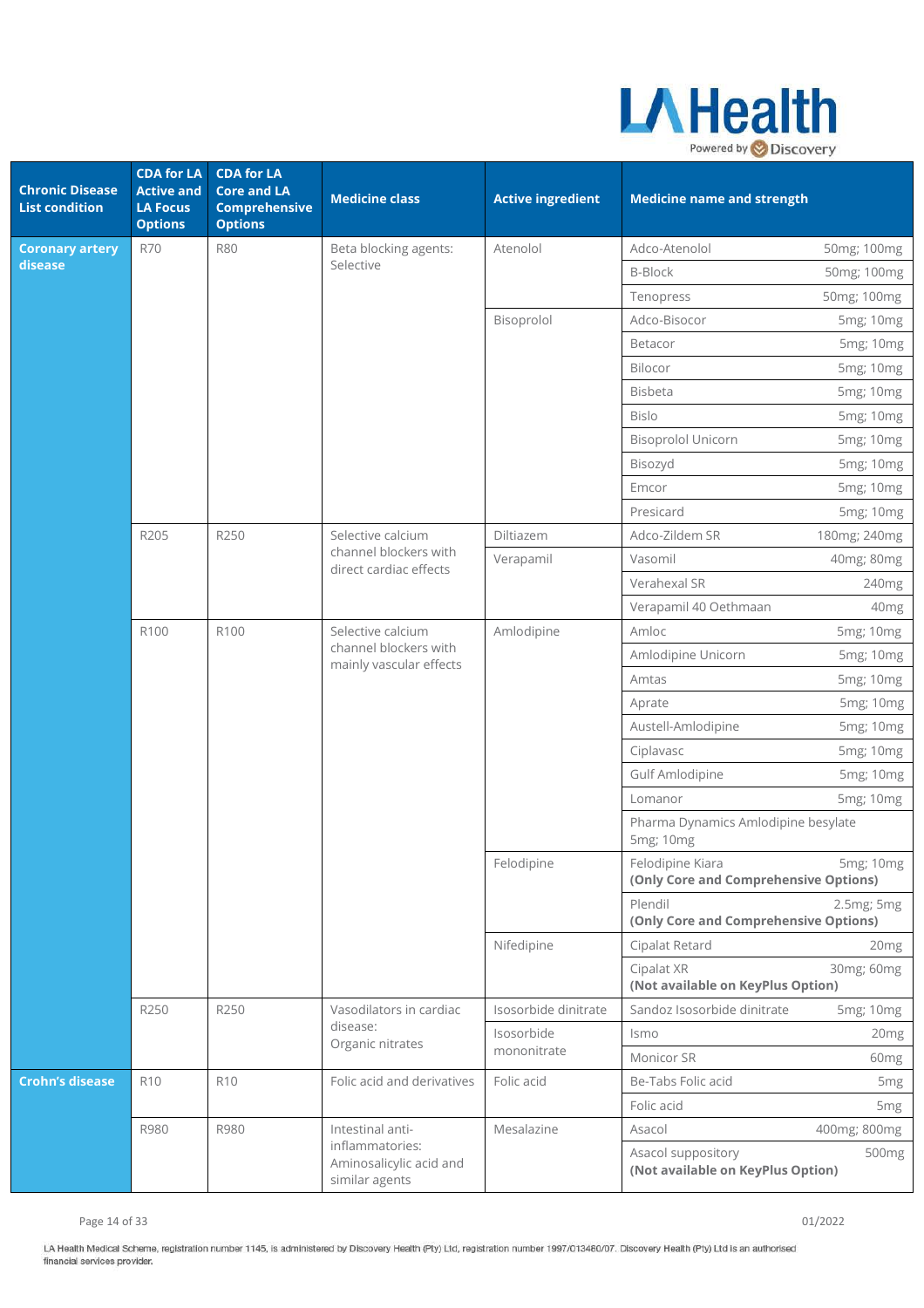

| <b>Chronic Disease</b><br><b>List condition</b> | <b>CDA for LA</b><br><b>Active and</b><br><b>LA Focus</b><br><b>Options</b> | <b>CDA for LA</b><br><b>Core and LA</b><br><b>Comprehensive</b><br><b>Options</b> | <b>Medicine class</b>                                                 | <b>Active ingredient</b> | <b>Medicine name and strength</b>                         |                   |
|-------------------------------------------------|-----------------------------------------------------------------------------|-----------------------------------------------------------------------------------|-----------------------------------------------------------------------|--------------------------|-----------------------------------------------------------|-------------------|
| <b>Coronary artery</b>                          | <b>R70</b>                                                                  | <b>R80</b>                                                                        | Beta blocking agents:                                                 | Atenolol                 | Adco-Atenolol                                             | 50mg; 100mg       |
| disease                                         |                                                                             |                                                                                   | Selective                                                             |                          | <b>B-Block</b>                                            | 50mg; 100mg       |
|                                                 |                                                                             |                                                                                   |                                                                       |                          | Tenopress                                                 | 50mg; 100mg       |
|                                                 |                                                                             |                                                                                   |                                                                       | Bisoprolol               | Adco-Bisocor                                              | 5mg; 10mg         |
|                                                 |                                                                             |                                                                                   |                                                                       |                          | Betacor                                                   | 5mg; 10mg         |
|                                                 |                                                                             |                                                                                   |                                                                       |                          | Bilocor                                                   | 5mg; 10mg         |
|                                                 |                                                                             |                                                                                   |                                                                       |                          | Bisbeta                                                   | 5mg; 10mg         |
|                                                 |                                                                             |                                                                                   |                                                                       |                          | <b>Bislo</b>                                              | 5mg; 10mg         |
|                                                 |                                                                             |                                                                                   |                                                                       |                          | <b>Bisoprolol Unicorn</b>                                 | 5mg; 10mg         |
|                                                 |                                                                             |                                                                                   |                                                                       |                          | Bisozyd                                                   | 5mg; 10mg         |
|                                                 |                                                                             |                                                                                   |                                                                       |                          | Emcor                                                     | 5mg; 10mg         |
|                                                 |                                                                             |                                                                                   |                                                                       |                          | Presicard                                                 | 5mg; 10mg         |
|                                                 | R205                                                                        | R250                                                                              | Selective calcium                                                     | Diltiazem                | Adco-Zildem SR                                            | 180mg; 240mg      |
|                                                 |                                                                             |                                                                                   | channel blockers with<br>direct cardiac effects                       | Verapamil                | Vasomil                                                   | 40mg; 80mg        |
|                                                 |                                                                             |                                                                                   |                                                                       |                          | Verahexal SR                                              | 240 <sub>mg</sub> |
|                                                 |                                                                             |                                                                                   |                                                                       |                          | Verapamil 40 Oethmaan                                     | 40 <sub>mg</sub>  |
|                                                 | R100                                                                        | R100                                                                              | Selective calcium<br>channel blockers with<br>mainly vascular effects | Amlodipine               | Amloc                                                     | 5mg; 10mg         |
|                                                 |                                                                             |                                                                                   |                                                                       |                          | Amlodipine Unicorn                                        | 5mg; 10mg         |
|                                                 |                                                                             |                                                                                   |                                                                       |                          | Amtas                                                     | 5mg; 10mg         |
|                                                 |                                                                             |                                                                                   |                                                                       |                          | Aprate                                                    | 5mg; 10mg         |
|                                                 |                                                                             |                                                                                   |                                                                       |                          | Austell-Amlodipine                                        | 5mg; 10mg         |
|                                                 |                                                                             |                                                                                   |                                                                       |                          | Ciplavasc                                                 | 5mg; 10mg         |
|                                                 |                                                                             |                                                                                   |                                                                       |                          | Gulf Amlodipine                                           | 5mg; 10mg         |
|                                                 |                                                                             |                                                                                   |                                                                       |                          | Lomanor                                                   | 5mg; 10mg         |
|                                                 |                                                                             |                                                                                   |                                                                       |                          | Pharma Dynamics Amlodipine besylate<br>5mg; 10mg          |                   |
|                                                 |                                                                             |                                                                                   |                                                                       | Felodipine               | Felodipine Kiara<br>(Only Core and Comprehensive Options) | 5mg; 10mg         |
|                                                 |                                                                             |                                                                                   |                                                                       |                          | Plendil<br>(Only Core and Comprehensive Options)          | 2.5mg; 5mg        |
|                                                 |                                                                             |                                                                                   |                                                                       | Nifedipine               | Cipalat Retard                                            | 20 <sub>mg</sub>  |
|                                                 |                                                                             |                                                                                   |                                                                       |                          | Cipalat XR<br>(Not available on KeyPlus Option)           | 30mg; 60mg        |
|                                                 | R250                                                                        | R250                                                                              | Vasodilators in cardiac                                               | Isosorbide dinitrate     | Sandoz Isosorbide dinitrate                               | 5mg; 10mg         |
|                                                 |                                                                             |                                                                                   | disease:<br>Organic nitrates                                          | Isosorbide               | Ismo                                                      | 20 <sub>mg</sub>  |
|                                                 |                                                                             |                                                                                   |                                                                       | mononitrate              | Monicor SR                                                | 60 <sub>mg</sub>  |
| <b>Crohn's disease</b>                          | R <sub>10</sub>                                                             | R <sub>10</sub>                                                                   | Folic acid and derivatives                                            | Folic acid               | Be-Tabs Folic acid                                        | 5 <sub>mg</sub>   |
|                                                 |                                                                             |                                                                                   |                                                                       |                          | Folic acid                                                | 5 <sub>mg</sub>   |
|                                                 | R980                                                                        | R980                                                                              | Intestinal anti-                                                      | Mesalazine               | Asacol                                                    | 400mg; 800mg      |
|                                                 |                                                                             |                                                                                   | inflammatories:<br>Aminosalicylic acid and<br>similar agents          |                          | Asacol suppository<br>(Not available on KeyPlus Option)   | 500 <sub>mg</sub> |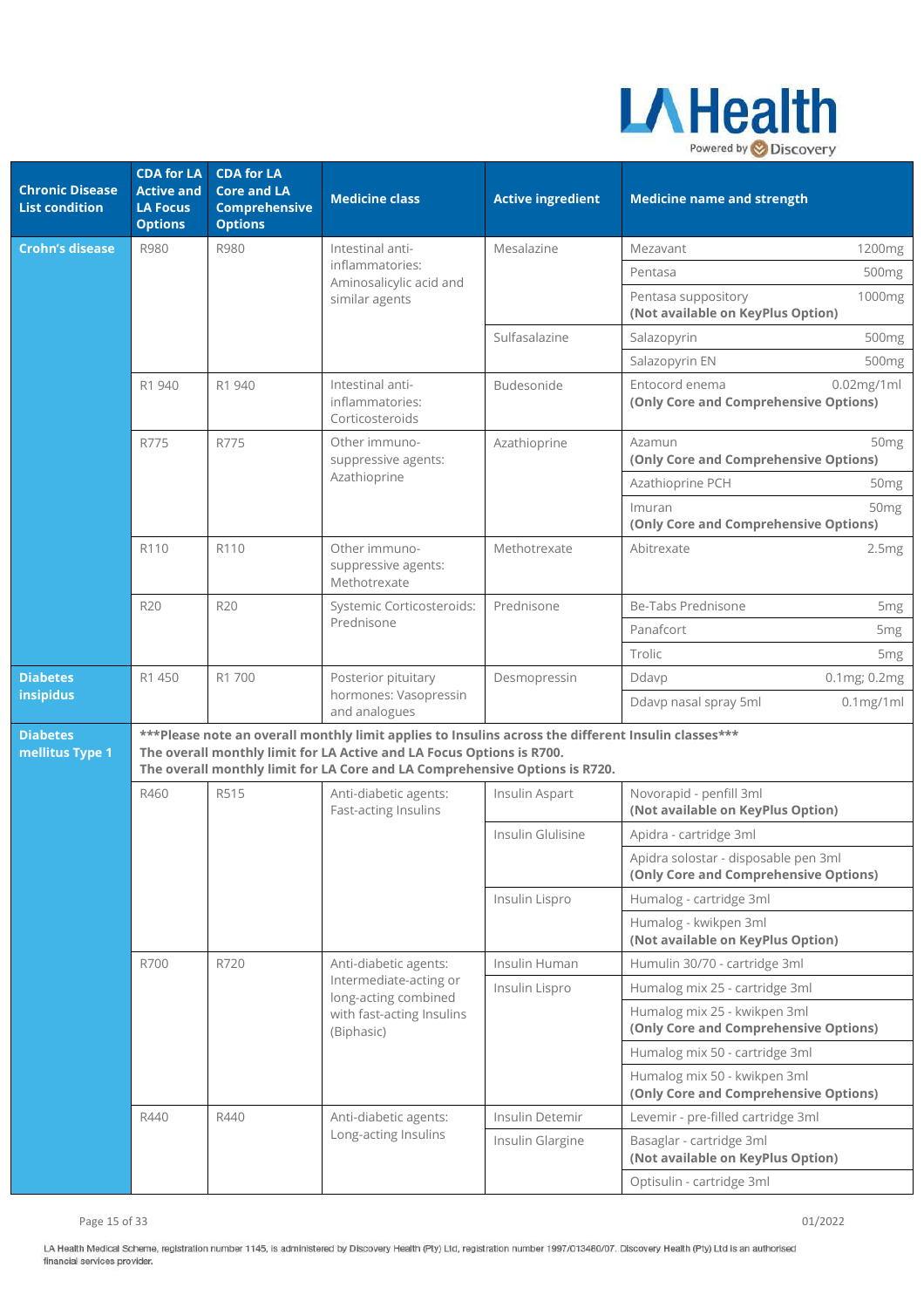

| <b>Chronic Disease</b><br><b>List condition</b> | <b>CDA for LA</b><br><b>Active and</b><br><b>LA Focus</b><br><b>Options</b> | <b>CDA for LA</b><br><b>Core and LA</b><br><b>Comprehensive</b><br><b>Options</b> | <b>Medicine class</b>                                                                                                                                                                                                                                         | <b>Active ingredient</b> | <b>Medicine name and strength</b>                                             |
|-------------------------------------------------|-----------------------------------------------------------------------------|-----------------------------------------------------------------------------------|---------------------------------------------------------------------------------------------------------------------------------------------------------------------------------------------------------------------------------------------------------------|--------------------------|-------------------------------------------------------------------------------|
| <b>Crohn's disease</b>                          | R980                                                                        | R980                                                                              | Intestinal anti-                                                                                                                                                                                                                                              | Mesalazine               | Mezavant<br>1200mg                                                            |
|                                                 |                                                                             |                                                                                   | inflammatories:<br>Aminosalicylic acid and                                                                                                                                                                                                                    |                          | 500mg<br>Pentasa                                                              |
|                                                 |                                                                             |                                                                                   | similar agents                                                                                                                                                                                                                                                |                          | Pentasa suppository<br>1000mg<br>(Not available on KeyPlus Option)            |
|                                                 |                                                                             |                                                                                   |                                                                                                                                                                                                                                                               | Sulfasalazine            | Salazopyrin<br>500mg                                                          |
|                                                 |                                                                             |                                                                                   |                                                                                                                                                                                                                                                               |                          | Salazopyrin EN<br>500mg                                                       |
|                                                 | R1 940                                                                      | R1 940                                                                            | Intestinal anti-<br>inflammatories:<br>Corticosteroids                                                                                                                                                                                                        | Budesonide               | Entocord enema<br>$0.02$ mg/1ml<br>(Only Core and Comprehensive Options)      |
|                                                 | R775                                                                        | R775                                                                              | Other immuno-<br>suppressive agents:                                                                                                                                                                                                                          | Azathioprine             | Azamun<br>50 <sub>mg</sub><br>(Only Core and Comprehensive Options)           |
|                                                 |                                                                             |                                                                                   | Azathioprine                                                                                                                                                                                                                                                  |                          | Azathioprine PCH<br>50 <sub>mg</sub>                                          |
|                                                 |                                                                             |                                                                                   |                                                                                                                                                                                                                                                               |                          | Imuran<br>50 <sub>mg</sub><br>(Only Core and Comprehensive Options)           |
|                                                 | R110                                                                        | R110                                                                              | Other immuno-<br>suppressive agents:<br>Methotrexate                                                                                                                                                                                                          | Methotrexate             | Abitrexate<br>2.5mg                                                           |
|                                                 | <b>R20</b>                                                                  | <b>R20</b>                                                                        | Systemic Corticosteroids:                                                                                                                                                                                                                                     | Prednisone               | Be-Tabs Prednisone<br>5 <sub>mg</sub>                                         |
|                                                 |                                                                             |                                                                                   | Prednisone                                                                                                                                                                                                                                                    |                          | Panafcort<br>5 <sub>mg</sub>                                                  |
|                                                 |                                                                             |                                                                                   |                                                                                                                                                                                                                                                               |                          | Trolic<br>5 <sub>mg</sub>                                                     |
| <b>Diabetes</b><br>insipidus                    | R1 450                                                                      | R1 700                                                                            | Posterior pituitary<br>hormones: Vasopressin                                                                                                                                                                                                                  | Desmopressin             | Ddavp<br>0.1mg; 0.2mg                                                         |
|                                                 |                                                                             |                                                                                   | and analogues                                                                                                                                                                                                                                                 |                          | Ddavp nasal spray 5ml<br>$0.1$ mg/1ml                                         |
| <b>Diabetes</b><br>mellitus Type 1              |                                                                             |                                                                                   | *** Please note an overall monthly limit applies to Insulins across the different Insulin classes ***<br>The overall monthly limit for LA Active and LA Focus Options is R700.<br>The overall monthly limit for LA Core and LA Comprehensive Options is R720. |                          |                                                                               |
|                                                 | R460                                                                        | R515                                                                              | Anti-diabetic agents:<br>Fast-acting Insulins                                                                                                                                                                                                                 | Insulin Aspart           | Novorapid - penfill 3ml<br>(Not available on KeyPlus Option)                  |
|                                                 |                                                                             |                                                                                   |                                                                                                                                                                                                                                                               | Insulin Glulisine        | Apidra - cartridge 3ml                                                        |
|                                                 |                                                                             |                                                                                   |                                                                                                                                                                                                                                                               |                          | Apidra solostar - disposable pen 3ml<br>(Only Core and Comprehensive Options) |
|                                                 |                                                                             |                                                                                   |                                                                                                                                                                                                                                                               | Insulin Lispro           | Humalog - cartridge 3ml                                                       |
|                                                 |                                                                             |                                                                                   |                                                                                                                                                                                                                                                               |                          | Humalog - kwikpen 3ml<br>(Not available on KeyPlus Option)                    |
|                                                 | R700                                                                        | R720                                                                              | Anti-diabetic agents:                                                                                                                                                                                                                                         | Insulin Human            | Humulin 30/70 - cartridge 3ml                                                 |
|                                                 |                                                                             |                                                                                   | Intermediate-acting or<br>long-acting combined                                                                                                                                                                                                                | Insulin Lispro           | Humalog mix 25 - cartridge 3ml                                                |
|                                                 |                                                                             |                                                                                   | with fast-acting Insulins<br>(Biphasic)                                                                                                                                                                                                                       |                          | Humalog mix 25 - kwikpen 3ml<br>(Only Core and Comprehensive Options)         |
|                                                 |                                                                             |                                                                                   |                                                                                                                                                                                                                                                               |                          | Humalog mix 50 - cartridge 3ml                                                |
|                                                 |                                                                             |                                                                                   |                                                                                                                                                                                                                                                               |                          | Humalog mix 50 - kwikpen 3ml<br>(Only Core and Comprehensive Options)         |
|                                                 | R440                                                                        | R440                                                                              | Anti-diabetic agents:                                                                                                                                                                                                                                         | Insulin Detemir          | Levemir - pre-filled cartridge 3ml                                            |
|                                                 |                                                                             |                                                                                   | Long-acting Insulins                                                                                                                                                                                                                                          | Insulin Glargine         | Basaglar - cartridge 3ml<br>(Not available on KeyPlus Option)                 |
|                                                 |                                                                             |                                                                                   |                                                                                                                                                                                                                                                               |                          | Optisulin - cartridge 3ml                                                     |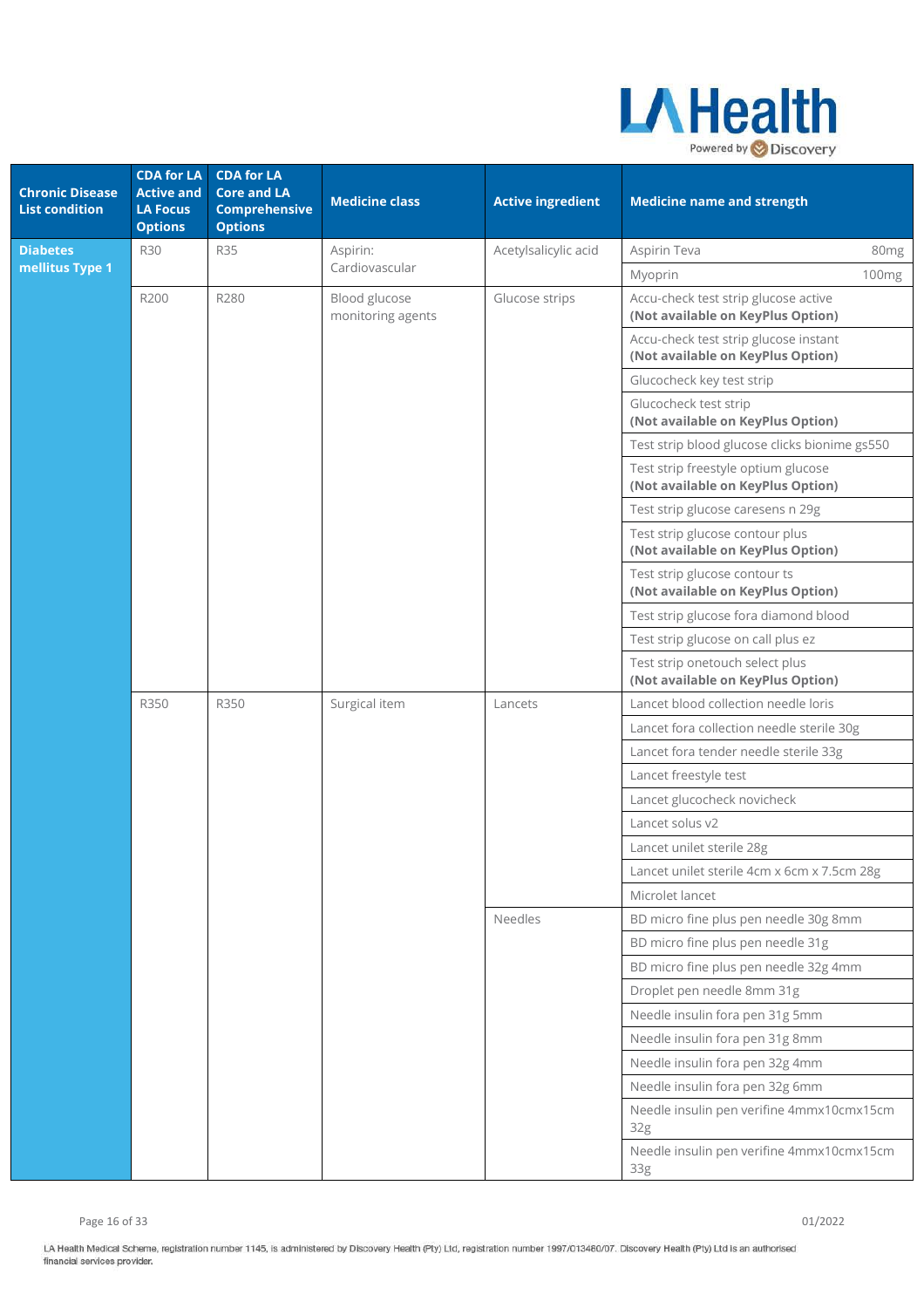

| <b>Chronic Disease</b><br><b>List condition</b> | <b>CDA for LA</b><br><b>Active and</b><br><b>LA Focus</b><br><b>Options</b> | <b>CDA for LA</b><br><b>Core and LA</b><br><b>Comprehensive</b><br><b>Options</b> | <b>Medicine class</b>              | <b>Active ingredient</b> | <b>Medicine name and strength</b>                                          |  |
|-------------------------------------------------|-----------------------------------------------------------------------------|-----------------------------------------------------------------------------------|------------------------------------|--------------------------|----------------------------------------------------------------------------|--|
| <b>Diabetes</b>                                 | <b>R30</b>                                                                  | <b>R35</b>                                                                        | Aspirin:                           | Acetylsalicylic acid     | Aspirin Teva<br>80mg                                                       |  |
| mellitus Type 1                                 |                                                                             |                                                                                   | Cardiovascular                     |                          | 100 <sub>mg</sub><br>Myoprin                                               |  |
|                                                 | R200                                                                        | R280                                                                              | Blood glucose<br>monitoring agents | Glucose strips           | Accu-check test strip glucose active<br>(Not available on KeyPlus Option)  |  |
|                                                 |                                                                             |                                                                                   |                                    |                          | Accu-check test strip glucose instant<br>(Not available on KeyPlus Option) |  |
|                                                 |                                                                             |                                                                                   |                                    |                          | Glucocheck key test strip                                                  |  |
|                                                 |                                                                             |                                                                                   |                                    |                          | Glucocheck test strip<br>(Not available on KeyPlus Option)                 |  |
|                                                 |                                                                             |                                                                                   |                                    |                          | Test strip blood glucose clicks bionime gs550                              |  |
|                                                 |                                                                             |                                                                                   |                                    |                          | Test strip freestyle optium glucose<br>(Not available on KeyPlus Option)   |  |
|                                                 |                                                                             |                                                                                   |                                    |                          | Test strip glucose caresens n 29g                                          |  |
|                                                 |                                                                             |                                                                                   |                                    |                          | Test strip glucose contour plus<br>(Not available on KeyPlus Option)       |  |
|                                                 |                                                                             |                                                                                   |                                    |                          | Test strip glucose contour ts<br>(Not available on KeyPlus Option)         |  |
|                                                 |                                                                             |                                                                                   |                                    |                          | Test strip glucose fora diamond blood                                      |  |
|                                                 |                                                                             |                                                                                   |                                    |                          | Test strip glucose on call plus ez                                         |  |
|                                                 |                                                                             |                                                                                   |                                    |                          | Test strip onetouch select plus<br>(Not available on KeyPlus Option)       |  |
|                                                 | R350                                                                        | R350                                                                              | Surgical item                      | Lancets                  | Lancet blood collection needle loris                                       |  |
|                                                 |                                                                             |                                                                                   |                                    |                          | Lancet fora collection needle sterile 30g                                  |  |
|                                                 |                                                                             |                                                                                   |                                    |                          | Lancet fora tender needle sterile 33g                                      |  |
|                                                 |                                                                             |                                                                                   |                                    |                          | Lancet freestyle test                                                      |  |
|                                                 |                                                                             |                                                                                   |                                    |                          | Lancet glucocheck novicheck                                                |  |
|                                                 |                                                                             |                                                                                   |                                    |                          | Lancet solus v2                                                            |  |
|                                                 |                                                                             |                                                                                   |                                    |                          | Lancet unilet sterile 28g                                                  |  |
|                                                 |                                                                             |                                                                                   |                                    |                          | Lancet unilet sterile 4cm x 6cm x 7.5cm 28g                                |  |
|                                                 |                                                                             |                                                                                   |                                    |                          | Microlet lancet                                                            |  |
|                                                 |                                                                             |                                                                                   |                                    | Needles                  | BD micro fine plus pen needle 30g 8mm                                      |  |
|                                                 |                                                                             |                                                                                   |                                    |                          | BD micro fine plus pen needle 31g                                          |  |
|                                                 |                                                                             |                                                                                   |                                    |                          | BD micro fine plus pen needle 32g 4mm                                      |  |
|                                                 |                                                                             |                                                                                   |                                    |                          | Droplet pen needle 8mm 31g<br>Needle insulin fora pen 31g 5mm              |  |
|                                                 |                                                                             |                                                                                   |                                    |                          | Needle insulin fora pen 31g 8mm                                            |  |
|                                                 |                                                                             |                                                                                   |                                    |                          | Needle insulin fora pen 32g 4mm                                            |  |
|                                                 |                                                                             |                                                                                   |                                    |                          | Needle insulin fora pen 32g 6mm                                            |  |
|                                                 |                                                                             |                                                                                   |                                    |                          | Needle insulin pen verifine 4mmx10cmx15cm<br>32 <sub>g</sub>               |  |
|                                                 |                                                                             |                                                                                   |                                    |                          | Needle insulin pen verifine 4mmx10cmx15cm<br>33g                           |  |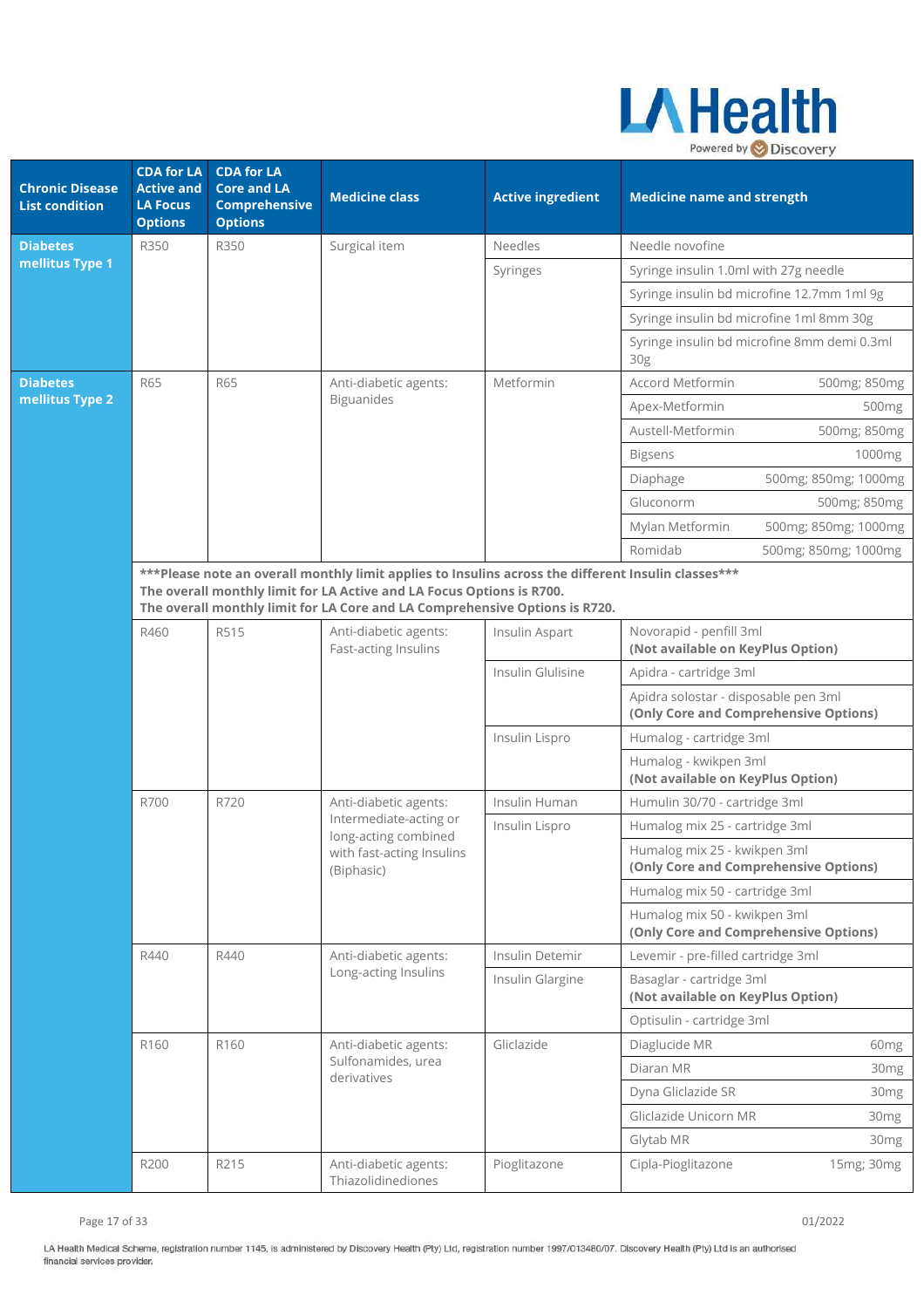

| <b>Chronic Disease</b><br><b>List condition</b> | <b>CDA for LA</b><br><b>Active and</b><br><b>LA Focus</b><br><b>Options</b> | <b>CDA for LA</b><br><b>Core and LA</b><br><b>Comprehensive</b><br><b>Options</b> | <b>Medicine class</b>                                                                                                                                                                                                                                       | <b>Active ingredient</b> | <b>Medicine name and strength</b>                                             |  |
|-------------------------------------------------|-----------------------------------------------------------------------------|-----------------------------------------------------------------------------------|-------------------------------------------------------------------------------------------------------------------------------------------------------------------------------------------------------------------------------------------------------------|--------------------------|-------------------------------------------------------------------------------|--|
| <b>Diabetes</b>                                 | R350                                                                        | R350                                                                              | Surgical item                                                                                                                                                                                                                                               | <b>Needles</b>           | Needle novofine                                                               |  |
| mellitus Type 1                                 |                                                                             |                                                                                   |                                                                                                                                                                                                                                                             | Syringes                 | Syringe insulin 1.0ml with 27g needle                                         |  |
|                                                 |                                                                             |                                                                                   |                                                                                                                                                                                                                                                             |                          | Syringe insulin bd microfine 12.7mm 1ml 9g                                    |  |
|                                                 |                                                                             |                                                                                   |                                                                                                                                                                                                                                                             |                          | Syringe insulin bd microfine 1ml 8mm 30g                                      |  |
|                                                 |                                                                             |                                                                                   |                                                                                                                                                                                                                                                             |                          | Syringe insulin bd microfine 8mm demi 0.3ml<br>30 <sub>g</sub>                |  |
| <b>Diabetes</b>                                 | <b>R65</b>                                                                  | <b>R65</b>                                                                        | Anti-diabetic agents:                                                                                                                                                                                                                                       | Metformin                | <b>Accord Metformin</b><br>500mg; 850mg                                       |  |
| mellitus Type 2                                 |                                                                             |                                                                                   | Biguanides                                                                                                                                                                                                                                                  |                          | Apex-Metformin<br>500 <sub>mg</sub>                                           |  |
|                                                 |                                                                             |                                                                                   |                                                                                                                                                                                                                                                             |                          | Austell-Metformin<br>500mg; 850mg                                             |  |
|                                                 |                                                                             |                                                                                   |                                                                                                                                                                                                                                                             |                          | <b>Bigsens</b><br>1000mg                                                      |  |
|                                                 |                                                                             |                                                                                   |                                                                                                                                                                                                                                                             |                          | 500mg; 850mg; 1000mg<br>Diaphage                                              |  |
|                                                 |                                                                             |                                                                                   |                                                                                                                                                                                                                                                             |                          | Gluconorm<br>500mg; 850mg                                                     |  |
|                                                 |                                                                             |                                                                                   |                                                                                                                                                                                                                                                             |                          | Mylan Metformin<br>500mg; 850mg; 1000mg                                       |  |
|                                                 |                                                                             |                                                                                   |                                                                                                                                                                                                                                                             |                          | Romidab<br>500mg; 850mg; 1000mg                                               |  |
|                                                 |                                                                             |                                                                                   | ***Please note an overall monthly limit applies to Insulins across the different Insulin classes***<br>The overall monthly limit for LA Active and LA Focus Options is R700.<br>The overall monthly limit for LA Core and LA Comprehensive Options is R720. |                          |                                                                               |  |
|                                                 | R460                                                                        | R515                                                                              | Anti-diabetic agents:<br>Fast-acting Insulins                                                                                                                                                                                                               | Insulin Aspart           | Novorapid - penfill 3ml<br>(Not available on KeyPlus Option)                  |  |
|                                                 |                                                                             |                                                                                   |                                                                                                                                                                                                                                                             | Insulin Glulisine        | Apidra - cartridge 3ml                                                        |  |
|                                                 |                                                                             |                                                                                   |                                                                                                                                                                                                                                                             |                          | Apidra solostar - disposable pen 3ml<br>(Only Core and Comprehensive Options) |  |
|                                                 |                                                                             |                                                                                   |                                                                                                                                                                                                                                                             | Insulin Lispro           | Humalog - cartridge 3ml                                                       |  |
|                                                 |                                                                             |                                                                                   |                                                                                                                                                                                                                                                             |                          | Humalog - kwikpen 3ml<br>(Not available on KeyPlus Option)                    |  |
|                                                 | R700                                                                        | R720                                                                              | Anti-diabetic agents:                                                                                                                                                                                                                                       | Insulin Human            | Humulin 30/70 - cartridge 3ml                                                 |  |
|                                                 |                                                                             |                                                                                   | Intermediate-acting or<br>long-acting combined                                                                                                                                                                                                              | Insulin Lispro           | Humalog mix 25 - cartridge 3ml                                                |  |
|                                                 |                                                                             |                                                                                   | with fast-acting Insulins<br>(Biphasic)                                                                                                                                                                                                                     |                          | Humalog mix 25 - kwikpen 3ml<br>(Only Core and Comprehensive Options)         |  |
|                                                 |                                                                             |                                                                                   |                                                                                                                                                                                                                                                             |                          | Humalog mix 50 - cartridge 3ml                                                |  |
|                                                 |                                                                             |                                                                                   |                                                                                                                                                                                                                                                             |                          | Humalog mix 50 - kwikpen 3ml<br>(Only Core and Comprehensive Options)         |  |
|                                                 | R440                                                                        | R440                                                                              | Anti-diabetic agents:                                                                                                                                                                                                                                       | Insulin Detemir          | Levemir - pre-filled cartridge 3ml                                            |  |
|                                                 |                                                                             |                                                                                   | Long-acting Insulins                                                                                                                                                                                                                                        | Insulin Glargine         | Basaglar - cartridge 3ml<br>(Not available on KeyPlus Option)                 |  |
|                                                 |                                                                             |                                                                                   |                                                                                                                                                                                                                                                             |                          | Optisulin - cartridge 3ml                                                     |  |
|                                                 | R160                                                                        | R160                                                                              | Anti-diabetic agents:                                                                                                                                                                                                                                       | Gliclazide               | Diaglucide MR<br>60 <sub>mg</sub>                                             |  |
|                                                 |                                                                             |                                                                                   | Sulfonamides, urea<br>derivatives                                                                                                                                                                                                                           |                          | Diaran MR<br>30mg                                                             |  |
|                                                 |                                                                             |                                                                                   |                                                                                                                                                                                                                                                             |                          | Dyna Gliclazide SR<br>30 <sub>mg</sub>                                        |  |
|                                                 |                                                                             |                                                                                   |                                                                                                                                                                                                                                                             |                          | Gliclazide Unicorn MR<br>30 <sub>mg</sub>                                     |  |
|                                                 |                                                                             |                                                                                   |                                                                                                                                                                                                                                                             |                          | Glytab MR<br>30mg                                                             |  |
|                                                 | R200                                                                        | R215                                                                              | Anti-diabetic agents:<br>Thiazolidinediones                                                                                                                                                                                                                 | Pioglitazone             | Cipla-Pioglitazone<br>15mg; 30mg                                              |  |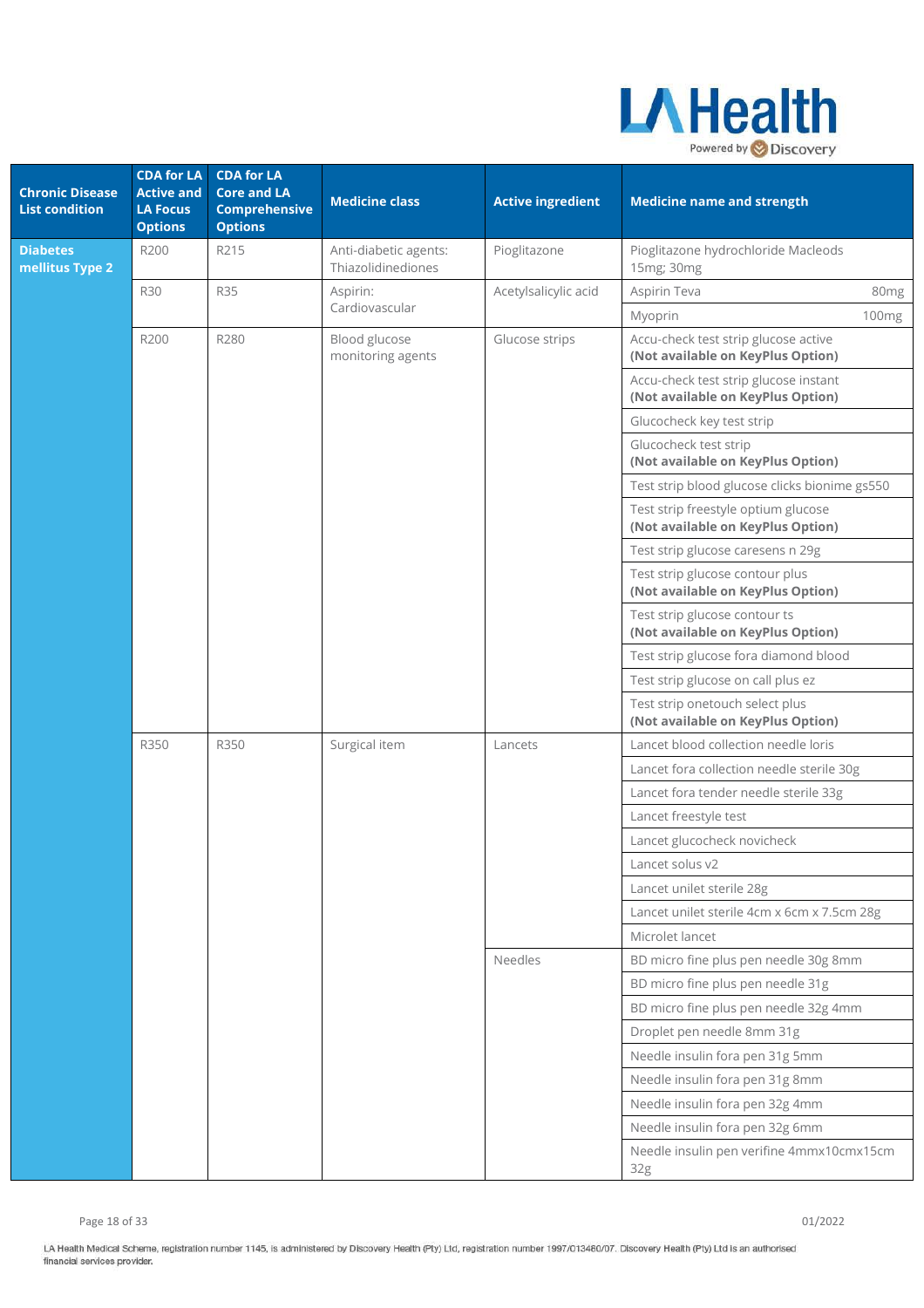

| <b>Chronic Disease</b><br><b>List condition</b> | <b>CDA for LA</b><br><b>Active and</b><br><b>LA Focus</b><br><b>Options</b> | <b>CDA for LA</b><br><b>Core and LA</b><br><b>Comprehensive</b><br><b>Options</b> | <b>Medicine class</b>                       | <b>Active ingredient</b> | <b>Medicine name and strength</b>                                          |                  |
|-------------------------------------------------|-----------------------------------------------------------------------------|-----------------------------------------------------------------------------------|---------------------------------------------|--------------------------|----------------------------------------------------------------------------|------------------|
| <b>Diabetes</b><br>mellitus Type 2              | R200                                                                        | R215                                                                              | Anti-diabetic agents:<br>Thiazolidinediones | Pioglitazone             | Pioglitazone hydrochloride Macleods<br>15mg; 30mg                          |                  |
|                                                 | <b>R30</b>                                                                  | <b>R35</b>                                                                        | Aspirin:                                    | Acetylsalicylic acid     | Aspirin Teva                                                               | 80 <sub>mg</sub> |
|                                                 |                                                                             |                                                                                   | Cardiovascular                              |                          | Myoprin                                                                    | 100mg            |
|                                                 | R200                                                                        | R280                                                                              | Blood glucose<br>monitoring agents          | Glucose strips           | Accu-check test strip glucose active<br>(Not available on KeyPlus Option)  |                  |
|                                                 |                                                                             |                                                                                   |                                             |                          | Accu-check test strip glucose instant<br>(Not available on KeyPlus Option) |                  |
|                                                 |                                                                             |                                                                                   |                                             |                          | Glucocheck key test strip                                                  |                  |
|                                                 |                                                                             |                                                                                   |                                             |                          | Glucocheck test strip<br>(Not available on KeyPlus Option)                 |                  |
|                                                 |                                                                             |                                                                                   |                                             |                          | Test strip blood glucose clicks bionime gs550                              |                  |
|                                                 |                                                                             |                                                                                   |                                             |                          | Test strip freestyle optium glucose<br>(Not available on KeyPlus Option)   |                  |
|                                                 |                                                                             |                                                                                   |                                             |                          | Test strip glucose caresens n 29g                                          |                  |
|                                                 |                                                                             |                                                                                   |                                             |                          | Test strip glucose contour plus<br>(Not available on KeyPlus Option)       |                  |
|                                                 |                                                                             |                                                                                   |                                             |                          | Test strip glucose contour ts<br>(Not available on KeyPlus Option)         |                  |
|                                                 |                                                                             |                                                                                   |                                             |                          | Test strip glucose fora diamond blood                                      |                  |
|                                                 |                                                                             |                                                                                   |                                             |                          | Test strip glucose on call plus ez                                         |                  |
|                                                 |                                                                             |                                                                                   |                                             |                          | Test strip onetouch select plus<br>(Not available on KeyPlus Option)       |                  |
|                                                 | R350                                                                        | R350                                                                              | Surgical item                               | Lancets                  | Lancet blood collection needle loris                                       |                  |
|                                                 |                                                                             |                                                                                   |                                             |                          | Lancet fora collection needle sterile 30g                                  |                  |
|                                                 |                                                                             |                                                                                   |                                             |                          | Lancet fora tender needle sterile 33g                                      |                  |
|                                                 |                                                                             |                                                                                   |                                             |                          | Lancet freestyle test                                                      |                  |
|                                                 |                                                                             |                                                                                   |                                             |                          | Lancet glucocheck novicheck                                                |                  |
|                                                 |                                                                             |                                                                                   |                                             |                          | Lancet solus v2                                                            |                  |
|                                                 |                                                                             |                                                                                   |                                             |                          | Lancet unilet sterile 28g                                                  |                  |
|                                                 |                                                                             |                                                                                   |                                             |                          | Lancet unilet sterile 4cm x 6cm x 7.5cm 28g                                |                  |
|                                                 |                                                                             |                                                                                   |                                             |                          | Microlet lancet                                                            |                  |
|                                                 |                                                                             |                                                                                   |                                             | Needles                  | BD micro fine plus pen needle 30g 8mm                                      |                  |
|                                                 |                                                                             |                                                                                   |                                             |                          | BD micro fine plus pen needle 31g                                          |                  |
|                                                 |                                                                             |                                                                                   |                                             |                          | BD micro fine plus pen needle 32g 4mm<br>Droplet pen needle 8mm 31g        |                  |
|                                                 |                                                                             |                                                                                   |                                             |                          | Needle insulin fora pen 31g 5mm                                            |                  |
|                                                 |                                                                             |                                                                                   |                                             |                          | Needle insulin fora pen 31g 8mm                                            |                  |
|                                                 |                                                                             |                                                                                   |                                             |                          | Needle insulin fora pen 32g 4mm                                            |                  |
|                                                 |                                                                             |                                                                                   |                                             |                          | Needle insulin fora pen 32g 6mm                                            |                  |
|                                                 |                                                                             |                                                                                   |                                             |                          | Needle insulin pen verifine 4mmx10cmx15cm<br>32g                           |                  |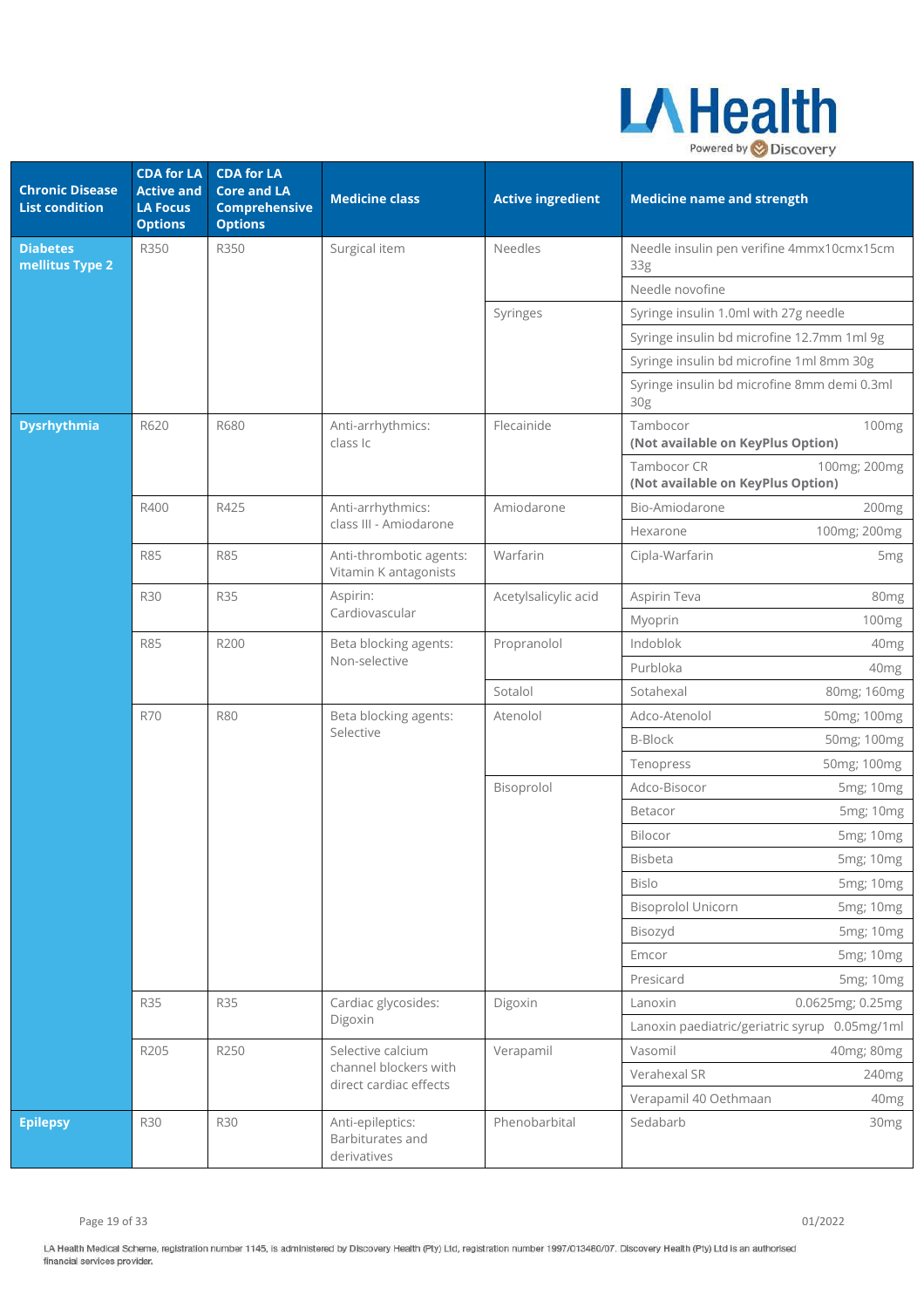

| <b>Chronic Disease</b><br><b>List condition</b> | <b>CDA for LA</b><br><b>Active and</b><br><b>LA Focus</b><br><b>Options</b> | <b>CDA for LA</b><br><b>Core and LA</b><br><b>Comprehensive</b><br><b>Options</b> | <b>Medicine class</b>                               | <b>Active ingredient</b> | <b>Medicine name and strength</b>                                |
|-------------------------------------------------|-----------------------------------------------------------------------------|-----------------------------------------------------------------------------------|-----------------------------------------------------|--------------------------|------------------------------------------------------------------|
| <b>Diabetes</b><br>mellitus Type 2              | R350                                                                        | R350                                                                              | Surgical item                                       | Needles                  | Needle insulin pen verifine 4mmx10cmx15cm<br>33 <sub>g</sub>     |
|                                                 |                                                                             |                                                                                   |                                                     |                          | Needle novofine                                                  |
|                                                 |                                                                             |                                                                                   |                                                     | Syringes                 | Syringe insulin 1.0ml with 27g needle                            |
|                                                 |                                                                             |                                                                                   |                                                     |                          | Syringe insulin bd microfine 12.7mm 1ml 9g                       |
|                                                 |                                                                             |                                                                                   |                                                     |                          | Syringe insulin bd microfine 1ml 8mm 30g                         |
|                                                 |                                                                             |                                                                                   |                                                     |                          | Syringe insulin bd microfine 8mm demi 0.3ml<br>30 <sub>g</sub>   |
| <b>Dysrhythmia</b>                              | R620                                                                        | R680                                                                              | Anti-arrhythmics:<br>class Ic                       | Flecainide               | Tambocor<br>100mg<br>(Not available on KeyPlus Option)           |
|                                                 |                                                                             |                                                                                   |                                                     |                          | Tambocor CR<br>100mg; 200mg<br>(Not available on KeyPlus Option) |
|                                                 | R400                                                                        | R425                                                                              | Anti-arrhythmics:                                   | Amiodarone               | Bio-Amiodarone<br>200mg                                          |
|                                                 |                                                                             |                                                                                   | class III - Amiodarone                              |                          | 100mg; 200mg<br>Hexarone                                         |
|                                                 | <b>R85</b>                                                                  | <b>R85</b>                                                                        | Anti-thrombotic agents:<br>Vitamin K antagonists    | Warfarin                 | Cipla-Warfarin<br>5 <sub>mg</sub>                                |
|                                                 | <b>R30</b>                                                                  | <b>R35</b>                                                                        | Aspirin:                                            | Acetylsalicylic acid     | Aspirin Teva<br>80 <sub>mg</sub>                                 |
|                                                 |                                                                             |                                                                                   | Cardiovascular                                      |                          | Myoprin<br>100mg                                                 |
|                                                 | <b>R85</b>                                                                  | R200                                                                              | Beta blocking agents:                               | Propranolol              | Indoblok<br>40 <sub>mg</sub>                                     |
|                                                 |                                                                             |                                                                                   | Non-selective                                       |                          | Purbloka<br>40mg                                                 |
|                                                 |                                                                             |                                                                                   |                                                     | Sotalol                  | Sotahexal<br>80mg; 160mg                                         |
|                                                 | <b>R70</b>                                                                  | <b>R80</b>                                                                        | Beta blocking agents:<br>Selective                  | Atenolol                 | Adco-Atenolol<br>50mg; 100mg                                     |
|                                                 |                                                                             |                                                                                   |                                                     |                          | <b>B-Block</b><br>50mg; 100mg                                    |
|                                                 |                                                                             |                                                                                   |                                                     |                          | 50mg; 100mg<br>Tenopress                                         |
|                                                 |                                                                             |                                                                                   |                                                     | Bisoprolol               | Adco-Bisocor<br>5mg; 10mg                                        |
|                                                 |                                                                             |                                                                                   |                                                     |                          | Betacor<br>5mg; 10mg                                             |
|                                                 |                                                                             |                                                                                   |                                                     |                          | Bilocor<br>5mg; 10mg                                             |
|                                                 |                                                                             |                                                                                   |                                                     |                          | Bisbeta<br>5mg; 10mg                                             |
|                                                 |                                                                             |                                                                                   |                                                     |                          | Bislo<br>5mg; 10mg                                               |
|                                                 |                                                                             |                                                                                   |                                                     |                          | <b>Bisoprolol Unicorn</b><br>5mg; 10mg                           |
|                                                 |                                                                             |                                                                                   |                                                     |                          | 5mg; 10mg<br>Bisozyd                                             |
|                                                 |                                                                             |                                                                                   |                                                     |                          | Emcor<br>5mg; 10mg                                               |
|                                                 |                                                                             |                                                                                   |                                                     |                          | Presicard<br>5mg; 10mg                                           |
|                                                 | <b>R35</b>                                                                  | <b>R35</b>                                                                        | Cardiac glycosides:                                 | Digoxin                  | 0.0625mg; 0.25mg<br>Lanoxin                                      |
|                                                 |                                                                             |                                                                                   | Digoxin                                             |                          | Lanoxin paediatric/geriatric syrup 0.05mg/1ml                    |
|                                                 | R205                                                                        | R250                                                                              | Selective calcium                                   | Verapamil                | Vasomil<br>40mg; 80mg                                            |
|                                                 |                                                                             |                                                                                   | channel blockers with<br>direct cardiac effects     |                          | Verahexal SR<br>240mg                                            |
|                                                 |                                                                             |                                                                                   |                                                     |                          | Verapamil 40 Oethmaan<br>40 <sub>mg</sub>                        |
| <b>Epilepsy</b>                                 | <b>R30</b>                                                                  | <b>R30</b>                                                                        | Anti-epileptics:<br>Barbiturates and<br>derivatives | Phenobarbital            | Sedabarb<br>30 <sub>mg</sub>                                     |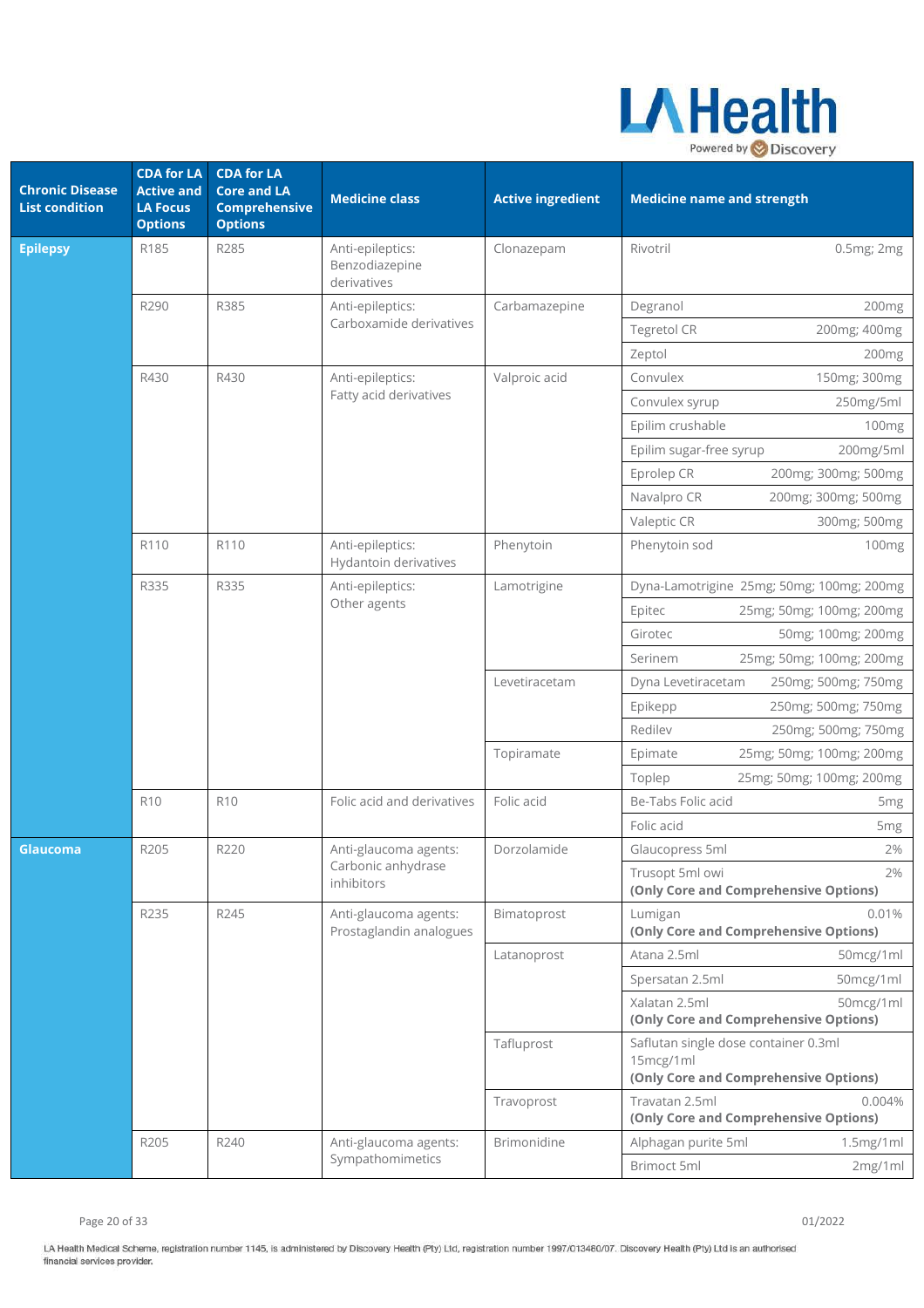

| <b>Chronic Disease</b><br><b>List condition</b> | <b>CDA for LA</b><br><b>Active and</b><br><b>LA Focus</b><br><b>Options</b> | <b>CDA for LA</b><br><b>Core and LA</b><br><b>Comprehensive</b><br><b>Options</b> | <b>Medicine class</b>                             | <b>Active ingredient</b> | <b>Medicine name and strength</b>                                                          |
|-------------------------------------------------|-----------------------------------------------------------------------------|-----------------------------------------------------------------------------------|---------------------------------------------------|--------------------------|--------------------------------------------------------------------------------------------|
| <b>Epilepsy</b>                                 | R185                                                                        | R285                                                                              | Anti-epileptics:<br>Benzodiazepine<br>derivatives | Clonazepam               | Rivotril<br>0.5mg; 2mg                                                                     |
|                                                 | R290                                                                        | R385                                                                              | Anti-epileptics:<br>Carboxamide derivatives       | Carbamazepine            | Degranol<br>200 <sub>mg</sub>                                                              |
|                                                 |                                                                             |                                                                                   |                                                   |                          | <b>Tegretol CR</b><br>200mg; 400mg                                                         |
|                                                 |                                                                             |                                                                                   |                                                   |                          | Zeptol<br>200mg                                                                            |
|                                                 | R430                                                                        | R430                                                                              | Anti-epileptics:                                  | Valproic acid            | Convulex<br>150mg; 300mg                                                                   |
|                                                 |                                                                             |                                                                                   | Fatty acid derivatives                            |                          | Convulex syrup<br>250mg/5ml                                                                |
|                                                 |                                                                             |                                                                                   |                                                   |                          | Epilim crushable<br>100mg                                                                  |
|                                                 |                                                                             |                                                                                   |                                                   |                          | Epilim sugar-free syrup<br>200mg/5ml                                                       |
|                                                 |                                                                             |                                                                                   |                                                   |                          | Eprolep CR<br>200mg; 300mg; 500mg                                                          |
|                                                 |                                                                             |                                                                                   |                                                   |                          | 200mg; 300mg; 500mg<br>Navalpro CR                                                         |
|                                                 |                                                                             |                                                                                   |                                                   |                          | Valeptic CR<br>300mg; 500mg                                                                |
|                                                 | R110                                                                        | R110                                                                              | Anti-epileptics:<br>Hydantoin derivatives         | Phenytoin                | Phenytoin sod<br>100 <sub>mg</sub>                                                         |
|                                                 | R335                                                                        | R335                                                                              | Anti-epileptics:                                  | Lamotrigine              | Dyna-Lamotrigine 25mg; 50mg; 100mg; 200mg                                                  |
|                                                 |                                                                             |                                                                                   | Other agents                                      |                          | 25mg; 50mg; 100mg; 200mg<br>Epitec                                                         |
|                                                 |                                                                             |                                                                                   |                                                   |                          | 50mg; 100mg; 200mg<br>Girotec                                                              |
|                                                 |                                                                             |                                                                                   |                                                   |                          | Serinem<br>25mg; 50mg; 100mg; 200mg                                                        |
|                                                 |                                                                             |                                                                                   |                                                   | Levetiracetam            | Dyna Levetiracetam<br>250mg; 500mg; 750mg                                                  |
|                                                 |                                                                             |                                                                                   |                                                   |                          | Epikepp<br>250mg; 500mg; 750mg                                                             |
|                                                 |                                                                             |                                                                                   |                                                   |                          | Redilev<br>250mg; 500mg; 750mg                                                             |
|                                                 |                                                                             |                                                                                   |                                                   | Topiramate               | 25mg; 50mg; 100mg; 200mg<br>Epimate                                                        |
|                                                 |                                                                             |                                                                                   |                                                   |                          | 25mg; 50mg; 100mg; 200mg<br>Toplep                                                         |
|                                                 | <b>R10</b>                                                                  | <b>R10</b>                                                                        | Folic acid and derivatives                        | Folic acid               | Be-Tabs Folic acid<br>5 <sub>mg</sub>                                                      |
|                                                 |                                                                             |                                                                                   |                                                   |                          | Folic acid<br>5 <sub>mg</sub>                                                              |
| Glaucoma                                        | R205                                                                        | R220                                                                              | Anti-glaucoma agents:                             | Dorzolamide              | 2%<br>Glaucopress 5ml                                                                      |
|                                                 |                                                                             |                                                                                   | Carbonic anhydrase<br>inhibitors                  |                          | Trusopt 5ml owi<br>2%<br>(Only Core and Comprehensive Options)                             |
|                                                 | R235                                                                        | R245                                                                              | Anti-glaucoma agents:<br>Prostaglandin analogues  | Bimatoprost              | 0.01%<br>Lumigan<br>(Only Core and Comprehensive Options)                                  |
|                                                 |                                                                             |                                                                                   |                                                   | Latanoprost              | Atana 2.5ml<br>50mcg/1ml                                                                   |
|                                                 |                                                                             |                                                                                   |                                                   |                          | 50mcg/1ml<br>Spersatan 2.5ml                                                               |
|                                                 |                                                                             |                                                                                   |                                                   |                          | Xalatan 2.5ml<br>50mcg/1ml<br>(Only Core and Comprehensive Options)                        |
|                                                 |                                                                             |                                                                                   |                                                   | Tafluprost               | Saflutan single dose container 0.3ml<br>15mcg/1ml<br>(Only Core and Comprehensive Options) |
|                                                 |                                                                             |                                                                                   |                                                   | Travoprost               | Travatan 2.5ml<br>0.004%<br>(Only Core and Comprehensive Options)                          |
|                                                 | R205                                                                        | R240                                                                              | Anti-glaucoma agents:                             | <b>Brimonidine</b>       | 1.5mg/1ml<br>Alphagan purite 5ml                                                           |
|                                                 |                                                                             |                                                                                   | Sympathomimetics                                  |                          | Brimoct 5ml<br>2mg/1ml                                                                     |

Page 20 of 33 01/2022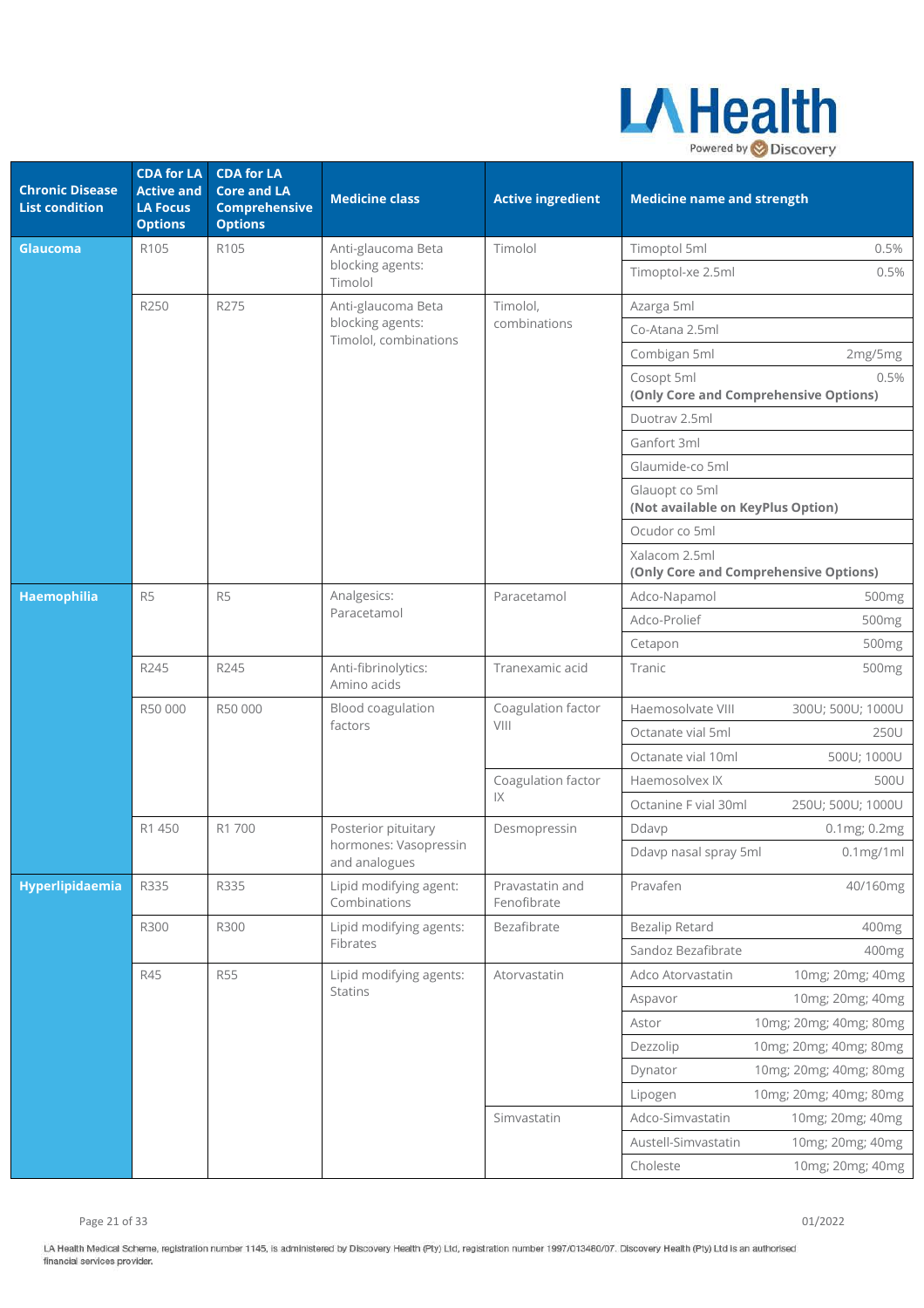

| <b>Chronic Disease</b><br><b>List condition</b> | <b>CDA for LA</b><br><b>Active and</b><br><b>LA Focus</b><br><b>Options</b> | <b>CDA for LA</b><br><b>Core and LA</b><br><b>Comprehensive</b><br><b>Options</b> | <b>Medicine class</b>                                           | <b>Active ingredient</b>       | <b>Medicine name and strength</b>                      |                        |
|-------------------------------------------------|-----------------------------------------------------------------------------|-----------------------------------------------------------------------------------|-----------------------------------------------------------------|--------------------------------|--------------------------------------------------------|------------------------|
| Glaucoma                                        | R105                                                                        | R105                                                                              | Anti-glaucoma Beta                                              | Timolol                        | Timoptol 5ml                                           | 0.5%                   |
|                                                 |                                                                             |                                                                                   | blocking agents:<br>Timolol                                     |                                | Timoptol-xe 2.5ml                                      | 0.5%                   |
|                                                 | R250                                                                        | R275                                                                              | Anti-glaucoma Beta<br>blocking agents:<br>Timolol, combinations | Timolol,                       | Azarga 5ml                                             |                        |
|                                                 |                                                                             |                                                                                   |                                                                 | combinations                   | Co-Atana 2.5ml                                         |                        |
|                                                 |                                                                             |                                                                                   |                                                                 |                                | Combigan 5ml                                           | 2mg/5mg                |
|                                                 |                                                                             |                                                                                   |                                                                 |                                | Cosopt 5ml<br>(Only Core and Comprehensive Options)    | 0.5%                   |
|                                                 |                                                                             |                                                                                   |                                                                 |                                | Duotrav 2.5ml                                          |                        |
|                                                 |                                                                             |                                                                                   |                                                                 |                                | Ganfort 3ml                                            |                        |
|                                                 |                                                                             |                                                                                   |                                                                 |                                | Glaumide-co 5ml                                        |                        |
|                                                 |                                                                             |                                                                                   |                                                                 |                                | Glauopt co 5ml<br>(Not available on KeyPlus Option)    |                        |
|                                                 |                                                                             |                                                                                   |                                                                 |                                | Ocudor co 5ml                                          |                        |
|                                                 |                                                                             |                                                                                   |                                                                 |                                | Xalacom 2.5ml<br>(Only Core and Comprehensive Options) |                        |
| Haemophilia                                     | R <sub>5</sub>                                                              | R <sub>5</sub>                                                                    | Analgesics:                                                     | Paracetamol                    | Adco-Napamol                                           | 500mg                  |
|                                                 |                                                                             |                                                                                   | Paracetamol                                                     |                                | Adco-Prolief                                           | 500mg                  |
|                                                 |                                                                             |                                                                                   |                                                                 |                                | Cetapon                                                | 500 <sub>mg</sub>      |
|                                                 | R245                                                                        | R245                                                                              | Anti-fibrinolytics:<br>Amino acids                              | Tranexamic acid                | Tranic                                                 | 500mg                  |
|                                                 | R50 000                                                                     | R50 000                                                                           | Blood coagulation<br>factors                                    | Coagulation factor<br>VIII     | Haemosolvate VIII                                      | 300U; 500U; 1000U      |
|                                                 |                                                                             |                                                                                   |                                                                 |                                | Octanate vial 5ml                                      | 250U                   |
|                                                 |                                                                             |                                                                                   |                                                                 |                                | Octanate vial 10ml                                     | 500U; 1000U            |
|                                                 |                                                                             |                                                                                   |                                                                 | Coagulation factor<br>1X       | Haemosolvex IX                                         | 500U                   |
|                                                 |                                                                             |                                                                                   |                                                                 |                                | Octanine F vial 30ml                                   | 250U; 500U; 1000U      |
|                                                 | R1 450                                                                      | R1 700                                                                            | Posterior pituitary                                             | Desmopressin                   | Ddavp                                                  | 0.1mg; 0.2mg           |
|                                                 |                                                                             |                                                                                   | hormones: Vasopressin<br>and analogues                          |                                | Ddavp nasal spray 5ml                                  | $0.1$ mg/1ml           |
| Hyperlipidaemia                                 | R335                                                                        | R335                                                                              | Lipid modifying agent:<br>Combinations                          | Pravastatin and<br>Fenofibrate | Pravafen                                               | 40/160mg               |
|                                                 | R300                                                                        | R300                                                                              | Lipid modifying agents:                                         | Bezafibrate                    | <b>Bezalip Retard</b>                                  | 400mg                  |
|                                                 |                                                                             |                                                                                   | Fibrates                                                        |                                | Sandoz Bezafibrate                                     | 400mg                  |
|                                                 | R45                                                                         | <b>R55</b>                                                                        | Lipid modifying agents:                                         | Atorvastatin                   | Adco Atorvastatin                                      | 10mg; 20mg; 40mg       |
|                                                 |                                                                             |                                                                                   | <b>Statins</b>                                                  |                                | Aspavor                                                | 10mg; 20mg; 40mg       |
|                                                 |                                                                             |                                                                                   |                                                                 |                                | Astor                                                  | 10mg; 20mg; 40mg; 80mg |
|                                                 |                                                                             |                                                                                   |                                                                 |                                | Dezzolip                                               | 10mg; 20mg; 40mg; 80mg |
|                                                 |                                                                             |                                                                                   |                                                                 |                                | Dynator                                                | 10mg; 20mg; 40mg; 80mg |
|                                                 |                                                                             |                                                                                   |                                                                 |                                | Lipogen                                                | 10mg; 20mg; 40mg; 80mg |
|                                                 |                                                                             |                                                                                   |                                                                 | Simvastatin                    | Adco-Simvastatin                                       | 10mg; 20mg; 40mg       |
|                                                 |                                                                             |                                                                                   |                                                                 |                                | Austell-Simvastatin                                    | 10mg; 20mg; 40mg       |
|                                                 |                                                                             |                                                                                   |                                                                 |                                | Choleste                                               | 10mg; 20mg; 40mg       |

Page 21 of 33 01/2022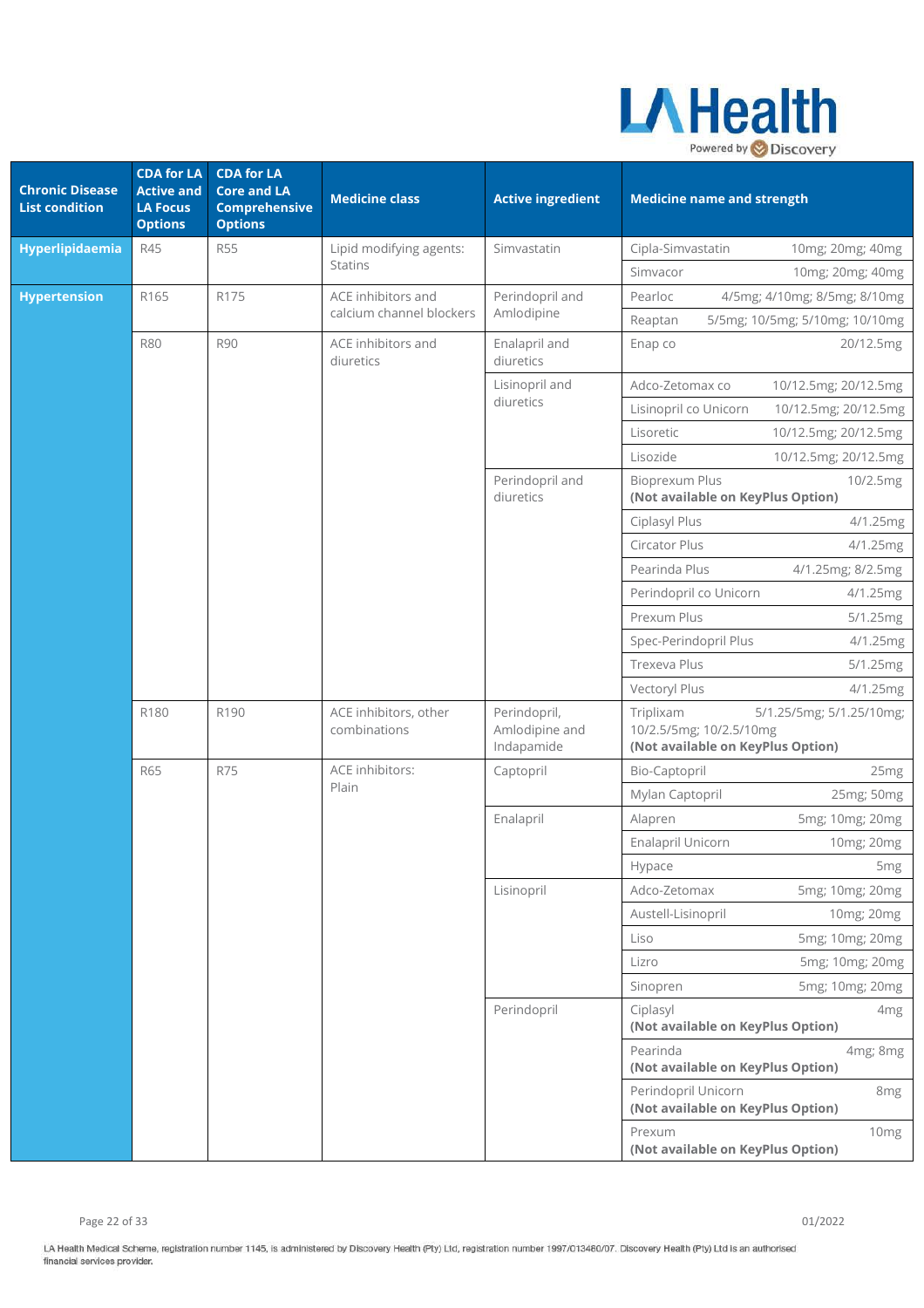

| <b>Chronic Disease</b><br><b>List condition</b> | <b>CDA for LA</b><br><b>Active and</b><br><b>LA Focus</b><br><b>Options</b> | <b>CDA for LA</b><br><b>Core and LA</b><br><b>Comprehensive</b><br><b>Options</b> | <b>Medicine class</b>                 | <b>Active ingredient</b>                     | <b>Medicine name and strength</b>                                                                     |
|-------------------------------------------------|-----------------------------------------------------------------------------|-----------------------------------------------------------------------------------|---------------------------------------|----------------------------------------------|-------------------------------------------------------------------------------------------------------|
| Hyperlipidaemia                                 | R45                                                                         | <b>R55</b>                                                                        | Lipid modifying agents:               | Simvastatin                                  | Cipla-Simvastatin<br>10mg; 20mg; 40mg                                                                 |
|                                                 |                                                                             |                                                                                   | <b>Statins</b>                        |                                              | Simvacor<br>10mg; 20mg; 40mg                                                                          |
| <b>Hypertension</b>                             | R165                                                                        | R175                                                                              | ACE inhibitors and                    | Perindopril and                              | Pearloc<br>4/5mg; 4/10mg; 8/5mg; 8/10mg                                                               |
|                                                 |                                                                             |                                                                                   | calcium channel blockers              | Amlodipine                                   | 5/5mg; 10/5mg; 5/10mg; 10/10mg<br>Reaptan                                                             |
|                                                 | <b>R80</b>                                                                  | <b>R90</b>                                                                        | ACE inhibitors and<br>diuretics       | Enalapril and<br>diuretics                   | Enap co<br>20/12.5mg                                                                                  |
|                                                 |                                                                             |                                                                                   |                                       | Lisinopril and                               | 10/12.5mg; 20/12.5mg<br>Adco-Zetomax co                                                               |
|                                                 |                                                                             |                                                                                   |                                       | diuretics                                    | Lisinopril co Unicorn<br>10/12.5mg; 20/12.5mg                                                         |
|                                                 |                                                                             |                                                                                   |                                       |                                              | Lisoretic<br>10/12.5mg; 20/12.5mg                                                                     |
|                                                 |                                                                             |                                                                                   |                                       |                                              | Lisozide<br>10/12.5mg; 20/12.5mg                                                                      |
|                                                 |                                                                             |                                                                                   |                                       | Perindopril and<br>diuretics                 | <b>Bioprexum Plus</b><br>10/2.5mg<br>(Not available on KeyPlus Option)                                |
|                                                 |                                                                             |                                                                                   |                                       |                                              | Ciplasyl Plus<br>4/1.25mg                                                                             |
|                                                 |                                                                             |                                                                                   |                                       |                                              | Circator Plus<br>4/1.25mg                                                                             |
|                                                 |                                                                             |                                                                                   |                                       |                                              | Pearinda Plus<br>4/1.25mg; 8/2.5mg                                                                    |
|                                                 |                                                                             |                                                                                   |                                       |                                              | Perindopril co Unicorn<br>4/1.25mg                                                                    |
|                                                 |                                                                             |                                                                                   |                                       |                                              | Prexum Plus<br>5/1.25mg                                                                               |
|                                                 |                                                                             |                                                                                   |                                       |                                              | Spec-Perindopril Plus<br>4/1.25mg                                                                     |
|                                                 |                                                                             |                                                                                   |                                       |                                              | Trexeva Plus<br>5/1.25mg                                                                              |
|                                                 |                                                                             |                                                                                   |                                       |                                              | Vectoryl Plus<br>4/1.25mg                                                                             |
|                                                 | R180                                                                        | R190                                                                              | ACE inhibitors, other<br>combinations | Perindopril,<br>Amlodipine and<br>Indapamide | Triplixam<br>5/1.25/5mg; 5/1.25/10mg;<br>10/2.5/5mg; 10/2.5/10mg<br>(Not available on KeyPlus Option) |
|                                                 | <b>R65</b>                                                                  | R75                                                                               | <b>ACE</b> inhibitors:                | Captopril                                    | Bio-Captopril<br>25 <sub>mg</sub>                                                                     |
|                                                 |                                                                             |                                                                                   | Plain                                 |                                              | 25mg; 50mg<br>Mylan Captopril                                                                         |
|                                                 |                                                                             |                                                                                   |                                       | Enalapril                                    | Alapren<br>5mg; 10mg; 20mg                                                                            |
|                                                 |                                                                             |                                                                                   |                                       |                                              | Enalapril Unicorn<br>10mg; 20mg                                                                       |
|                                                 |                                                                             |                                                                                   |                                       |                                              | Hypace<br>5 <sub>mg</sub>                                                                             |
|                                                 |                                                                             |                                                                                   |                                       | Lisinopril                                   | Adco-Zetomax<br>5mg; 10mg; 20mg                                                                       |
|                                                 |                                                                             |                                                                                   |                                       |                                              | Austell-Lisinopril<br>10mg; 20mg                                                                      |
|                                                 |                                                                             |                                                                                   |                                       |                                              | 5mg; 10mg; 20mg<br>Liso                                                                               |
|                                                 |                                                                             |                                                                                   |                                       |                                              | 5mg; 10mg; 20mg<br>Lizro                                                                              |
|                                                 |                                                                             |                                                                                   |                                       |                                              | 5mg; 10mg; 20mg<br>Sinopren                                                                           |
|                                                 |                                                                             |                                                                                   |                                       | Perindopril                                  | Ciplasyl<br>4 <sub>mg</sub><br>(Not available on KeyPlus Option)                                      |
|                                                 |                                                                             |                                                                                   |                                       |                                              | Pearinda<br>4mg; 8mg<br>(Not available on KeyPlus Option)                                             |
|                                                 |                                                                             |                                                                                   |                                       |                                              | Perindopril Unicorn<br>8mg<br>(Not available on KeyPlus Option)                                       |
|                                                 |                                                                             |                                                                                   |                                       |                                              | Prexum<br>10 <sub>mg</sub><br>(Not available on KeyPlus Option)                                       |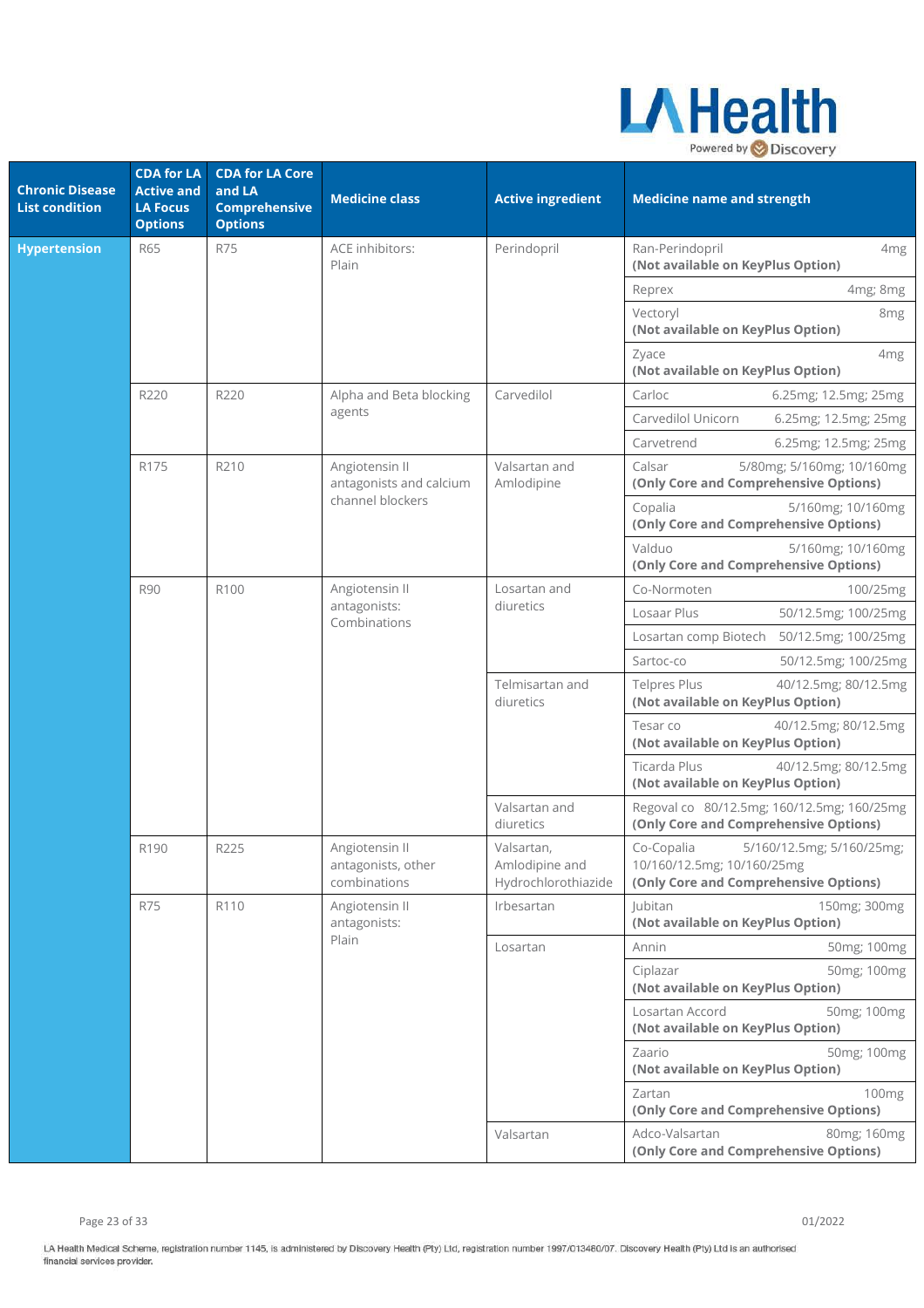

| <b>Chronic Disease</b><br><b>List condition</b> | <b>CDA for LA</b><br><b>Active and</b><br><b>LA Focus</b><br><b>Options</b> | <b>CDA</b> for LA Core<br>and LA<br><b>Comprehensive</b><br><b>Options</b> | <b>Medicine class</b>                                | <b>Active ingredient</b>                            | <b>Medicine name and strength</b>                                                                              |
|-------------------------------------------------|-----------------------------------------------------------------------------|----------------------------------------------------------------------------|------------------------------------------------------|-----------------------------------------------------|----------------------------------------------------------------------------------------------------------------|
| <b>Hypertension</b>                             | <b>R65</b>                                                                  | <b>R75</b>                                                                 | ACE inhibitors:<br>Plain                             | Perindopril                                         | Ran-Perindopril<br>4 <sub>mg</sub><br>(Not available on KeyPlus Option)                                        |
|                                                 |                                                                             |                                                                            |                                                      |                                                     | 4mg; 8mg<br>Reprex                                                                                             |
|                                                 |                                                                             |                                                                            |                                                      |                                                     | Vectoryl<br>8 <sub>mg</sub><br>(Not available on KeyPlus Option)                                               |
|                                                 |                                                                             |                                                                            |                                                      |                                                     | Zyace<br>4 <sub>mg</sub><br>(Not available on KeyPlus Option)                                                  |
|                                                 | R220                                                                        | R220                                                                       | Alpha and Beta blocking                              | Carvedilol                                          | Carloc<br>6.25mg; 12.5mg; 25mg                                                                                 |
|                                                 |                                                                             |                                                                            | agents                                               |                                                     | Carvedilol Unicorn<br>6.25mg; 12.5mg; 25mg                                                                     |
|                                                 |                                                                             |                                                                            |                                                      |                                                     | Carvetrend<br>6.25mg; 12.5mg; 25mg                                                                             |
|                                                 | R175                                                                        | R210                                                                       | Angiotensin II<br>antagonists and calcium            | Valsartan and<br>Amlodipine                         | Calsar<br>5/80mg; 5/160mg; 10/160mg<br>(Only Core and Comprehensive Options)                                   |
|                                                 |                                                                             |                                                                            | channel blockers                                     |                                                     | Copalia<br>5/160mg; 10/160mg<br>(Only Core and Comprehensive Options)                                          |
|                                                 |                                                                             |                                                                            |                                                      |                                                     | Valduo<br>5/160mg; 10/160mg<br>(Only Core and Comprehensive Options)                                           |
|                                                 | <b>R90</b>                                                                  | R100                                                                       | Angiotensin II                                       | Losartan and                                        | Co-Normoten<br>100/25mg                                                                                        |
|                                                 |                                                                             |                                                                            | antagonists:<br>Combinations                         | diuretics                                           | Losaar Plus<br>50/12.5mg; 100/25mg                                                                             |
|                                                 |                                                                             |                                                                            |                                                      |                                                     | Losartan comp Biotech 50/12.5mg; 100/25mg                                                                      |
|                                                 |                                                                             |                                                                            |                                                      |                                                     | Sartoc-co<br>50/12.5mg; 100/25mg                                                                               |
|                                                 |                                                                             |                                                                            |                                                      | Telmisartan and<br>diuretics                        | <b>Telpres Plus</b><br>40/12.5mg; 80/12.5mg<br>(Not available on KeyPlus Option)                               |
|                                                 |                                                                             |                                                                            |                                                      |                                                     | Tesar co<br>40/12.5mg; 80/12.5mg<br>(Not available on KeyPlus Option)                                          |
|                                                 |                                                                             |                                                                            |                                                      |                                                     | <b>Ticarda Plus</b><br>40/12.5mg; 80/12.5mg<br>(Not available on KeyPlus Option)                               |
|                                                 |                                                                             |                                                                            |                                                      | Valsartan and<br>diuretics                          | Regoval co 80/12.5mg; 160/12.5mg; 160/25mg<br>(Only Core and Comprehensive Options)                            |
|                                                 | R190                                                                        | R225                                                                       | Angiotensin II<br>antagonists, other<br>combinations | Valsartan,<br>Amlodipine and<br>Hydrochlorothiazide | Co-Copalia<br>5/160/12.5mg; 5/160/25mg;<br>10/160/12.5mg; 10/160/25mg<br>(Only Core and Comprehensive Options) |
|                                                 | <b>R75</b>                                                                  | R110                                                                       | Angiotensin II<br>antagonists:                       | Irbesartan                                          | <b>Jubitan</b><br>150mg; 300mg<br>(Not available on KeyPlus Option)                                            |
|                                                 |                                                                             |                                                                            | Plain                                                | Losartan                                            | Annin<br>50mg; 100mg                                                                                           |
|                                                 |                                                                             |                                                                            |                                                      |                                                     | Ciplazar<br>50mg; 100mg<br>(Not available on KeyPlus Option)                                                   |
|                                                 |                                                                             |                                                                            |                                                      |                                                     | Losartan Accord<br>50mg; 100mg<br>(Not available on KeyPlus Option)                                            |
|                                                 |                                                                             |                                                                            |                                                      |                                                     | Zaario<br>50mg; 100mg<br>(Not available on KeyPlus Option)                                                     |
|                                                 |                                                                             |                                                                            |                                                      |                                                     | Zartan<br>100 <sub>mg</sub><br>(Only Core and Comprehensive Options)                                           |
|                                                 |                                                                             |                                                                            |                                                      | Valsartan                                           | Adco-Valsartan<br>80mg; 160mg<br>(Only Core and Comprehensive Options)                                         |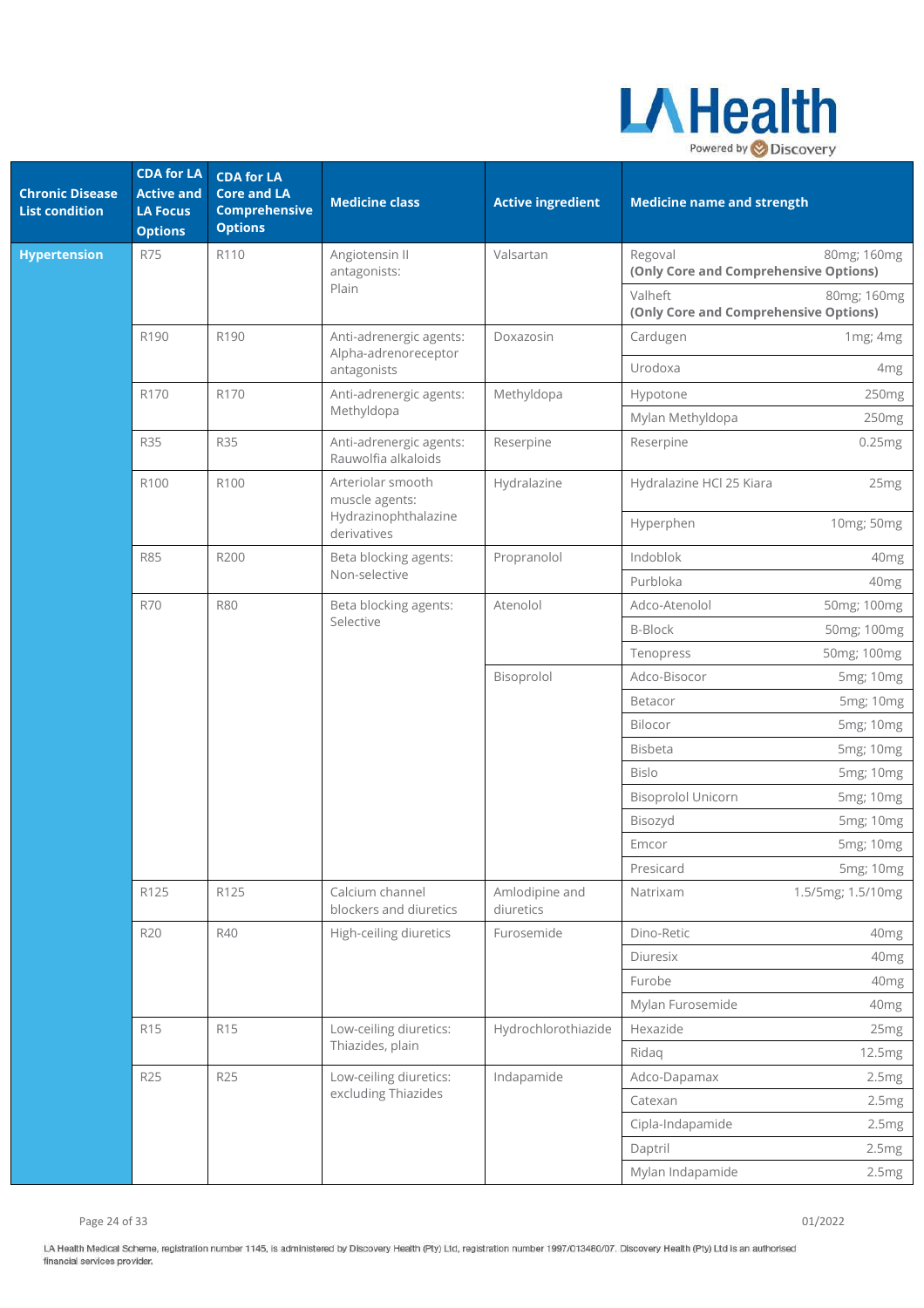

| <b>Chronic Disease</b><br><b>List condition</b> | <b>CDA for LA</b><br><b>Active and</b><br><b>LA Focus</b><br><b>Options</b> | <b>CDA for LA</b><br><b>Core and LA</b><br><b>Comprehensive</b><br><b>Options</b> | <b>Medicine class</b>                           | <b>Active ingredient</b>    | <b>Medicine name and strength</b>                |                   |
|-------------------------------------------------|-----------------------------------------------------------------------------|-----------------------------------------------------------------------------------|-------------------------------------------------|-----------------------------|--------------------------------------------------|-------------------|
| <b>Hypertension</b>                             | <b>R75</b>                                                                  | R110                                                                              | Angiotensin II<br>antagonists:                  | Valsartan                   | Regoval<br>(Only Core and Comprehensive Options) | 80mg; 160mg       |
|                                                 |                                                                             |                                                                                   | Plain                                           |                             | Valheft<br>(Only Core and Comprehensive Options) | 80mg; 160mg       |
|                                                 | R190                                                                        | R190                                                                              | Anti-adrenergic agents:<br>Alpha-adrenoreceptor | Doxazosin                   | Cardugen                                         | 1mg; 4mg          |
|                                                 |                                                                             |                                                                                   | antagonists                                     |                             | Urodoxa                                          | 4mg               |
|                                                 | R170                                                                        | R170                                                                              | Anti-adrenergic agents:<br>Methyldopa           | Methyldopa                  | Hypotone                                         | 250mg             |
|                                                 |                                                                             |                                                                                   |                                                 |                             | Mylan Methyldopa                                 | 250mg             |
|                                                 | <b>R35</b>                                                                  | <b>R35</b>                                                                        | Anti-adrenergic agents:<br>Rauwolfia alkaloids  | Reserpine                   | Reserpine                                        | 0.25mg            |
|                                                 | R100                                                                        | R100                                                                              | Arteriolar smooth<br>muscle agents:             | Hydralazine                 | Hydralazine HCl 25 Kiara                         | 25mg              |
|                                                 |                                                                             |                                                                                   | Hydrazinophthalazine<br>derivatives             |                             | Hyperphen                                        | 10mg; 50mg        |
|                                                 | <b>R85</b>                                                                  | R200                                                                              | Beta blocking agents:<br>Non-selective          | Propranolol                 | Indoblok                                         | 40mg              |
|                                                 |                                                                             |                                                                                   |                                                 |                             | Purbloka                                         | 40mg              |
| <b>R70</b>                                      |                                                                             | <b>R80</b>                                                                        | Beta blocking agents:                           | Atenolol                    | Adco-Atenolol                                    | 50mg; 100mg       |
|                                                 |                                                                             |                                                                                   | Selective                                       |                             | <b>B-Block</b>                                   | 50mg; 100mg       |
|                                                 |                                                                             |                                                                                   |                                                 |                             | Tenopress                                        | 50mg; 100mg       |
|                                                 |                                                                             |                                                                                   |                                                 | Bisoprolol                  | Adco-Bisocor                                     | 5mg; 10mg         |
|                                                 |                                                                             |                                                                                   |                                                 |                             | Betacor                                          | 5mg; 10mg         |
|                                                 |                                                                             |                                                                                   |                                                 |                             | Bilocor                                          | 5mg; 10mg         |
|                                                 |                                                                             |                                                                                   |                                                 |                             | <b>Bisbeta</b>                                   | 5mg; 10mg         |
|                                                 |                                                                             |                                                                                   |                                                 |                             | <b>Bislo</b>                                     | 5mg; 10mg         |
|                                                 |                                                                             |                                                                                   |                                                 |                             | <b>Bisoprolol Unicorn</b>                        | 5mg; 10mg         |
|                                                 |                                                                             |                                                                                   |                                                 |                             | Bisozyd                                          | 5mg; 10mg         |
|                                                 |                                                                             |                                                                                   |                                                 |                             | Emcor                                            | 5mg; 10mg         |
|                                                 |                                                                             |                                                                                   |                                                 |                             | Presicard                                        | 5mg; 10mg         |
|                                                 | R125                                                                        | R125                                                                              | Calcium channel<br>blockers and diuretics       | Amlodipine and<br>diuretics | Natrixam                                         | 1.5/5mg; 1.5/10mg |
|                                                 | <b>R20</b>                                                                  | R40                                                                               | High-ceiling diuretics                          | Furosemide                  | Dino-Retic                                       | 40 <sub>mg</sub>  |
|                                                 |                                                                             |                                                                                   |                                                 |                             | Diuresix                                         | 40mg              |
|                                                 |                                                                             |                                                                                   |                                                 |                             | Furobe                                           | 40mg              |
|                                                 |                                                                             |                                                                                   |                                                 |                             | Mylan Furosemide                                 | 40mg              |
|                                                 | R15                                                                         | R15                                                                               | Low-ceiling diuretics:                          | Hydrochlorothiazide         | Hexazide                                         | 25mg              |
|                                                 |                                                                             |                                                                                   | Thiazides, plain                                |                             | Ridaq                                            | 12.5mg            |
|                                                 | <b>R25</b>                                                                  | R25                                                                               | Low-ceiling diuretics:                          | Indapamide                  | Adco-Dapamax                                     | 2.5mg             |
|                                                 |                                                                             |                                                                                   | excluding Thiazides                             |                             | Catexan                                          | 2.5mg             |
|                                                 |                                                                             |                                                                                   |                                                 |                             | Cipla-Indapamide                                 | 2.5mg             |
|                                                 |                                                                             |                                                                                   |                                                 |                             | Daptril                                          | 2.5mg             |
|                                                 |                                                                             |                                                                                   |                                                 |                             | Mylan Indapamide                                 | 2.5mg             |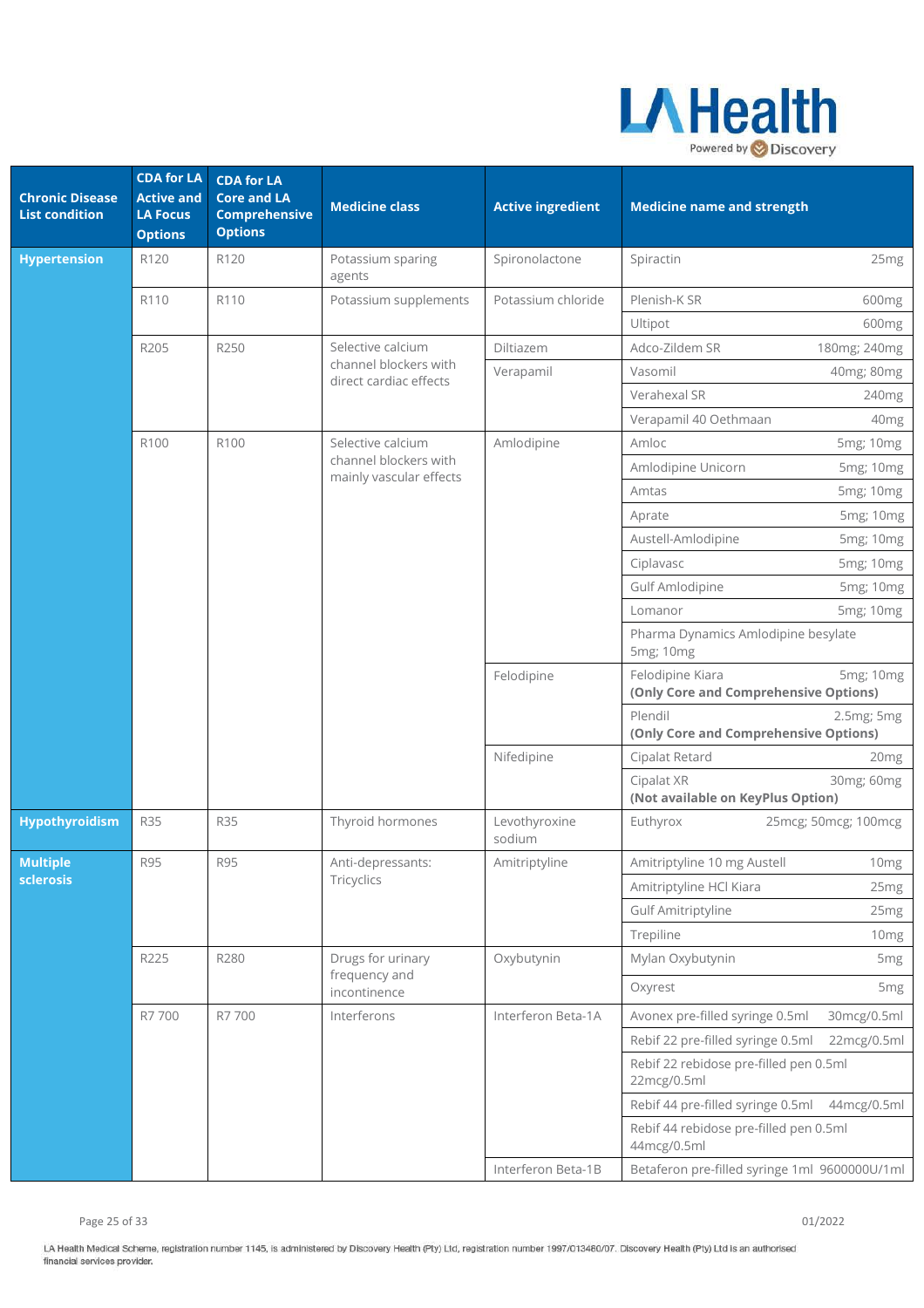

| <b>Chronic Disease</b><br><b>List condition</b> | <b>CDA for LA</b><br><b>Active and</b><br><b>LA Focus</b><br><b>Options</b> | <b>CDA for LA</b><br><b>Core and LA</b><br><b>Comprehensive</b><br><b>Options</b> | <b>Medicine class</b>                            | <b>Active ingredient</b> | <b>Medicine name and strength</b>                                      |
|-------------------------------------------------|-----------------------------------------------------------------------------|-----------------------------------------------------------------------------------|--------------------------------------------------|--------------------------|------------------------------------------------------------------------|
| <b>Hypertension</b>                             | R120                                                                        | R120                                                                              | Potassium sparing<br>agents                      | Spironolactone           | Spiractin<br>25 <sub>mg</sub>                                          |
|                                                 | R110                                                                        | R110                                                                              | Potassium supplements                            | Potassium chloride       | Plenish-K SR<br>600 <sub>mg</sub>                                      |
|                                                 |                                                                             |                                                                                   |                                                  |                          | Ultipot<br>600 <sub>mg</sub>                                           |
|                                                 | R205                                                                        | R250                                                                              | Selective calcium                                | Diltiazem                | Adco-Zildem SR<br>180mg; 240mg                                         |
|                                                 |                                                                             |                                                                                   | channel blockers with<br>direct cardiac effects  | Verapamil                | Vasomil<br>40mg; 80mg                                                  |
|                                                 |                                                                             |                                                                                   |                                                  |                          | Verahexal SR<br>240 <sub>mg</sub>                                      |
|                                                 |                                                                             |                                                                                   |                                                  |                          | Verapamil 40 Oethmaan<br>40 <sub>mg</sub>                              |
|                                                 | R100                                                                        | R100                                                                              | Selective calcium                                | Amlodipine               | Amloc<br>5mg; 10mg                                                     |
|                                                 |                                                                             |                                                                                   | channel blockers with<br>mainly vascular effects |                          | Amlodipine Unicorn<br>5mg; 10mg                                        |
|                                                 |                                                                             |                                                                                   |                                                  |                          | 5mg; 10mg<br>Amtas                                                     |
|                                                 |                                                                             |                                                                                   |                                                  |                          | 5mg; 10mg<br>Aprate                                                    |
|                                                 |                                                                             |                                                                                   |                                                  |                          | Austell-Amlodipine<br>5mg; 10mg                                        |
|                                                 |                                                                             |                                                                                   |                                                  |                          | Ciplavasc<br>5mg; 10mg                                                 |
|                                                 |                                                                             |                                                                                   |                                                  |                          | Gulf Amlodipine<br>5mg; 10mg                                           |
|                                                 |                                                                             |                                                                                   |                                                  |                          | Lomanor<br>5mg; 10mg                                                   |
|                                                 |                                                                             |                                                                                   |                                                  |                          | Pharma Dynamics Amlodipine besylate<br>5mg; 10mg                       |
|                                                 |                                                                             |                                                                                   |                                                  | Felodipine               | Felodipine Kiara<br>5mg; 10mg<br>(Only Core and Comprehensive Options) |
|                                                 |                                                                             |                                                                                   |                                                  |                          | Plendil<br>2.5mg; 5mg<br>(Only Core and Comprehensive Options)         |
|                                                 |                                                                             |                                                                                   |                                                  | Nifedipine               | Cipalat Retard<br>20mg                                                 |
|                                                 |                                                                             |                                                                                   |                                                  |                          | 30mg; 60mg<br>Cipalat XR<br>(Not available on KeyPlus Option)          |
| Hypothyroidism                                  | <b>R35</b>                                                                  | <b>R35</b>                                                                        | Thyroid hormones                                 | Levothyroxine<br>sodium  | Euthyrox<br>25mcg; 50mcg; 100mcg                                       |
| <b>Multiple</b>                                 | <b>R95</b>                                                                  | <b>R95</b>                                                                        | Anti-depressants:                                | Amitriptyline            | Amitriptyline 10 mg Austell<br>10mg                                    |
| sclerosis                                       |                                                                             |                                                                                   | Tricyclics                                       |                          | Amitriptyline HCl Kiara<br>25 <sub>mg</sub>                            |
|                                                 |                                                                             |                                                                                   |                                                  |                          | <b>Gulf Amitriptyline</b><br>25mg                                      |
|                                                 |                                                                             |                                                                                   |                                                  |                          | Trepiline<br>10 <sub>mg</sub>                                          |
|                                                 | R225                                                                        | R280                                                                              | Drugs for urinary                                | Oxybutynin               | Mylan Oxybutynin<br>5 <sub>mg</sub>                                    |
|                                                 |                                                                             |                                                                                   | frequency and<br>incontinence                    |                          | Oxyrest<br>5 <sub>mg</sub>                                             |
|                                                 | R7 700                                                                      | R7 700                                                                            | Interferons                                      | Interferon Beta-1A       | Avonex pre-filled syringe 0.5ml<br>30mcg/0.5ml                         |
|                                                 |                                                                             |                                                                                   |                                                  |                          | Rebif 22 pre-filled syringe 0.5ml<br>22mcg/0.5ml                       |
|                                                 |                                                                             |                                                                                   |                                                  |                          | Rebif 22 rebidose pre-filled pen 0.5ml<br>22mcg/0.5ml                  |
|                                                 |                                                                             |                                                                                   |                                                  |                          | Rebif 44 pre-filled syringe 0.5ml<br>44mcg/0.5ml                       |
|                                                 |                                                                             |                                                                                   |                                                  |                          | Rebif 44 rebidose pre-filled pen 0.5ml<br>44mcg/0.5ml                  |
|                                                 |                                                                             |                                                                                   |                                                  | Interferon Beta-1B       | Betaferon pre-filled syringe 1ml 9600000U/1ml                          |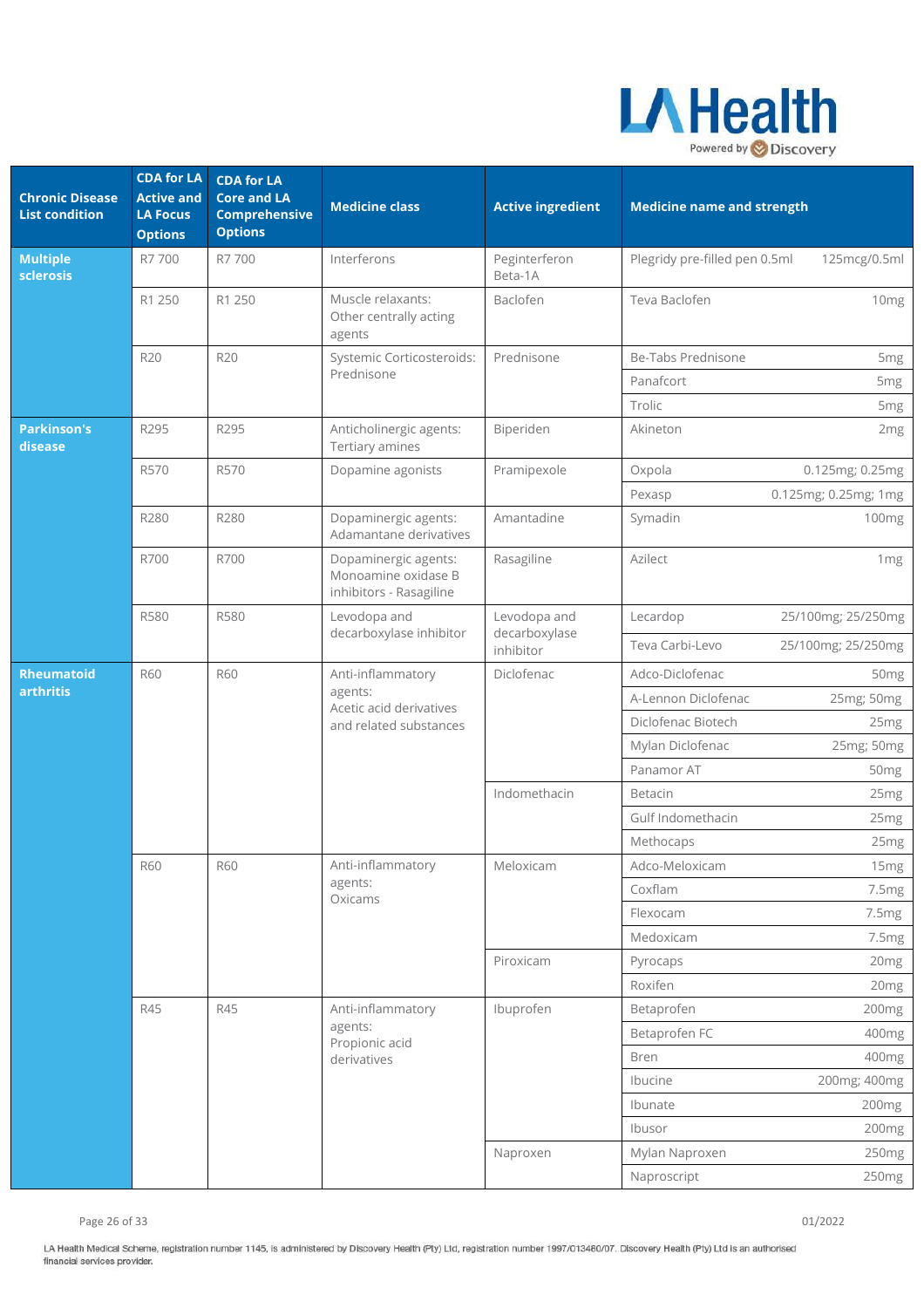

| <b>Chronic Disease</b><br><b>List condition</b> | <b>CDA for LA</b><br><b>Active and</b><br><b>LA Focus</b><br><b>Options</b> | <b>CDA for LA</b><br><b>Core and LA</b><br><b>Comprehensive</b><br><b>Options</b> | <b>Medicine class</b>                                                  | <b>Active ingredient</b>                   | <b>Medicine name and strength</b>         |                                                       |
|-------------------------------------------------|-----------------------------------------------------------------------------|-----------------------------------------------------------------------------------|------------------------------------------------------------------------|--------------------------------------------|-------------------------------------------|-------------------------------------------------------|
| <b>Multiple</b><br>sclerosis                    | R7 700                                                                      | R7 700                                                                            | Interferons                                                            | Peginterferon<br>Beta-1A                   | Plegridy pre-filled pen 0.5ml             | 125mcg/0.5ml                                          |
|                                                 | R1 250                                                                      | R1 250                                                                            | Muscle relaxants:<br>Other centrally acting<br>agents                  | Baclofen                                   | Teva Baclofen                             | 10 <sub>mg</sub>                                      |
|                                                 | R20                                                                         | R20                                                                               | Systemic Corticosteroids:<br>Prednisone                                | Prednisone                                 | Be-Tabs Prednisone<br>Panafcort<br>Trolic | 5 <sub>mg</sub><br>5 <sub>mg</sub><br>5 <sub>mg</sub> |
| <b>Parkinson's</b><br>disease                   | R295                                                                        | R295                                                                              | Anticholinergic agents:<br>Tertiary amines                             | Biperiden                                  | Akineton                                  | 2 <sub>mg</sub>                                       |
|                                                 | R570                                                                        | R570                                                                              | Dopamine agonists                                                      | Pramipexole                                | Oxpola<br>Pexasp                          | 0.125mg; 0.25mg<br>0.125mg; 0.25mg; 1mg               |
|                                                 | R280                                                                        | R280                                                                              | Dopaminergic agents:<br>Adamantane derivatives                         | Amantadine                                 | Symadin                                   | 100mg                                                 |
|                                                 | R700                                                                        | R700                                                                              | Dopaminergic agents:<br>Monoamine oxidase B<br>inhibitors - Rasagiline | Rasagiline                                 | Azilect                                   | 1mg                                                   |
|                                                 | <b>R580</b>                                                                 | <b>R580</b>                                                                       | Levodopa and<br>decarboxylase inhibitor                                | Levodopa and<br>decarboxylase<br>inhibitor | Lecardop<br>Teva Carbi-Levo               | 25/100mg; 25/250mg<br>25/100mg; 25/250mg              |
| <b>Rheumatoid</b>                               | <b>R60</b>                                                                  | <b>R60</b>                                                                        | Anti-inflammatory                                                      | Diclofenac                                 | Adco-Diclofenac                           | 50 <sub>mg</sub>                                      |
| arthritis                                       |                                                                             |                                                                                   | agents:<br>Acetic acid derivatives<br>and related substances           |                                            | A-Lennon Diclofenac                       | 25mg; 50mg                                            |
|                                                 |                                                                             |                                                                                   |                                                                        |                                            | Diclofenac Biotech                        | 25 <sub>mg</sub>                                      |
|                                                 |                                                                             |                                                                                   |                                                                        |                                            | Mylan Diclofenac                          | 25mg; 50mg                                            |
|                                                 |                                                                             |                                                                                   |                                                                        |                                            | Panamor AT                                | 50 <sub>mg</sub>                                      |
|                                                 |                                                                             |                                                                                   |                                                                        | Indomethacin                               | <b>Betacin</b>                            | 25 <sub>mg</sub>                                      |
|                                                 |                                                                             |                                                                                   |                                                                        |                                            | Gulf Indomethacin                         | 25 <sub>mg</sub>                                      |
|                                                 |                                                                             |                                                                                   |                                                                        |                                            | Methocaps                                 | 25 <sub>mg</sub>                                      |
|                                                 | <b>R60</b>                                                                  | <b>R60</b>                                                                        | Anti-inflammatory                                                      | Meloxicam                                  | Adco-Meloxicam                            | 15mg                                                  |
|                                                 |                                                                             |                                                                                   | agents:<br>Oxicams                                                     |                                            | Coxflam                                   | 7.5mg                                                 |
|                                                 |                                                                             |                                                                                   |                                                                        |                                            | Flexocam                                  | 7.5mg                                                 |
|                                                 |                                                                             |                                                                                   |                                                                        |                                            | Medoxicam                                 | 7.5mg                                                 |
|                                                 |                                                                             |                                                                                   |                                                                        | Piroxicam                                  | Pyrocaps                                  | 20 <sub>mg</sub>                                      |
|                                                 |                                                                             |                                                                                   |                                                                        |                                            | Roxifen                                   | 20 <sub>mg</sub>                                      |
|                                                 | R45                                                                         | <b>R45</b>                                                                        | Anti-inflammatory                                                      | Ibuprofen                                  | Betaprofen                                | 200mg                                                 |
|                                                 |                                                                             |                                                                                   | agents:<br>Propionic acid                                              |                                            | Betaprofen FC                             | 400mg                                                 |
|                                                 |                                                                             |                                                                                   | derivatives                                                            |                                            | Bren                                      | 400mg                                                 |
|                                                 |                                                                             |                                                                                   |                                                                        |                                            | Ibucine                                   | 200mg; 400mg                                          |
|                                                 |                                                                             |                                                                                   |                                                                        |                                            | Ibunate                                   | 200mg                                                 |
|                                                 |                                                                             |                                                                                   |                                                                        |                                            | Ibusor                                    | 200 <sub>mg</sub>                                     |
|                                                 |                                                                             |                                                                                   |                                                                        | Naproxen                                   | Mylan Naproxen                            | 250mg                                                 |
|                                                 |                                                                             |                                                                                   |                                                                        |                                            | Naproscript                               | 250mg                                                 |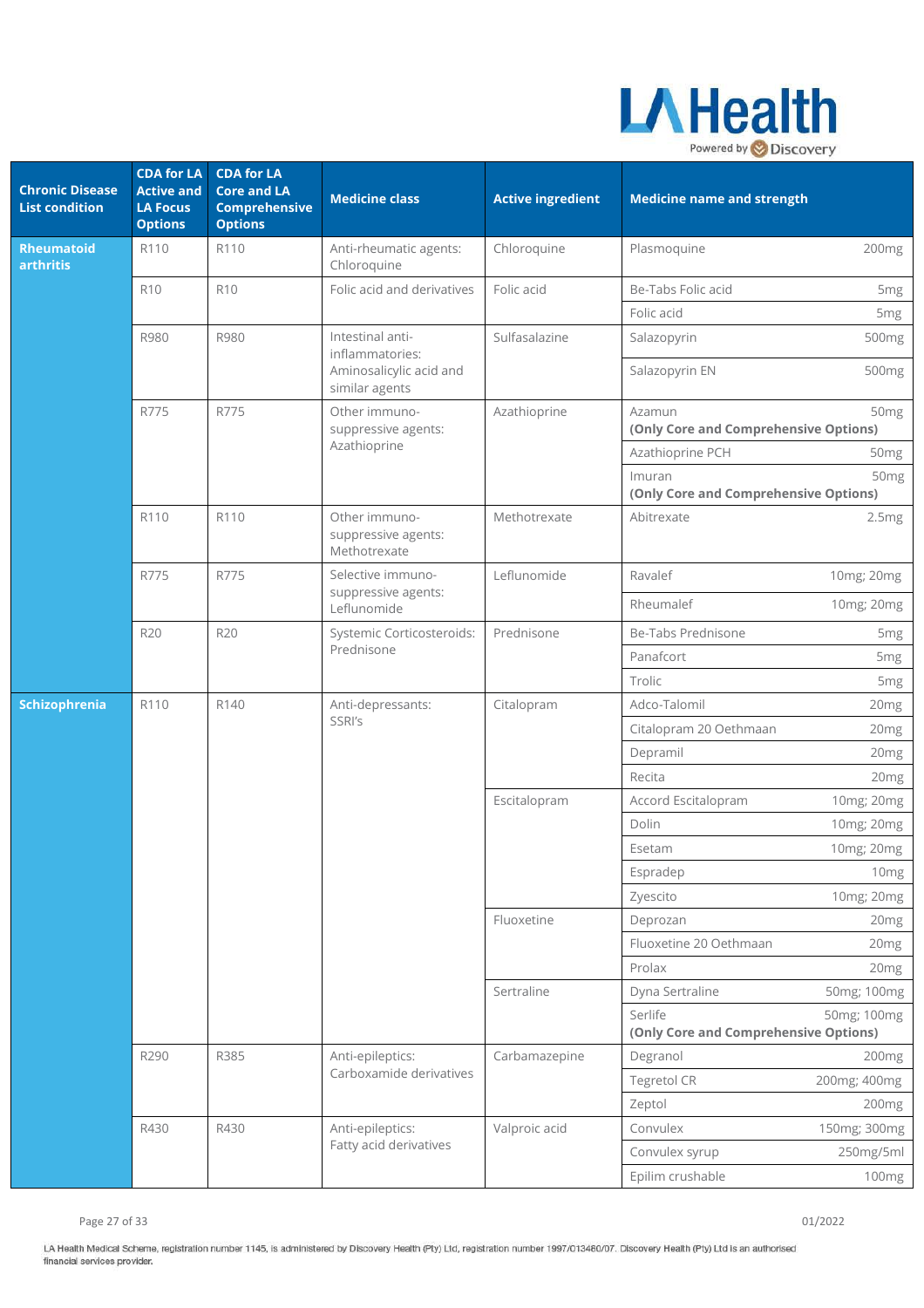

| <b>Chronic Disease</b><br><b>List condition</b> | <b>CDA for LA</b><br><b>Active and</b><br><b>LA Focus</b><br><b>Options</b> | <b>CDA for LA</b><br><b>Core and LA</b><br><b>Comprehensive</b><br><b>Options</b> | <b>Medicine class</b>                                   | <b>Active ingredient</b> | <b>Medicine name and strength</b>                |                  |
|-------------------------------------------------|-----------------------------------------------------------------------------|-----------------------------------------------------------------------------------|---------------------------------------------------------|--------------------------|--------------------------------------------------|------------------|
| <b>Rheumatoid</b><br>arthritis                  | R110                                                                        | R110                                                                              | Anti-rheumatic agents:<br>Chloroquine                   | Chloroquine              | Plasmoquine                                      | 200mg            |
|                                                 | <b>R10</b>                                                                  | <b>R10</b>                                                                        | Folic acid and derivatives                              | Folic acid               | Be-Tabs Folic acid                               | 5 <sub>mg</sub>  |
|                                                 |                                                                             |                                                                                   |                                                         |                          | Folic acid                                       | 5 <sub>mg</sub>  |
|                                                 | R980                                                                        | R980                                                                              | Intestinal anti-<br>inflammatories:                     | Sulfasalazine            | Salazopyrin                                      | 500mg            |
|                                                 |                                                                             |                                                                                   | Aminosalicylic acid and<br>similar agents               |                          | Salazopyrin EN                                   | 500mg            |
|                                                 | R775                                                                        | R775                                                                              | Other immuno-<br>suppressive agents:                    | Azathioprine             | Azamun<br>(Only Core and Comprehensive Options)  | 50 <sub>mg</sub> |
|                                                 |                                                                             |                                                                                   | Azathioprine                                            |                          | Azathioprine PCH                                 | 50 <sub>mg</sub> |
|                                                 |                                                                             |                                                                                   |                                                         |                          | Imuran<br>(Only Core and Comprehensive Options)  | 50 <sub>mg</sub> |
|                                                 | R110                                                                        | R110                                                                              | Other immuno-<br>suppressive agents:<br>Methotrexate    | Methotrexate             | Abitrexate                                       | 2.5mg            |
|                                                 | R775                                                                        | R775                                                                              | Selective immuno-<br>suppressive agents:<br>Leflunomide | Leflunomide              | Ravalef                                          | 10mg; 20mg       |
|                                                 |                                                                             |                                                                                   |                                                         |                          | Rheumalef                                        | 10mg; 20mg       |
|                                                 | R20                                                                         | R20                                                                               | Systemic Corticosteroids:<br>Prednisone                 | Prednisone               | Be-Tabs Prednisone                               | 5 <sub>mg</sub>  |
|                                                 |                                                                             |                                                                                   |                                                         |                          | Panafcort                                        | 5mg              |
|                                                 |                                                                             |                                                                                   |                                                         |                          | Trolic                                           | 5 <sub>mg</sub>  |
| Schizophrenia                                   | R110                                                                        | R140                                                                              | Anti-depressants:<br>SSRI's                             | Citalopram               | Adco-Talomil                                     | 20mg             |
|                                                 |                                                                             |                                                                                   |                                                         |                          | Citalopram 20 Oethmaan                           | 20 <sub>mg</sub> |
|                                                 |                                                                             |                                                                                   |                                                         |                          | Depramil                                         | 20 <sub>mg</sub> |
|                                                 |                                                                             |                                                                                   |                                                         |                          | Recita                                           | 20mg             |
|                                                 |                                                                             |                                                                                   |                                                         | Escitalopram             | Accord Escitalopram                              | 10mg; 20mg       |
|                                                 |                                                                             |                                                                                   |                                                         |                          | Dolin                                            | 10mg; 20mg       |
|                                                 |                                                                             |                                                                                   |                                                         |                          | Esetam                                           | 10mg; 20mg       |
|                                                 |                                                                             |                                                                                   |                                                         |                          | Espradep                                         | 10mg             |
|                                                 |                                                                             |                                                                                   |                                                         |                          | Zyescito                                         | 10mg; 20mg       |
|                                                 |                                                                             |                                                                                   |                                                         | Fluoxetine               | Deprozan                                         | 20mg             |
|                                                 |                                                                             |                                                                                   |                                                         |                          | Fluoxetine 20 Oethmaan                           | 20 <sub>mg</sub> |
|                                                 |                                                                             | R385                                                                              |                                                         | Sertraline               | Prolax                                           | 20mg             |
|                                                 |                                                                             |                                                                                   |                                                         |                          | Dyna Sertraline                                  | 50mg; 100mg      |
|                                                 |                                                                             |                                                                                   |                                                         |                          | Serlife<br>(Only Core and Comprehensive Options) | 50mg; 100mg      |
|                                                 | R290                                                                        |                                                                                   | Anti-epileptics:                                        | Carbamazepine            | Degranol                                         | 200mg            |
|                                                 |                                                                             |                                                                                   | Carboxamide derivatives                                 |                          | Tegretol CR                                      | 200mg; 400mg     |
|                                                 |                                                                             |                                                                                   |                                                         |                          | Zeptol                                           | 200mg            |
|                                                 | R430                                                                        | R430                                                                              | Anti-epileptics:                                        | Valproic acid            | Convulex                                         | 150mg; 300mg     |
|                                                 |                                                                             |                                                                                   | Fatty acid derivatives                                  |                          | Convulex syrup                                   | 250mg/5ml        |
|                                                 |                                                                             |                                                                                   |                                                         |                          | Epilim crushable                                 | 100mg            |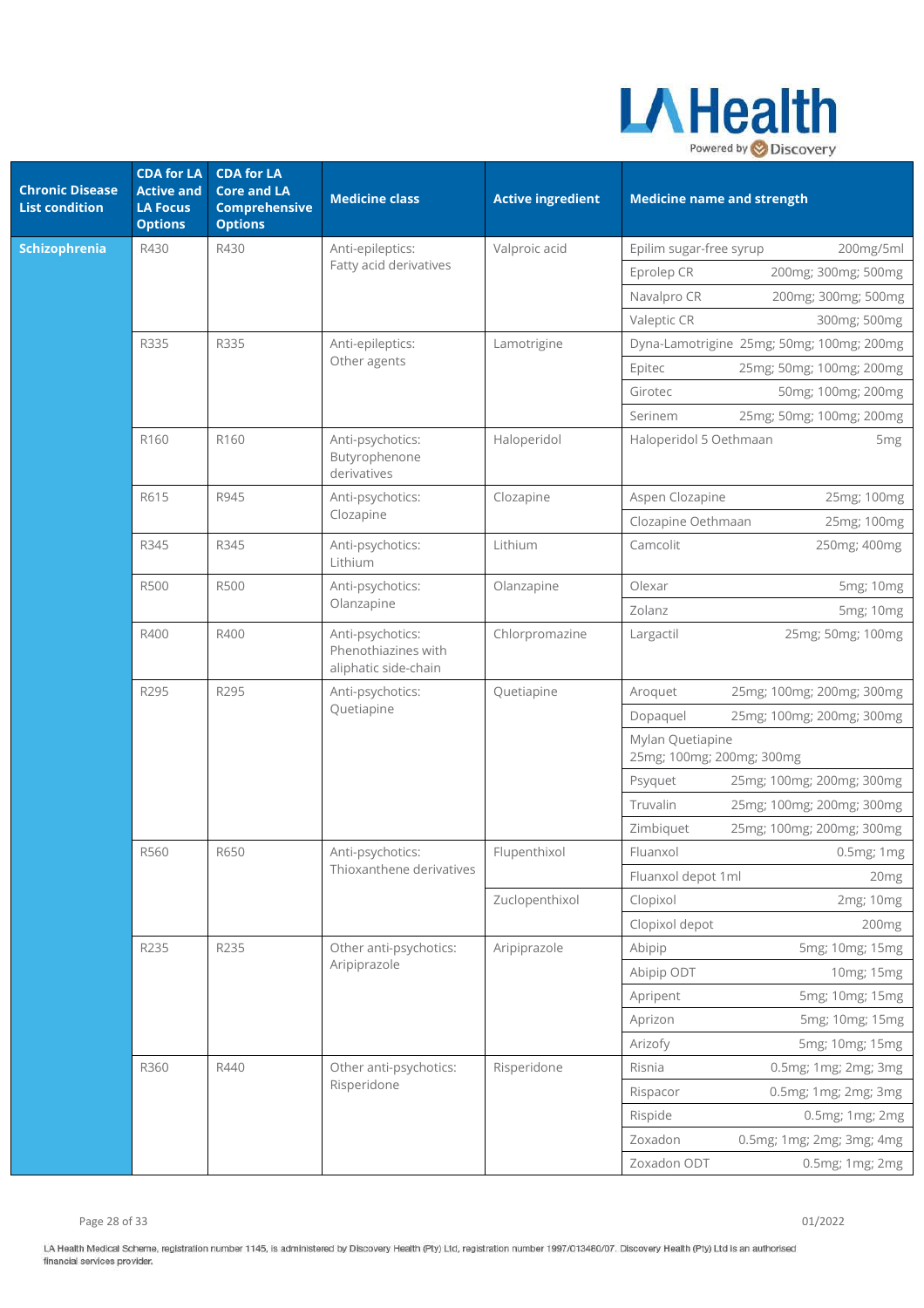

| <b>Chronic Disease</b><br><b>List condition</b> | <b>CDA</b> for LA<br><b>Active and</b><br><b>LA Focus</b><br><b>Options</b> | <b>CDA for LA</b><br><b>Core and LA</b><br><b>Comprehensive</b><br><b>Options</b> | <b>Medicine class</b>                                           | <b>Active ingredient</b> | <b>Medicine name and strength</b>             |                                           |
|-------------------------------------------------|-----------------------------------------------------------------------------|-----------------------------------------------------------------------------------|-----------------------------------------------------------------|--------------------------|-----------------------------------------------|-------------------------------------------|
| <b>Schizophrenia</b>                            | R430                                                                        | R430                                                                              | Anti-epileptics:                                                | Valproic acid            | Epilim sugar-free syrup                       | 200mg/5ml                                 |
|                                                 |                                                                             |                                                                                   | Fatty acid derivatives                                          |                          | Eprolep CR                                    | 200mg; 300mg; 500mg                       |
|                                                 |                                                                             |                                                                                   |                                                                 |                          | Navalpro CR                                   | 200mg; 300mg; 500mg                       |
|                                                 |                                                                             |                                                                                   |                                                                 |                          | Valeptic CR                                   | 300mg; 500mg                              |
|                                                 | R335                                                                        | R335                                                                              | Anti-epileptics:                                                | Lamotrigine              |                                               | Dyna-Lamotrigine 25mg; 50mg; 100mg; 200mg |
|                                                 |                                                                             |                                                                                   | Other agents                                                    |                          | Epitec                                        | 25mg; 50mg; 100mg; 200mg                  |
|                                                 |                                                                             |                                                                                   |                                                                 |                          | Girotec                                       | 50mg; 100mg; 200mg                        |
|                                                 |                                                                             |                                                                                   |                                                                 |                          | Serinem                                       | 25mg; 50mg; 100mg; 200mg                  |
|                                                 | R160                                                                        | R160                                                                              | Anti-psychotics:<br>Butyrophenone<br>derivatives                | Haloperidol              | Haloperidol 5 Oethmaan                        | 5 <sub>mg</sub>                           |
|                                                 | R615                                                                        | R945                                                                              | Anti-psychotics:                                                | Clozapine                | Aspen Clozapine                               | 25mg; 100mg                               |
|                                                 |                                                                             |                                                                                   | Clozapine                                                       |                          | Clozapine Oethmaan                            | 25mg; 100mg                               |
|                                                 | R345                                                                        | R345                                                                              | Anti-psychotics:<br>Lithium                                     | Lithium                  | Camcolit                                      | 250mg; 400mg                              |
|                                                 | <b>R500</b>                                                                 | <b>R500</b>                                                                       | Anti-psychotics:<br>Olanzapine                                  | Olanzapine               | Olexar                                        | 5mg; 10mg                                 |
|                                                 |                                                                             |                                                                                   |                                                                 |                          | Zolanz                                        | 5mg; 10mg                                 |
|                                                 | R400                                                                        | R400                                                                              | Anti-psychotics:<br>Phenothiazines with<br>aliphatic side-chain | Chlorpromazine           | Largactil                                     | 25mg; 50mg; 100mg                         |
|                                                 | R295                                                                        | R295                                                                              | Anti-psychotics:<br>Quetiapine                                  | Quetiapine               | Aroquet                                       | 25mg; 100mg; 200mg; 300mg                 |
|                                                 |                                                                             |                                                                                   |                                                                 |                          | Dopaquel                                      | 25mg; 100mg; 200mg; 300mg                 |
|                                                 |                                                                             |                                                                                   |                                                                 |                          | Mylan Quetiapine<br>25mg; 100mg; 200mg; 300mg |                                           |
|                                                 |                                                                             |                                                                                   |                                                                 |                          | Psyquet                                       | 25mg; 100mg; 200mg; 300mg                 |
|                                                 |                                                                             |                                                                                   |                                                                 |                          | Truvalin                                      | 25mg; 100mg; 200mg; 300mg                 |
|                                                 |                                                                             |                                                                                   |                                                                 |                          | Zimbiquet                                     | 25mg; 100mg; 200mg; 300mg                 |
|                                                 | R560                                                                        | R650                                                                              | Anti-psychotics:                                                | Flupenthixol             | Fluanxol                                      | 0.5mg; 1mg                                |
|                                                 |                                                                             |                                                                                   | Thioxanthene derivatives                                        |                          | Fluanxol depot 1ml                            | 20mg                                      |
|                                                 |                                                                             |                                                                                   |                                                                 | Zuclopenthixol           | Clopixol                                      | 2mg; 10mg                                 |
|                                                 |                                                                             |                                                                                   |                                                                 |                          | Clopixol depot                                | 200mg                                     |
|                                                 | R235                                                                        | R235                                                                              | Other anti-psychotics:                                          | Aripiprazole             | Abipip                                        | 5mg; 10mg; 15mg                           |
|                                                 |                                                                             |                                                                                   | Aripiprazole                                                    |                          | Abipip ODT                                    | 10mg; 15mg                                |
|                                                 |                                                                             |                                                                                   |                                                                 |                          | Apripent                                      | 5mg; 10mg; 15mg                           |
|                                                 |                                                                             |                                                                                   |                                                                 |                          | Aprizon                                       | 5mg; 10mg; 15mg                           |
|                                                 |                                                                             |                                                                                   |                                                                 |                          | Arizofy                                       | 5mg; 10mg; 15mg                           |
|                                                 | R360                                                                        | R440                                                                              | Other anti-psychotics:                                          | Risperidone              | Risnia                                        | 0.5mg; 1mg; 2mg; 3mg                      |
|                                                 |                                                                             |                                                                                   | Risperidone                                                     |                          | Rispacor                                      | 0.5mg; 1mg; 2mg; 3mg                      |
|                                                 |                                                                             |                                                                                   |                                                                 |                          | Rispide                                       | 0.5mg; 1mg; 2mg                           |
|                                                 |                                                                             |                                                                                   |                                                                 |                          | Zoxadon                                       | 0.5mg; 1mg; 2mg; 3mg; 4mg                 |
|                                                 |                                                                             |                                                                                   |                                                                 |                          | Zoxadon ODT                                   | 0.5mg; 1mg; 2mg                           |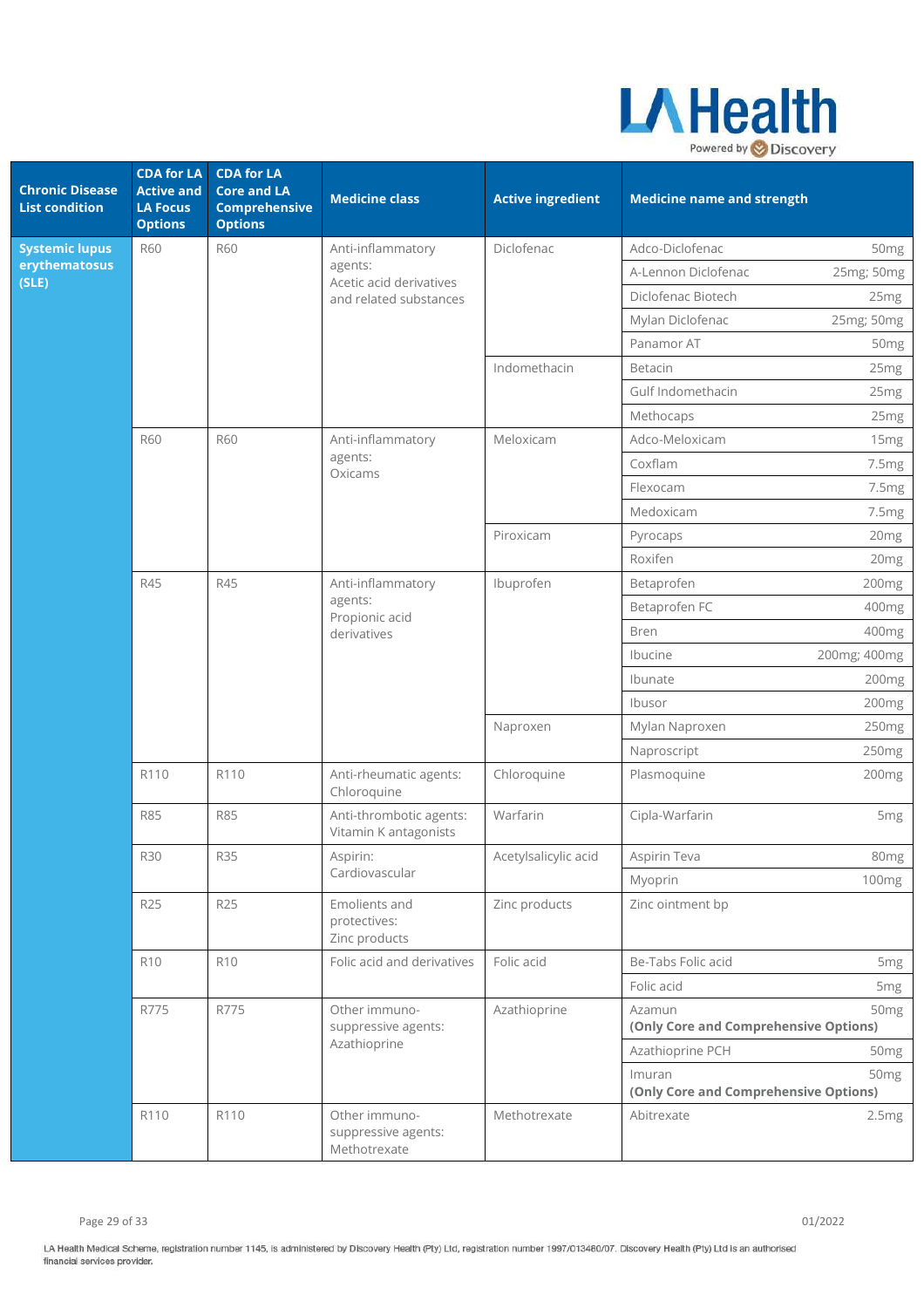

| <b>Chronic Disease</b><br><b>List condition</b> | <b>CDA for LA</b><br><b>Active and</b><br><b>LA Focus</b><br><b>Options</b> | <b>CDA for LA</b><br><b>Core and LA</b><br><b>Comprehensive</b><br><b>Options</b> | <b>Medicine class</b>                                         | <b>Active ingredient</b> | <b>Medicine name and strength</b>               |                  |
|-------------------------------------------------|-----------------------------------------------------------------------------|-----------------------------------------------------------------------------------|---------------------------------------------------------------|--------------------------|-------------------------------------------------|------------------|
| <b>Systemic lupus</b>                           | <b>R60</b>                                                                  | <b>R60</b>                                                                        | Anti-inflammatory                                             | Diclofenac               | Adco-Diclofenac                                 | 50 <sub>mg</sub> |
| erythematosus<br>(SLE)                          |                                                                             |                                                                                   | agents:<br>Acetic acid derivatives                            |                          | A-Lennon Diclofenac                             | 25mg; 50mg       |
|                                                 |                                                                             |                                                                                   | and related substances                                        |                          | Diclofenac Biotech                              | 25mg             |
|                                                 |                                                                             |                                                                                   |                                                               |                          | Mylan Diclofenac                                | 25mg; 50mg       |
|                                                 |                                                                             |                                                                                   |                                                               |                          | Panamor AT                                      | 50 <sub>mg</sub> |
|                                                 |                                                                             |                                                                                   |                                                               | Indomethacin             | Betacin                                         | 25mg             |
|                                                 |                                                                             |                                                                                   |                                                               |                          | Gulf Indomethacin                               | 25mg             |
|                                                 |                                                                             |                                                                                   |                                                               |                          | Methocaps                                       | 25 <sub>mg</sub> |
|                                                 | <b>R60</b>                                                                  | <b>R60</b>                                                                        | Anti-inflammatory                                             | Meloxicam                | Adco-Meloxicam                                  | 15mg             |
|                                                 |                                                                             |                                                                                   | agents:<br>Oxicams                                            |                          | Coxflam                                         | 7.5mg            |
|                                                 |                                                                             |                                                                                   |                                                               |                          | Flexocam                                        | 7.5mg            |
|                                                 |                                                                             |                                                                                   |                                                               |                          | Medoxicam                                       | 7.5mg            |
|                                                 |                                                                             |                                                                                   |                                                               | Piroxicam                | Pyrocaps                                        | 20mg             |
|                                                 |                                                                             |                                                                                   |                                                               |                          | Roxifen                                         | 20mg             |
|                                                 | R45                                                                         | R45                                                                               | Anti-inflammatory<br>agents:<br>Propionic acid<br>derivatives | Ibuprofen                | Betaprofen                                      | 200mg            |
|                                                 |                                                                             |                                                                                   |                                                               |                          | Betaprofen FC                                   | 400mg            |
|                                                 |                                                                             |                                                                                   |                                                               |                          | <b>Bren</b>                                     | 400mg            |
|                                                 |                                                                             |                                                                                   |                                                               |                          | Ibucine                                         | 200mg; 400mg     |
|                                                 |                                                                             |                                                                                   |                                                               |                          | Ibunate                                         | 200mg            |
|                                                 |                                                                             |                                                                                   |                                                               |                          | Ibusor                                          | 200mg            |
|                                                 |                                                                             |                                                                                   |                                                               | Naproxen                 | Mylan Naproxen                                  | 250mg            |
|                                                 |                                                                             |                                                                                   |                                                               |                          | Naproscript                                     | 250mg            |
|                                                 | R110                                                                        | R110                                                                              | Anti-rheumatic agents:<br>Chloroquine                         | Chloroquine              | Plasmoquine                                     | 200mg            |
|                                                 | <b>R85</b>                                                                  | <b>R85</b>                                                                        | Anti-thrombotic agents:<br>Vitamin K antagonists              | Warfarin                 | Cipla-Warfarin                                  | 5 <sub>mg</sub>  |
|                                                 | <b>R30</b>                                                                  | <b>R35</b>                                                                        | Aspirin:<br>Cardiovascular                                    | Acetylsalicylic acid     | Aspirin Teva                                    | 80 <sub>mg</sub> |
|                                                 |                                                                             |                                                                                   |                                                               |                          | Myoprin                                         | 100mg            |
|                                                 | <b>R25</b>                                                                  | <b>R25</b>                                                                        | Emolients and<br>protectives:<br>Zinc products                | Zinc products            | Zinc ointment bp                                |                  |
|                                                 | R <sub>10</sub>                                                             | <b>R10</b>                                                                        | Folic acid and derivatives                                    | Folic acid               | Be-Tabs Folic acid                              | 5 <sub>mg</sub>  |
|                                                 |                                                                             |                                                                                   |                                                               |                          | Folic acid                                      | 5 <sub>mg</sub>  |
|                                                 | R775                                                                        | R775                                                                              | Other immuno-<br>suppressive agents:<br>Azathioprine          | Azathioprine             | Azamun<br>(Only Core and Comprehensive Options) | 50 <sub>mg</sub> |
|                                                 |                                                                             |                                                                                   |                                                               |                          | Azathioprine PCH                                | 50 <sub>mg</sub> |
|                                                 |                                                                             |                                                                                   |                                                               |                          | Imuran<br>(Only Core and Comprehensive Options) | 50 <sub>mg</sub> |
|                                                 | R110                                                                        | R110                                                                              | Other immuno-<br>suppressive agents:<br>Methotrexate          | Methotrexate             | Abitrexate                                      | 2.5mg            |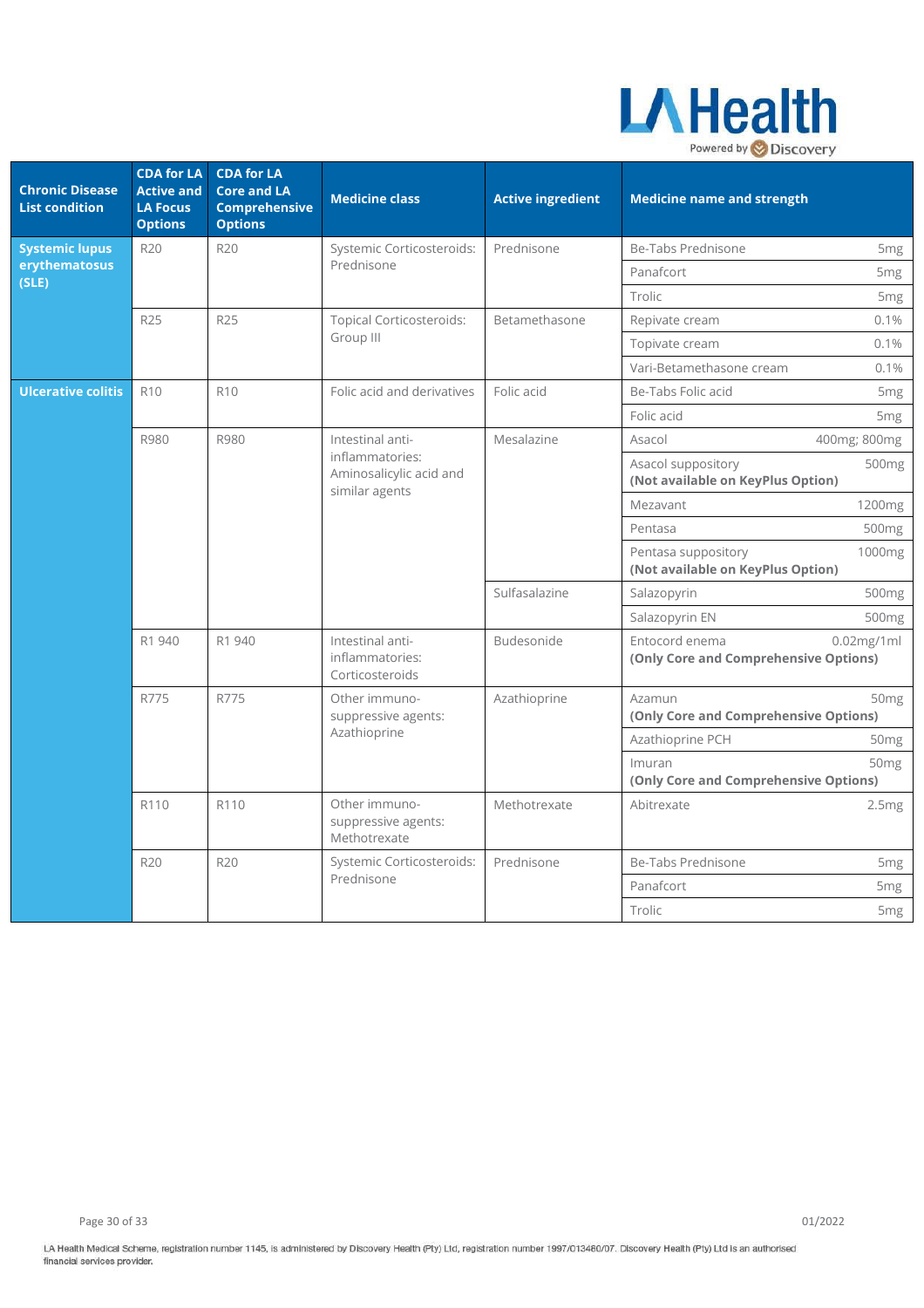

| <b>Chronic Disease</b><br><b>List condition</b> | <b>CDA for LA</b><br><b>Active and</b><br><b>LA Focus</b><br><b>Options</b> | <b>CDA for LA</b><br><b>Core and LA</b><br><b>Comprehensive</b><br><b>Options</b> | <b>Medicine class</b>                                        | <b>Active ingredient</b> | <b>Medicine name and strength</b>                                              |
|-------------------------------------------------|-----------------------------------------------------------------------------|-----------------------------------------------------------------------------------|--------------------------------------------------------------|--------------------------|--------------------------------------------------------------------------------|
| <b>Systemic lupus</b>                           | <b>R20</b>                                                                  | <b>R20</b>                                                                        | Systemic Corticosteroids:                                    | Prednisone               | Be-Tabs Prednisone<br>5 <sub>mg</sub>                                          |
| erythematosus<br>(SLE)                          |                                                                             |                                                                                   | Prednisone                                                   |                          | Panafcort<br>5 <sub>mg</sub>                                                   |
|                                                 |                                                                             |                                                                                   |                                                              |                          | Trolic<br>5 <sub>mg</sub>                                                      |
|                                                 | R25                                                                         | R <sub>25</sub>                                                                   | <b>Topical Corticosteroids:</b>                              | Betamethasone            | 0.1%<br>Repivate cream                                                         |
|                                                 |                                                                             |                                                                                   | Group III                                                    |                          | 0.1%<br>Topivate cream                                                         |
|                                                 |                                                                             |                                                                                   |                                                              |                          | Vari-Betamethasone cream<br>0.1%                                               |
| <b>Ulcerative colitis</b>                       | R <sub>10</sub>                                                             | R <sub>10</sub>                                                                   | Folic acid and derivatives                                   | Folic acid               | Be-Tabs Folic acid<br>5 <sub>mg</sub>                                          |
|                                                 |                                                                             |                                                                                   |                                                              |                          | Folic acid<br>5 <sub>mg</sub>                                                  |
|                                                 | R980                                                                        | R980                                                                              | Intestinal anti-                                             | Mesalazine               | Asacol<br>400mg; 800mg                                                         |
|                                                 |                                                                             |                                                                                   | inflammatories:<br>Aminosalicylic acid and<br>similar agents |                          | Asacol suppository<br>500 <sub>mg</sub><br>(Not available on KeyPlus Option)   |
|                                                 |                                                                             |                                                                                   |                                                              |                          | 1200mg<br>Mezavant                                                             |
|                                                 |                                                                             |                                                                                   |                                                              |                          | Pentasa<br>500mg                                                               |
|                                                 |                                                                             |                                                                                   |                                                              |                          | Pentasa suppository<br>1000 <sub>mg</sub><br>(Not available on KeyPlus Option) |
|                                                 |                                                                             |                                                                                   |                                                              | Sulfasalazine            | Salazopyrin<br>500mg                                                           |
|                                                 |                                                                             |                                                                                   |                                                              |                          | Salazopyrin EN<br>500 <sub>mg</sub>                                            |
|                                                 | R1 940                                                                      | R1 940                                                                            | Intestinal anti-<br>inflammatories:<br>Corticosteroids       | Budesonide               | Entocord enema<br>$0.02$ mg/1ml<br>(Only Core and Comprehensive Options)       |
|                                                 | R775                                                                        | R775                                                                              | Other immuno-<br>suppressive agents:                         | Azathioprine             | Azamun<br>50 <sub>mg</sub><br>(Only Core and Comprehensive Options)            |
|                                                 |                                                                             |                                                                                   | Azathioprine                                                 |                          | Azathioprine PCH<br>50 <sub>mg</sub>                                           |
|                                                 |                                                                             |                                                                                   |                                                              |                          | Imuran<br>50 <sub>mg</sub><br>(Only Core and Comprehensive Options)            |
|                                                 | R110                                                                        | R110                                                                              | Other immuno-<br>suppressive agents:<br>Methotrexate         | Methotrexate             | Abitrexate<br>2.5mg                                                            |
|                                                 | R20                                                                         | R20                                                                               | Systemic Corticosteroids:                                    | Prednisone               | Be-Tabs Prednisone<br>5 <sub>mg</sub>                                          |
|                                                 |                                                                             |                                                                                   | Prednisone                                                   |                          | Panafcort<br>5 <sub>mg</sub>                                                   |
|                                                 |                                                                             |                                                                                   |                                                              |                          |                                                                                |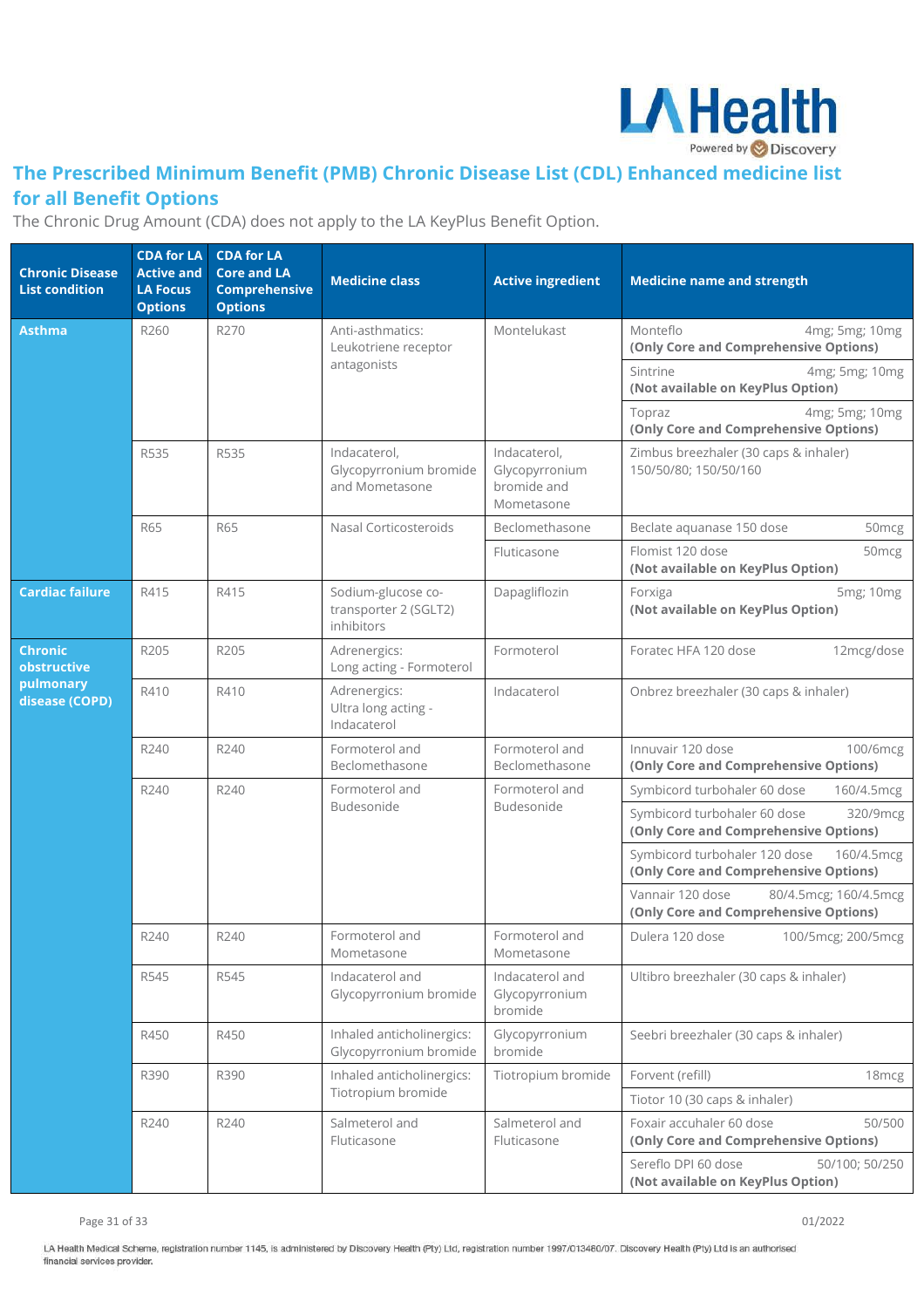

## **The Prescribed Minimum Benefit (PMB) Chronic Disease List (CDL) Enhanced medicine list for all Benefit Options**

The Chronic Drug Amount (CDA) does not apply to the LA KeyPlus Benefit Option.

| <b>Chronic Disease</b><br><b>List condition</b> | <b>CDA for LA</b><br><b>Active and</b><br><b>LA Focus</b><br><b>Options</b> | <b>CDA for LA</b><br><b>Core and LA</b><br><b>Comprehensive</b><br><b>Options</b> | <b>Medicine class</b>                                     | <b>Active ingredient</b>                                                   | <b>Medicine name and strength</b>                                                    |
|-------------------------------------------------|-----------------------------------------------------------------------------|-----------------------------------------------------------------------------------|-----------------------------------------------------------|----------------------------------------------------------------------------|--------------------------------------------------------------------------------------|
| Asthma                                          | R260                                                                        | R270                                                                              | Anti-asthmatics:<br>Leukotriene receptor                  | Montelukast                                                                | Monteflo<br>4mg; 5mg; 10mg<br>(Only Core and Comprehensive Options)                  |
|                                                 |                                                                             |                                                                                   | antagonists                                               |                                                                            | 4mg; 5mg; 10mg<br>Sintrine<br>(Not available on KeyPlus Option)                      |
|                                                 |                                                                             |                                                                                   |                                                           |                                                                            | 4mg; 5mg; 10mg<br>Topraz<br>(Only Core and Comprehensive Options)                    |
|                                                 | R535                                                                        | R535                                                                              | Indacaterol,<br>Glycopyrronium bromide<br>and Mometasone  | Indacaterol,<br>Glycopyrronium<br>bromide and<br>Mometasone                | Zimbus breezhaler (30 caps & inhaler)<br>150/50/80; 150/50/160                       |
|                                                 | R65                                                                         | R65                                                                               | Nasal Corticosteroids                                     | Beclomethasone                                                             | Beclate aquanase 150 dose<br>50mcg                                                   |
|                                                 |                                                                             |                                                                                   |                                                           | Fluticasone                                                                | Flomist 120 dose<br>50mcg<br>(Not available on KeyPlus Option)                       |
| <b>Cardiac failure</b>                          | R415                                                                        | R415                                                                              | Sodium-glucose co-<br>transporter 2 (SGLT2)<br>inhibitors | Dapagliflozin                                                              | 5mg; 10mg<br>Forxiga<br>(Not available on KeyPlus Option)                            |
| <b>Chronic</b><br>obstructive                   | R205                                                                        | R205                                                                              | Adrenergics:<br>Long acting - Formoterol                  | Formoterol                                                                 | Foratec HFA 120 dose<br>12mcg/dose                                                   |
| pulmonary<br>disease (COPD)                     | R410                                                                        | R410                                                                              | Adrenergics:<br>Ultra long acting -<br>Indacaterol        | Indacaterol                                                                | Onbrez breezhaler (30 caps & inhaler)                                                |
|                                                 | R240                                                                        | R240                                                                              | Formoterol and<br>Beclomethasone                          | Formoterol and<br>Beclomethasone                                           | Innuvair 120 dose<br>100/6mcg<br>(Only Core and Comprehensive Options)               |
|                                                 | R240                                                                        | R240                                                                              | Formoterol and<br>Budesonide                              | Formoterol and<br>Budesonide                                               | Symbicord turbohaler 60 dose<br>160/4.5mcg                                           |
|                                                 |                                                                             |                                                                                   |                                                           |                                                                            | Symbicord turbohaler 60 dose<br>320/9mcg<br>(Only Core and Comprehensive Options)    |
|                                                 |                                                                             |                                                                                   |                                                           |                                                                            | Symbicord turbohaler 120 dose<br>160/4.5mcg<br>(Only Core and Comprehensive Options) |
|                                                 |                                                                             |                                                                                   |                                                           |                                                                            | Vannair 120 dose<br>80/4.5mcg; 160/4.5mcg<br>(Only Core and Comprehensive Options)   |
|                                                 | R240                                                                        | R240                                                                              | Formoterol and<br>Mometasone                              | Formoterol and<br>Mometasone                                               | Dulera 120 dose<br>100/5mcg; 200/5mcg                                                |
|                                                 | R545                                                                        | R545                                                                              | Indacaterol and<br>Glycopyrronium bromide                 | Indacaterol and<br>Glycopyrronium<br>bromide                               | Ultibro breezhaler (30 caps & inhaler)                                               |
|                                                 | R450                                                                        | R450                                                                              | Inhaled anticholinergics:<br>Glycopyrronium bromide       | Glycopyrronium<br>bromide                                                  | Seebri breezhaler (30 caps & inhaler)                                                |
|                                                 | R390                                                                        | R390                                                                              | Inhaled anticholinergics:                                 | Tiotropium bromide                                                         | Forvent (refill)<br>18 <sub>mcg</sub>                                                |
|                                                 |                                                                             |                                                                                   | Tiotropium bromide                                        |                                                                            | Tiotor 10 (30 caps & inhaler)                                                        |
|                                                 | R240<br>R240                                                                |                                                                                   | Salmeterol and<br>Fluticasone                             | Salmeterol and<br>Fluticasone                                              | Foxair accuhaler 60 dose<br>50/500<br>(Only Core and Comprehensive Options)          |
|                                                 |                                                                             |                                                                                   |                                                           | Sereflo DPI 60 dose<br>50/100; 50/250<br>(Not available on KeyPlus Option) |                                                                                      |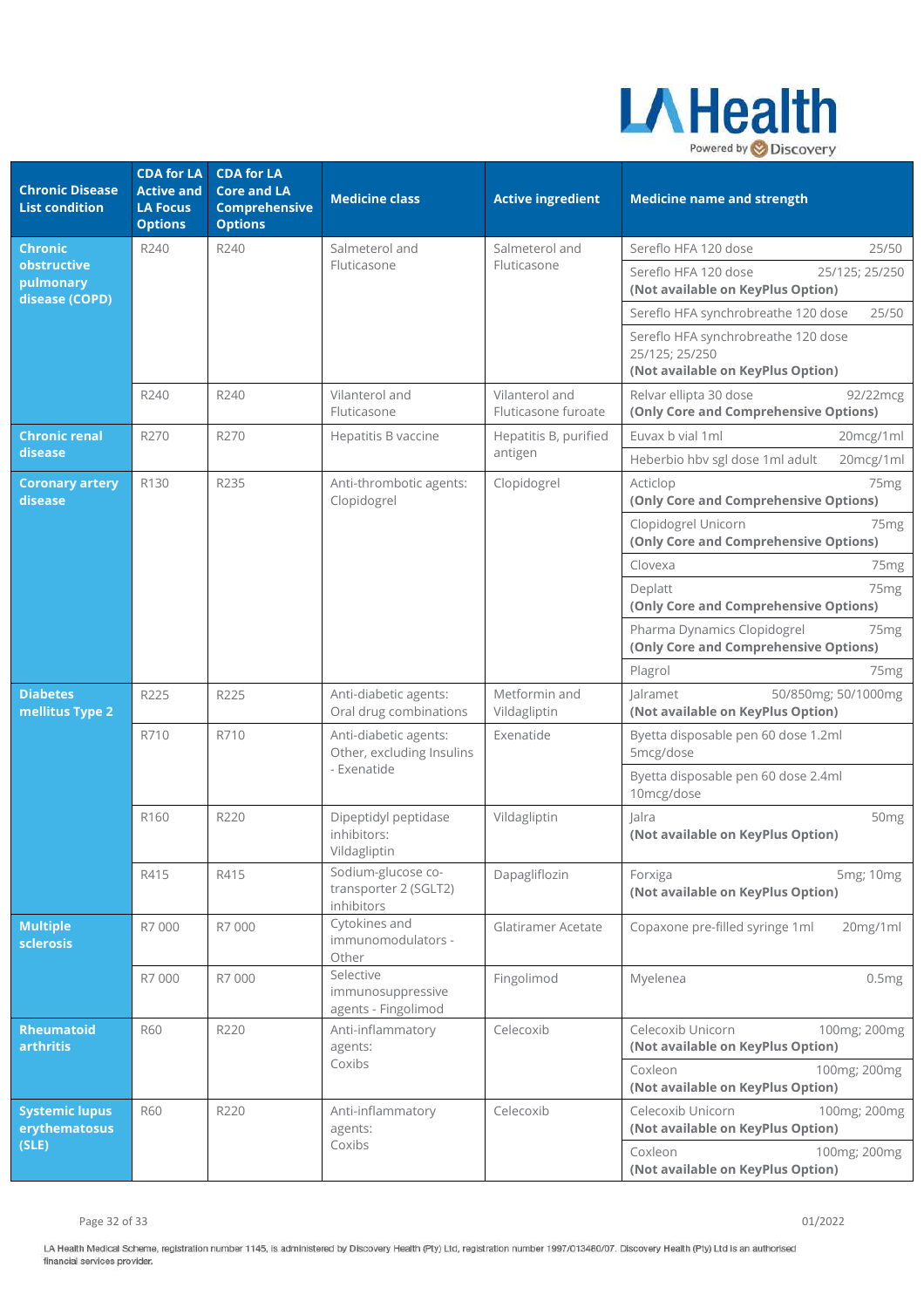

| <b>Chronic Disease</b><br><b>List condition</b> | <b>CDA for LA</b><br><b>Active and</b><br><b>LA Focus</b><br><b>Options</b> | <b>CDA for LA</b><br><b>Core and LA</b><br><b>Comprehensive</b><br><b>Options</b> | <b>Medicine class</b>                                             | <b>Active ingredient</b>                                     | <b>Medicine name and strength</b>                                                          |
|-------------------------------------------------|-----------------------------------------------------------------------------|-----------------------------------------------------------------------------------|-------------------------------------------------------------------|--------------------------------------------------------------|--------------------------------------------------------------------------------------------|
| <b>Chronic</b>                                  | R240                                                                        | R240                                                                              | Salmeterol and                                                    | Salmeterol and                                               | Sereflo HFA 120 dose<br>25/50                                                              |
| obstructive<br>pulmonary<br>disease (COPD)      |                                                                             |                                                                                   | Fluticasone                                                       | Fluticasone                                                  | Sereflo HFA 120 dose<br>25/125; 25/250<br>(Not available on KeyPlus Option)                |
|                                                 |                                                                             |                                                                                   |                                                                   |                                                              | Sereflo HFA synchrobreathe 120 dose<br>25/50                                               |
|                                                 |                                                                             |                                                                                   |                                                                   |                                                              | Sereflo HFA synchrobreathe 120 dose<br>25/125; 25/250<br>(Not available on KeyPlus Option) |
|                                                 | R240                                                                        | R240                                                                              | Vilanterol and<br>Fluticasone                                     | Vilanterol and<br>Fluticasone furoate                        | Relvar ellipta 30 dose<br>92/22mcg<br>(Only Core and Comprehensive Options)                |
| <b>Chronic renal</b>                            | R270                                                                        | R270                                                                              | Hepatitis B vaccine                                               | Hepatitis B, purified                                        | Euvax b vial 1ml<br>20mcg/1ml                                                              |
| disease                                         |                                                                             |                                                                                   |                                                                   | antigen                                                      | Heberbio hbv sgl dose 1ml adult<br>20mcg/1ml                                               |
| <b>Coronary artery</b><br>disease               | R130                                                                        | R235                                                                              | Anti-thrombotic agents:<br>Clopidogrel                            | Clopidogrel                                                  | Acticlop<br>75 <sub>mg</sub><br>(Only Core and Comprehensive Options)                      |
|                                                 |                                                                             |                                                                                   |                                                                   |                                                              | Clopidogrel Unicorn<br>75 <sub>mg</sub><br>(Only Core and Comprehensive Options)           |
|                                                 |                                                                             |                                                                                   |                                                                   |                                                              | Clovexa<br>75 <sub>mg</sub>                                                                |
|                                                 |                                                                             |                                                                                   |                                                                   |                                                              | Deplatt<br>75 <sub>mg</sub><br>(Only Core and Comprehensive Options)                       |
|                                                 |                                                                             |                                                                                   |                                                                   |                                                              | Pharma Dynamics Clopidogrel<br>75 <sub>mg</sub><br>(Only Core and Comprehensive Options)   |
|                                                 |                                                                             |                                                                                   |                                                                   |                                                              | Plagrol<br>75 <sub>mg</sub>                                                                |
| <b>Diabetes</b><br>mellitus Type 2              | R225                                                                        | R225                                                                              | Anti-diabetic agents:<br>Oral drug combinations                   | Metformin and<br>Vildagliptin                                | Jalramet<br>50/850mg; 50/1000mg<br>(Not available on KeyPlus Option)                       |
|                                                 | R710                                                                        | R710                                                                              | Anti-diabetic agents:<br>Other, excluding Insulins<br>- Exenatide | Exenatide                                                    | Byetta disposable pen 60 dose 1.2ml<br>5mcg/dose                                           |
|                                                 |                                                                             |                                                                                   |                                                                   |                                                              | Byetta disposable pen 60 dose 2.4ml<br>10mcg/dose                                          |
|                                                 | R160                                                                        | R220                                                                              | Dipeptidyl peptidase<br>inhibitors:<br>Vildagliptin               | Vildagliptin                                                 | lalra<br>50 <sub>mg</sub><br>(Not available on KeyPlus Option)                             |
|                                                 | R415                                                                        | R415                                                                              | Sodium-glucose co-<br>transporter 2 (SGLT2)<br>inhibitors         | Dapagliflozin                                                | 5mg; 10mg<br>Forxiga<br>(Not available on KeyPlus Option)                                  |
| <b>Multiple</b><br>sclerosis                    | R7 000                                                                      | R7 000                                                                            | Cytokines and<br>immunomodulators -<br>Other                      | Glatiramer Acetate                                           | Copaxone pre-filled syringe 1ml<br>20mg/1ml                                                |
|                                                 | R7 000                                                                      | R7 000                                                                            | Selective<br>immunosuppressive<br>agents - Fingolimod             | Fingolimod                                                   | Myelenea<br>0.5mg                                                                          |
| <b>Rheumatoid</b><br>arthritis                  | <b>R60</b>                                                                  | R220                                                                              | Anti-inflammatory<br>agents:<br>Coxibs                            | Celecoxib                                                    | Celecoxib Unicorn<br>100mg; 200mg<br>(Not available on KeyPlus Option)                     |
|                                                 |                                                                             |                                                                                   |                                                                   |                                                              | Coxleon<br>100mg; 200mg<br>(Not available on KeyPlus Option)                               |
| <b>Systemic lupus</b><br>erythematosus          | <b>R60</b>                                                                  | R220                                                                              | Anti-inflammatory<br>agents:                                      | Celecoxib                                                    | Celecoxib Unicorn<br>100mg; 200mg<br>(Not available on KeyPlus Option)                     |
| (SLE)                                           |                                                                             | Coxibs                                                                            |                                                                   | Coxleon<br>100mg; 200mg<br>(Not available on KeyPlus Option) |                                                                                            |